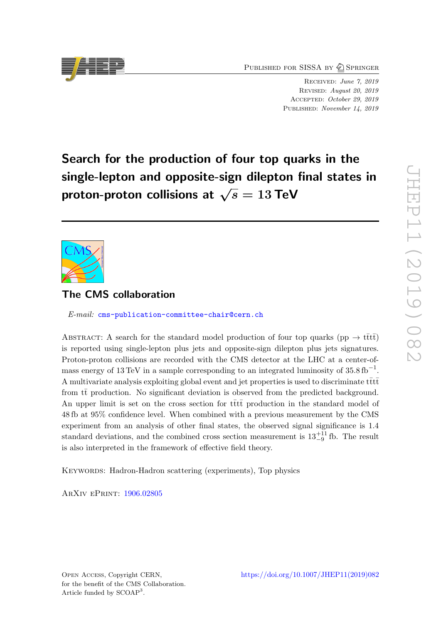PUBLISHED FOR SISSA BY 2 SPRINGER

Received: June 7, 2019 Revised: August 20, 2019 Accepted: October 29, 2019 PUBLISHED: November 14, 2019

Search for the production of four top quarks in the single-lepton and opposite-sign dilepton final states in proton-proton collisions at  $\sqrt{s} = 13$  TeV



# The CMS collaboration

E-mail: [cms-publication-committee-chair@cern.ch](mailto:cms-publication-committee-chair@cern.ch)

ABSTRACT: A search for the standard model production of four top quarks (pp  $\rightarrow t\bar{t}t\bar{t}$ ) is reported using single-lepton plus jets and opposite-sign dilepton plus jets signatures. Proton-proton collisions are recorded with the CMS detector at the LHC at a center-ofmass energy of 13 TeV in a sample corresponding to an integrated luminosity of  $35.8 \text{ fb}^{-1}$ . A multivariate analysis exploiting global event and jet properties is used to discriminate  $\mathrm{t\bar{t}t\bar{t}}$ from  $t\bar{t}$  production. No significant deviation is observed from the predicted background. An upper limit is set on the cross section for  $\mathrm{t\bar{t}t\bar{t}}$  production in the standard model of 48 fb at 95% confidence level. When combined with a previous measurement by the CMS experiment from an analysis of other final states, the observed signal significance is 1.4 standard deviations, and the combined cross section measurement is  $13^{+11}_{-9}$  fb. The result is also interpreted in the framework of effective field theory.

KEYWORDS: Hadron-Hadron scattering (experiments), Top physics

ArXiv ePrint: [1906.02805](https://arxiv.org/abs/1906.02805)

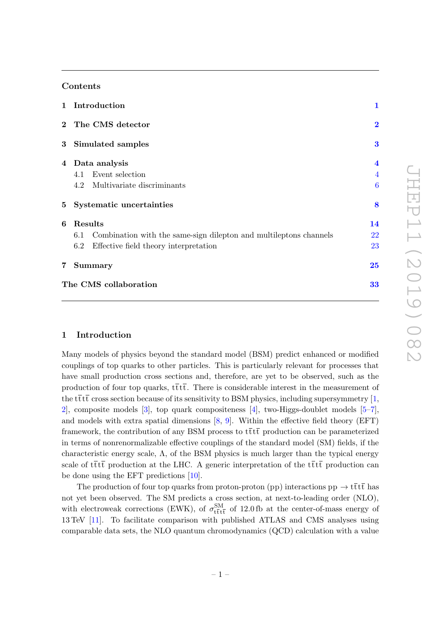### Contents

|       | 1 Introduction                                                        | $\mathbf{1}$            |
|-------|-----------------------------------------------------------------------|-------------------------|
|       | 2 The CMS detector                                                    | $\overline{2}$          |
|       | 3 Simulated samples                                                   | 3                       |
|       | 4 Data analysis                                                       | $\overline{\mathbf{4}}$ |
|       | 4.1 Event selection                                                   | $\overline{4}$          |
|       | 4.2 Multivariate discriminants                                        | 6                       |
|       | 5 Systematic uncertainties                                            | 8                       |
| 6     | Results                                                               | 14                      |
|       | 6.1 Combination with the same-sign dilepton and multileptons channels | 22                      |
|       | 6.2 Effective field theory interpretation                             | 23                      |
| $7\,$ | Summary                                                               | 25                      |
|       | The CMS collaboration                                                 | 33                      |

## <span id="page-1-0"></span>1 Introduction

Many models of physics beyond the standard model (BSM) predict enhanced or modified couplings of top quarks to other particles. This is particularly relevant for processes that have small production cross sections and, therefore, are yet to be observed, such as the production of four top quarks,  $\text{t}\overline{\text{t}}\text{t}\overline{\text{t}}$ . There is considerable interest in the measurement of the  $\mathrm{t}\bar{\mathrm{t}}\bar{\mathrm{t}}\bar{\mathrm{t}}$  cross section because of its sensitivity to BSM physics, including supersymmetry [\[1,](#page-27-0) [2\]](#page-27-1), composite models [\[3\]](#page-27-2), top quark compositeness [\[4\]](#page-27-3), two-Higgs-doublet models [\[5](#page-27-4)[–7\]](#page-27-5), and models with extra spatial dimensions  $[8, 9]$  $[8, 9]$  $[8, 9]$ . Within the effective field theory (EFT) framework, the contribution of any BSM process to  $\tilde{t} \tilde{t} \tilde{t} \tilde{t}$  production can be parameterized in terms of nonrenormalizable effective couplings of the standard model (SM) fields, if the characteristic energy scale,  $\Lambda$ , of the BSM physics is much larger than the typical energy scale of ttert production at the LHC. A generic interpretation of the  $t\bar{t}t\bar{t}$  production can be done using the EFT predictions [\[10\]](#page-27-8).

The production of four top quarks from proton-proton (pp) interactions  $pp \to t\bar{t}t\bar{t}$  has not yet been observed. The SM predicts a cross section, at next-to-leading order (NLO), with electroweak corrections (EWK), of  $\sigma_{\text{t\bar{t}t}}^{\text{SM}}$  $\frac{\text{SM}}{\text{t} \cdot \text{t} \cdot \text{t}}$  of 12.0 fb at the center-of-mass energy of 13 TeV [\[11\]](#page-27-9). To facilitate comparison with published ATLAS and CMS analyses using comparable data sets, the NLO quantum chromodynamics (QCD) calculation with a value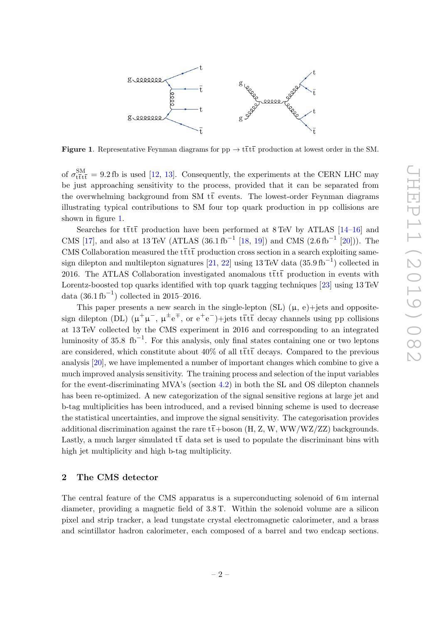

<span id="page-2-1"></span>**Figure 1.** Representative Feynman diagrams for  $pp \rightarrow t\bar{t}t\bar{t}$  production at lowest order in the SM.

of  $\sigma_{\text{t\bar{t}t\bar{t}}}^{\text{SM}} = 9.2 \text{ fb}$  is used [\[12,](#page-28-0) [13\]](#page-28-1). Consequently, the experiments at the CERN LHC may be just approaching sensitivity to the process, provided that it can be separated from the overwhelming background from SM  $t\bar{t}$  events. The lowest-order Feynman diagrams illustrating typical contributions to SM four top quark production in pp collisions are shown in figure [1.](#page-2-1)

Searches for  $\text{t}\overline{\text{t}}\text{t}\overline{\text{t}}$  production have been performed at 8 TeV by ATLAS [\[14](#page-28-2)[–16\]](#page-28-3) and CMS [\[17\]](#page-28-4), and also at 13 TeV (ATLAS  $(36.1 \text{ fb}^{-1}$  [\[18,](#page-28-5) [19\]](#page-28-6)) and CMS  $(2.6 \text{ fb}^{-1}$  [\[20\]](#page-28-7))). The CMS Collaboration measured the  $\text{t}\overline{\text{t}}\text{t}\overline{\text{t}}$  production cross section in a search exploiting same-sign dilepton and multilepton signatures [\[21,](#page-28-8) [22\]](#page-28-9) using 13 TeV data  $(35.9\,\text{fb}^{-1})$  collected in 2016. The ATLAS Collaboration investigated anomalous  $\mathrm{t}\bar{\mathrm{t}}\bar{\mathrm{t}}\bar{\mathrm{t}}$  production in events with Lorentz-boosted top quarks identified with top quark tagging techniques [\[23\]](#page-28-10) using 13 TeV data  $(36.1\,\text{fb}^{-1})$  collected in 2015–2016.

This paper presents a new search in the single-lepton (SL)  $(\mu, e)$ +jets and oppositesign dilepton (DL)  $(\mu^+\mu^-,\ \mu^\pm e^\mp, or\ e^+e^-)+\text{jets} \ t\bar{t}t\bar{t}$  decay channels using pp collisions at 13 TeV collected by the CMS experiment in 2016 and corresponding to an integrated luminosity of 35.8  $\text{fb}^{-1}$ . For this analysis, only final states containing one or two leptons are considered, which constitute about  $40\%$  of all  $t\bar{t}t\bar{t}$  decays. Compared to the previous analysis [\[20\]](#page-28-7), we have implemented a number of important changes which combine to give a much improved analysis sensitivity. The training process and selection of the input variables for the event-discriminating MVA's (section [4.2\)](#page-6-0) in both the SL and OS dilepton channels has been re-optimized. A new categorization of the signal sensitive regions at large jet and b-tag multiplicities has been introduced, and a revised binning scheme is used to decrease the statistical uncertainties, and improve the signal sensitivity. The categorisation provides additional discrimination against the rare  $t\bar{t}$ +boson (H, Z, W, WW/WZ/ZZ) backgrounds. Lastly, a much larger simulated  $t\bar{t}$  data set is used to populate the discriminant bins with high jet multiplicity and high b-tag multiplicity.

#### <span id="page-2-0"></span>2 The CMS detector

The central feature of the CMS apparatus is a superconducting solenoid of 6 m internal diameter, providing a magnetic field of 3.8 T. Within the solenoid volume are a silicon pixel and strip tracker, a lead tungstate crystal electromagnetic calorimeter, and a brass and scintillator hadron calorimeter, each composed of a barrel and two endcap sections.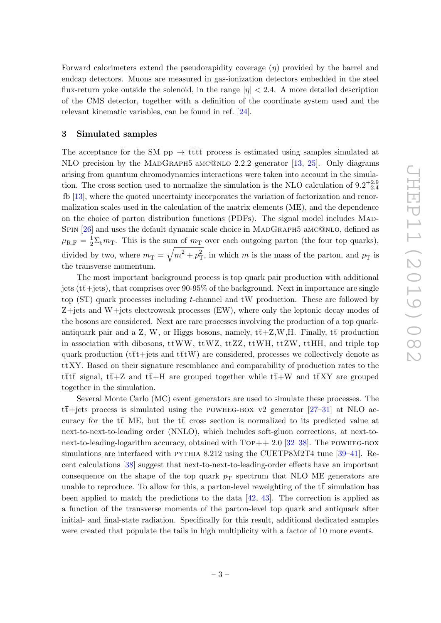Forward calorimeters extend the pseudorapidity coverage  $(\eta)$  provided by the barrel and endcap detectors. Muons are measured in gas-ionization detectors embedded in the steel flux-return yoke outside the solenoid, in the range  $|\eta| < 2.4$ . A more detailed description of the CMS detector, together with a definition of the coordinate system used and the relevant kinematic variables, can be found in ref. [\[24\]](#page-28-11).

#### <span id="page-3-0"></span>3 Simulated samples

The acceptance for the SM pp  $\rightarrow$  ttest process is estimated using samples simulated at NLO precision by the MADGRAPH5 aMC@NLO 2.2.2 generator [\[13,](#page-28-1) [25\]](#page-28-12). Only diagrams arising from quantum chromodynamics interactions were taken into account in the simulation. The cross section used to normalize the simulation is the NLO calculation of  $9.2^{+2.9}_{-2.4}$ fb [\[13\]](#page-28-1), where the quoted uncertainty incorporates the variation of factorization and renormalization scales used in the calculation of the matrix elements (ME), and the dependence on the choice of parton distribution functions (PDFs). The signal model includes MAD-SPIN [\[26\]](#page-28-13) and uses the default dynamic scale choice in MADGRAPH5 aMC@NLO, defined as  $\mu_{R,F} = \frac{1}{2} \Sigma_t m_T$ . This is the sum of  $m_T$  over each outgoing parton (the four top quarks), divided by two, where  $m_T = \sqrt{m^2 + p_T^2}$ , in which m is the mass of the parton, and  $p_T$  is the transverse momentum.

The most important background process is top quark pair production with additional jets ( $t\bar{t}$ +jets), that comprises over 90-95% of the background. Next in importance are single top (ST) quark processes including t-channel and tW production. These are followed by Z+jets and W+jets electroweak processes (EW), where only the leptonic decay modes of the bosons are considered. Next are rare processes involving the production of a top quarkantiquark pair and a Z, W, or Higgs bosons, namely,  $t\bar{t}+Z,W,H$ . Finally,  $t\bar{t}$  production in association with dibosons,  $t\bar{t}WW$ ,  $t\bar{t}WZ$ ,  $t\bar{t}ZZ$ ,  $t\bar{t}WH$ ,  $t\bar{t}ZW$ ,  $t\bar{t}HH$ , and triple top quark production ( $\text{t}\overline{\text{t}}$ +jets and  $\text{t}\overline{\text{t}}$ W) are considered, processes we collectively denote as  $t\bar{t}XY$ . Based on their signature resemblance and comparability of production rates to the tttt signal, tt+Z and tt+H are grouped together while tt+W and ttXY are grouped together in the simulation.

Several Monte Carlo (MC) event generators are used to simulate these processes. The  $t\bar{t}$ +jets process is simulated using the POWHEG-BOX v2 generator [\[27](#page-29-0)[–31\]](#page-29-1) at NLO accuracy for the  $t\bar{t}$  ME, but the  $t\bar{t}$  cross section is normalized to its predicted value at next-to-next-to-leading order (NNLO), which includes soft-gluon corrections, at next-tonext-to-leading-logarithm accuracy, obtained with  $Top++ 2.0$  [\[32](#page-29-2)[–38\]](#page-29-3). The POWHEG-BOX simulations are interfaced with PYTHIA 8.212 using the CUETP8M2T4 tune [\[39](#page-29-4)[–41\]](#page-29-5). Recent calculations [\[38\]](#page-29-3) suggest that next-to-next-to-leading-order effects have an important consequence on the shape of the top quark  $p_T$  spectrum that NLO ME generators are unable to reproduce. To allow for this, a parton-level reweighting of the  $t\bar{t}$  simulation has been applied to match the predictions to the data [\[42,](#page-29-6) [43\]](#page-29-7). The correction is applied as a function of the transverse momenta of the parton-level top quark and antiquark after initial- and final-state radiation. Specifically for this result, additional dedicated samples were created that populate the tails in high multiplicity with a factor of 10 more events.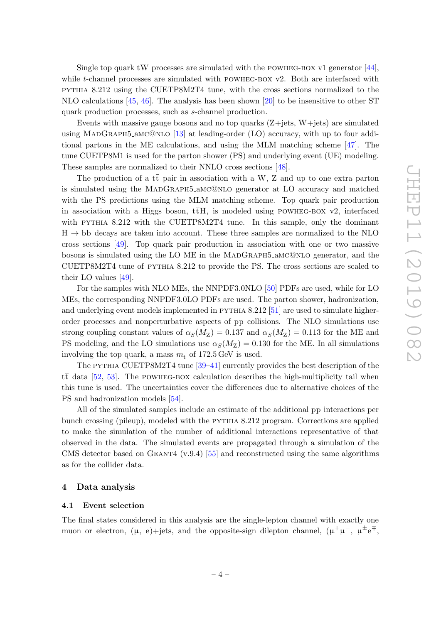Single top quark tW processes are simulated with the POWHEG-BOX v1 generator  $[44]$ , while t-channel processes are simulated with POWHEG-BOX v2. Both are interfaced with pythia 8.212 using the CUETP8M2T4 tune, with the cross sections normalized to the NLO calculations [\[45,](#page-30-0) [46\]](#page-30-1). The analysis has been shown [\[20\]](#page-28-7) to be insensitive to other ST quark production processes, such as s-channel production.

Events with massive gauge bosons and no top quarks  $(Z+jets, W+jets)$  are simulated using MADGRAPH5 aMC@NLO  $[13]$  at leading-order (LO) accuracy, with up to four additional partons in the ME calculations, and using the MLM matching scheme [\[47\]](#page-30-2). The tune CUETP8M1 is used for the parton shower (PS) and underlying event (UE) modeling. These samples are normalized to their NNLO cross sections [\[48\]](#page-30-3).

The production of a  $t\bar{t}$  pair in association with a W, Z and up to one extra parton is simulated using the MadGraph5 amc@nlo generator at LO accuracy and matched with the PS predictions using the MLM matching scheme. Top quark pair production in association with a Higgs boson,  $t\bar{t}H$ , is modeled using POWHEG-BOX v2, interfaced with PYTHIA 8.212 with the CUETP8M2T4 tune. In this sample, only the dominant  $H \rightarrow b\overline{b}$  decays are taken into account. These three samples are normalized to the NLO cross sections [\[49\]](#page-30-4). Top quark pair production in association with one or two massive bosons is simulated using the LO ME in the MADGRAPH5 amc@nLO generator, and the CUETP8M2T4 tune of pythia 8.212 to provide the PS. The cross sections are scaled to their LO values [\[49\]](#page-30-4).

For the samples with NLO MEs, the NNPDF3.0NLO [\[50\]](#page-30-5) PDFs are used, while for LO MEs, the corresponding NNPDF3.0LO PDFs are used. The parton shower, hadronization, and underlying event models implemented in PYTHIA  $8.212$  [\[51\]](#page-30-6) are used to simulate higherorder processes and nonperturbative aspects of pp collisions. The NLO simulations use strong coupling constant values of  $\alpha_S(M_Z) = 0.137$  and  $\alpha_S(M_Z) = 0.113$  for the ME and PS modeling, and the LO simulations use  $\alpha_S(M_Z) = 0.130$  for the ME. In all simulations involving the top quark, a mass  $m_t$  of 172.5 GeV is used.

The pythia CUETP8M2T4 tune [\[39](#page-29-4)[–41\]](#page-29-5) currently provides the best description of the  $t\bar{t}$  data [\[52,](#page-30-7) [53\]](#page-30-8). The POWHEG-BOX calculation describes the high-multiplicity tail when this tune is used. The uncertainties cover the differences due to alternative choices of the PS and hadronization models [\[54\]](#page-30-9).

All of the simulated samples include an estimate of the additional pp interactions per bunch crossing (pileup), modeled with the pythia 8.212 program. Corrections are applied to make the simulation of the number of additional interactions representative of that observed in the data. The simulated events are propagated through a simulation of the CMS detector based on GEANT4 (v.9.4) [\[55\]](#page-30-10) and reconstructed using the same algorithms as for the collider data.

#### <span id="page-4-0"></span>4 Data analysis

### <span id="page-4-1"></span>4.1 Event selection

The final states considered in this analysis are the single-lepton channel with exactly one muon or electron,  $(\mu, e)$ +jets, and the opposite-sign dilepton channel,  $(\mu^+ \mu^-, \mu^{\pm} e^{\mp},$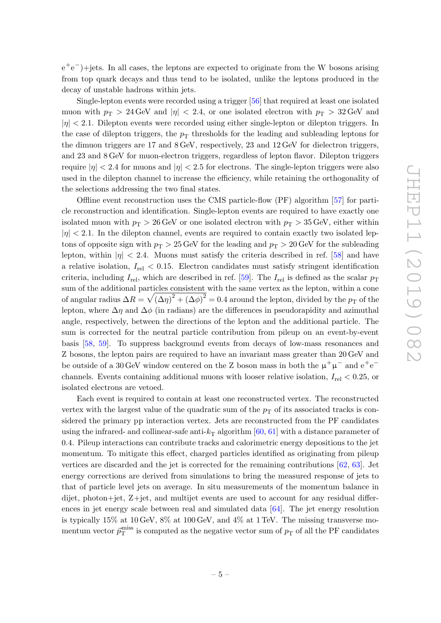$(e^+e^-)$ +jets. In all cases, the leptons are expected to originate from the W bosons arising from top quark decays and thus tend to be isolated, unlike the leptons produced in the decay of unstable hadrons within jets.

Single-lepton events were recorded using a trigger [\[56\]](#page-30-11) that required at least one isolated muon with  $p_T > 24$  GeV and  $|\eta| < 2.4$ , or one isolated electron with  $p_T > 32$  GeV and  $|\eta|$  < 2.1. Dilepton events were recorded using either single-lepton or dilepton triggers. In the case of dilepton triggers, the  $p<sub>T</sub>$  thresholds for the leading and subleading leptons for the dimuon triggers are 17 and 8 GeV, respectively, 23 and 12 GeV for dielectron triggers, and 23 and 8 GeV for muon-electron triggers, regardless of lepton flavor. Dilepton triggers require  $|\eta| < 2.4$  for muons and  $|\eta| < 2.5$  for electrons. The single-lepton triggers were also used in the dilepton channel to increase the efficiency, while retaining the orthogonality of the selections addressing the two final states.

Offline event reconstruction uses the CMS particle-flow (PF) algorithm [\[57\]](#page-30-12) for particle reconstruction and identification. Single-lepton events are required to have exactly one isolated muon with  $p_T > 26$  GeV or one isolated electron with  $p_T > 35$  GeV, either within  $|\eta|$  < 2.1. In the dilepton channel, events are required to contain exactly two isolated leptons of opposite sign with  $p_T > 25$  GeV for the leading and  $p_T > 20$  GeV for the subleading lepton, within  $|\eta| < 2.4$ . Muons must satisfy the criteria described in ref. [\[58\]](#page-30-13) and have a relative isolation,  $I_{rel} < 0.15$ . Electron candidates must satisfy stringent identification criteria, including  $I_{rel}$ , which are described in ref. [\[59\]](#page-30-14). The  $I_{rel}$  is defined as the scalar  $p_T$ sum of the additional particles consistent with the same vertex as the lepton, within a cone of angular radius  $\Delta R = \sqrt{\left(\Delta \eta\right)^2 + \left(\Delta \phi\right)^2} = 0.4$  around the lepton, divided by the  $p_{\rm T}$  of the lepton, where  $\Delta \eta$  and  $\Delta \phi$  (in radians) are the differences in pseudorapidity and azimuthal angle, respectively, between the directions of the lepton and the additional particle. The sum is corrected for the neutral particle contribution from pileup on an event-by-event basis [\[58,](#page-30-13) [59\]](#page-30-14). To suppress background events from decays of low-mass resonances and Z bosons, the lepton pairs are required to have an invariant mass greater than 20 GeV and be outside of a 30 GeV window centered on the Z boson mass in both the  $\mu^+\mu^-$  and  $e^+e^$ channels. Events containing additional muons with looser relative isolation,  $I_{rel} < 0.25$ , or isolated electrons are vetoed.

Each event is required to contain at least one reconstructed vertex. The reconstructed vertex with the largest value of the quadratic sum of the  $p<sub>T</sub>$  of its associated tracks is considered the primary pp interaction vertex. Jets are reconstructed from the PF candidates using the infrared- and collinear-safe anti- $k_T$  algorithm [\[60,](#page-30-15) [61\]](#page-30-16) with a distance parameter of 0.4. Pileup interactions can contribute tracks and calorimetric energy depositions to the jet momentum. To mitigate this effect, charged particles identified as originating from pileup vertices are discarded and the jet is corrected for the remaining contributions [\[62,](#page-30-17) [63\]](#page-31-0). Jet energy corrections are derived from simulations to bring the measured response of jets to that of particle level jets on average. In situ measurements of the momentum balance in dijet, photon+jet,  $Z+$ jet, and multijet events are used to account for any residual differences in jet energy scale between real and simulated data [\[64\]](#page-31-1). The jet energy resolution is typically 15% at 10 GeV, 8% at 100 GeV, and 4% at 1 TeV. The missing transverse momentum vector  $\vec{p}_{\rm T}^{\rm miss}$  is computed as the negative vector sum of  $p_{\rm T}$  of all the PF candidates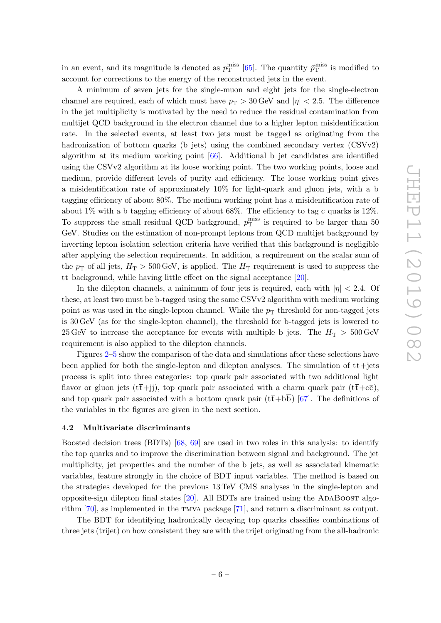in an event, and its magnitude is denoted as  $p_T^{\text{miss}}$  [\[65\]](#page-31-2). The quantity  $\vec{p}_T^{\text{miss}}$  is modified to account for corrections to the energy of the reconstructed jets in the event.

A minimum of seven jets for the single-muon and eight jets for the single-electron channel are required, each of which must have  $p_T > 30$  GeV and  $|\eta| < 2.5$ . The difference in the jet multiplicity is motivated by the need to reduce the residual contamination from multijet QCD background in the electron channel due to a higher lepton misidentification rate. In the selected events, at least two jets must be tagged as originating from the hadronization of bottom quarks (b jets) using the combined secondary vertex (CSVv2) algorithm at its medium working point [\[66\]](#page-31-3). Additional b jet candidates are identified using the CSVv2 algorithm at its loose working point. The two working points, loose and medium, provide different levels of purity and efficiency. The loose working point gives a misidentification rate of approximately 10% for light-quark and gluon jets, with a b tagging efficiency of about 80%. The medium working point has a misidentification rate of about  $1\%$  with a b tagging efficiency of about 68%. The efficiency to tag c quarks is  $12\%$ . To suppress the small residual QCD background,  $p_T^{\text{miss}}$  is required to be larger than 50 GeV. Studies on the estimation of non-prompt leptons from QCD multijet background by inverting lepton isolation selection criteria have verified that this background is negligible after applying the selection requirements. In addition, a requirement on the scalar sum of the  $p_T$  of all jets,  $H_T > 500$  GeV, is applied. The  $H_T$  requirement is used to suppress the  $t\bar{t}$  background, while having little effect on the signal acceptance [\[20\]](#page-28-7).

In the dilepton channels, a minimum of four jets is required, each with  $|\eta| < 2.4$ . Of these, at least two must be b-tagged using the same CSVv2 algorithm with medium working point as was used in the single-lepton channel. While the  $p<sub>T</sub>$  threshold for non-tagged jets is 30 GeV (as for the single-lepton channel), the threshold for b-tagged jets is lowered to 25 GeV to increase the acceptance for events with multiple b jets. The  $H_T > 500$  GeV requirement is also applied to the dilepton channels.

Figures [2](#page-9-0)[–5](#page-12-0) show the comparison of the data and simulations after these selections have been applied for both the single-lepton and dilepton analyses. The simulation of  $t\bar{t}+$  jets process is split into three categories: top quark pair associated with two additional light flavor or gluon jets ( $t\bar{t}$ +jj), top quark pair associated with a charm quark pair ( $t\bar{t}$ +c $\bar{c}$ ), and top quark pair associated with a bottom quark pair  $(t\bar{t}+bb)$  [\[67\]](#page-31-4). The definitions of the variables in the figures are given in the next section.

#### <span id="page-6-0"></span>4.2 Multivariate discriminants

Boosted decision trees (BDTs) [\[68,](#page-31-5) [69\]](#page-31-6) are used in two roles in this analysis: to identify the top quarks and to improve the discrimination between signal and background. The jet multiplicity, jet properties and the number of the b jets, as well as associated kinematic variables, feature strongly in the choice of BDT input variables. The method is based on the strategies developed for the previous 13 TeV CMS analyses in the single-lepton and opposite-sign dilepton final states  $[20]$ . All BDTs are trained using the ADABOOST algorithm [\[70\]](#page-31-7), as implemented in the tmva package [\[71\]](#page-31-8), and return a discriminant as output.

The BDT for identifying hadronically decaying top quarks classifies combinations of three jets (trijet) on how consistent they are with the trijet originating from the all-hadronic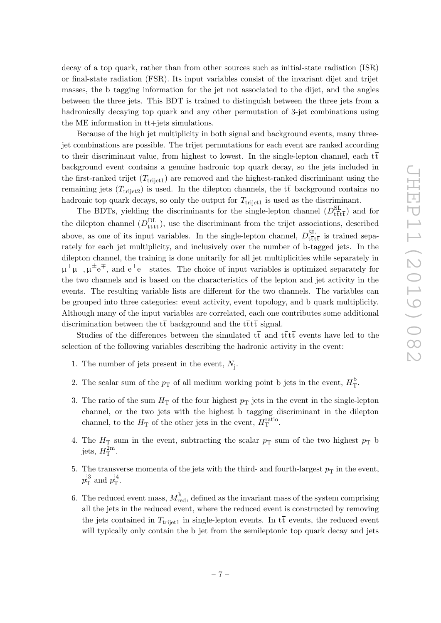decay of a top quark, rather than from other sources such as initial-state radiation (ISR) or final-state radiation (FSR). Its input variables consist of the invariant dijet and trijet masses, the b tagging information for the jet not associated to the dijet, and the angles between the three jets. This BDT is trained to distinguish between the three jets from a hadronically decaying top quark and any other permutation of 3-jet combinations using the ME information in tt+jets simulations.

Because of the high jet multiplicity in both signal and background events, many threejet combinations are possible. The trijet permutations for each event are ranked according to their discriminant value, from highest to lowest. In the single-lepton channel, each  $t\bar{t}$ background event contains a genuine hadronic top quark decay, so the jets included in the first-ranked trijet  $(T_{\text{tripet}})$  are removed and the highest-ranked discriminant using the remaining jets  $(T_{\text{tripet2}})$  is used. In the dilepton channels, the  $t\bar{t}$  background contains no hadronic top quark decays, so only the output for  $T_{\text{triplet}}$  is used as the discriminant.

The BDTs, yielding the discriminants for the single-lepton channel  $(D_{\text{tf}}^{\text{SL}})$  $t_{\overline{t}t\overline{t}}^{SL}$  and for the dilepton channel  $(D_{\text{t\bar{t}t}}^{\text{DL}})$  $\frac{\text{DL}}{\text{t} \cdot \text{t}}$ , use the discriminant from the trijet associations, described above, as one of its input variables. In the single-lepton channel,  $D_{\text{t}}^{\text{SL}}$  $t_{\overline{t}t\overline{t}}^{\text{SL}}$  is trained separately for each jet multiplicity, and inclusively over the number of b-tagged jets. In the dilepton channel, the training is done unitarily for all jet multiplicities while separately in  $\mu^+\mu^-, \mu^{\pm}e^{\mp}$ , and  $e^+e^-$  states. The choice of input variables is optimized separately for the two channels and is based on the characteristics of the lepton and jet activity in the events. The resulting variable lists are different for the two channels. The variables can be grouped into three categories: event activity, event topology, and b quark multiplicity. Although many of the input variables are correlated, each one contributes some additional discrimination between the  $t\bar{t}$  background and the  $t\bar{t}t\bar{t}$  signal.

Studies of the differences between the simulated  $t\bar{t}$  and  $t\bar{t}t\bar{t}$  events have led to the selection of the following variables describing the hadronic activity in the event:

- 1. The number of jets present in the event,  $N_j$ .
- 2. The scalar sum of the  $p_T$  of all medium working point b jets in the event,  $H_T^{\text{b}}$ .<br>Т.
- 3. The ratio of the sum  $H<sub>T</sub>$  of the four highest  $p<sub>T</sub>$  jets in the event in the single-lepton channel, or the two jets with the highest b tagging discriminant in the dilepton channel, to the  $H_T$  of the other jets in the event,  $H_T^{\text{ratio}}$ .
- 4. The  $H_T$  sum in the event, subtracting the scalar  $p_T$  sum of the two highest  $p_T$  b jets,  $H_{\rm T}^{\rm 2m}$ .
- 5. The transverse momenta of the jets with the third- and fourth-largest  $p_T$  in the event,  $p_{\rm T}^{\rm j3}$  $j_{\rm T}^{\rm j3}$  and  $p_{\rm T}^{\rm j4}$ յգ<br>T
- 6. The reduced event mass,  $M_{\text{red}}^{\text{h}}$ , defined as the invariant mass of the system comprising all the jets in the reduced event, where the reduced event is constructed by removing the jets contained in  $T_{\text{trijet1}}$  in single-lepton events. In  $t\bar{t}$  events, the reduced event will typically only contain the b jet from the semileptonic top quark decay and jets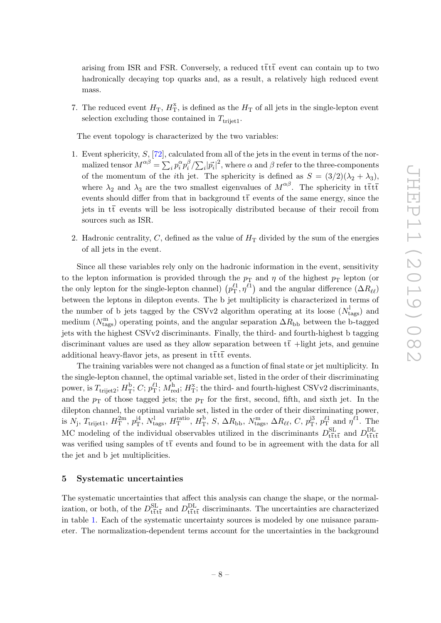arising from ISR and FSR. Conversely, a reduced  $\mathrm{t\bar{t}t\bar{t}}$  event can contain up to two hadronically decaying top quarks and, as a result, a relatively high reduced event mass.

7. The reduced event  $H_T$ ,  $H_T^{\rm x}$ , is defined as the  $H_T$  of all jets in the single-lepton event selection excluding those contained in  $T_{\text{trilet1}}$ .

The event topology is characterized by the two variables:

- 1. Event sphericity,  $S$ ,  $[72]$ , calculated from all of the jets in the event in terms of the normalized tensor  $M^{\alpha\beta} = \sum_i p_i^{\alpha} p_i^{\beta}$  $\frac{\beta}{i} / {\sum_i} |\vec{p_i}|^2$ , where  $\alpha$  and  $\beta$  refer to the three-components of the momentum of the *i*th jet. The sphericity is defined as  $S = (3/2)(\lambda_2 + \lambda_3)$ , where  $\lambda_2$  and  $\lambda_3$  are the two smallest eigenvalues of  $M^{\alpha\beta}$ . The sphericity in tttt events should differ from that in background  $t\bar{t}$  events of the same energy, since the jets in  $t\bar{t}$  events will be less isotropically distributed because of their recoil from sources such as ISR.
- 2. Hadronic centrality, C, defined as the value of  $H<sub>T</sub>$  divided by the sum of the energies of all jets in the event.

Since all these variables rely only on the hadronic information in the event, sensitivity to the lepton information is provided through the  $p_T$  and  $\eta$  of the highest  $p_T$  lepton (or the only lepton for the single-lepton channel)  $(p_T^{\ell_1}, \eta^{\ell_1})$  and the angular difference  $(\Delta R_{\ell\ell})$ between the leptons in dilepton events. The b jet multiplicity is characterized in terms of the number of b jets tagged by the CSVv2 algorithm operating at its loose  $(N_{\text{tags}}^{\text{l}})$  and medium ( $N_{\rm tags}^{\rm m}$ ) operating points, and the angular separation  $\Delta R_{\rm bb}$  between the b-tagged jets with the highest CSVv2 discriminants. Finally, the third- and fourth-highest b tagging discriminant values are used as they allow separation between  $t\bar{t}$  +light jets, and genuine additional heavy-flavor jets, as present in  $\mathrm{t}\overline{\mathrm{t}}\mathrm{t}\overline{\mathrm{t}}$  events.

The training variables were not changed as a function of final state or jet multiplicity. In the single-lepton channel, the optimal variable set, listed in the order of their discriminating power, is  $T_{\rm trijet2};\,H_{\rm T}^{\rm b}$  $\mathcal{T}_{\rm T}^{\rm b};$  C;  $p_{\rm T}^{\ell 1};$   $M_{\rm red}^{\rm h};$   $H_{\rm T}^{\rm x}$ ; the third- and fourth-highest CSVv2 discriminants, and the  $p_T$  of those tagged jets; the  $p_T$  for the first, second, fifth, and sixth jet. In the dilepton channel, the optimal variable set, listed in the order of their discriminating power, is  $N_{\rm j}$ ,  $T_{\rm triplet1}$ ,  $H_{\rm T}^{2{\rm m}}$ ,  $p_{\rm T}^{\rm j4}$  $J_{\rm T}^{\rm j4}$ ,  $N_{\rm tags}^{\rm l}$ ,  $H_{\rm T}^{\rm ratio}$ ,  $H_{\rm T}^{\rm b}$  $T_{\rm T}^{\rm b},\,S,\,\Delta R_{\rm bb},\,N_{\rm tags}^{\rm m},\,\Delta R_{\ell\ell},\,C,\,p_{\rm T}^{\rm j3}$  $j_{\rm T}^3$ ,  $p_{\rm T}^{\ell 1}$  and  $\eta^{\ell 1}$ . The MC modeling of the individual observables utilized in the discriminants  $D_{\text{t\bar{t}}}^{\text{SL}}$  $\frac{\text{SL}}{\text{t\bar{t}}\text{t\bar{t}}}$  and  $D_{\text{t\bar{t}}\text{t}}^{\text{DL}}$  $t\bar{t}$ was verified using samples of  $t\bar{t}$  events and found to be in agreement with the data for all the jet and b jet multiplicities.

### <span id="page-8-0"></span>5 Systematic uncertainties

The systematic uncertainties that affect this analysis can change the shape, or the normalization, or both, of the  $D_{\tilde{\text{t}}\tilde{\text{t}}}^{\text{SL}}$  $\frac{\text{SL}}{\text{t\bar{t}}\text{t\bar{t}}}$  and  $D_{\text{t\bar{t}}\text{t}}^{\text{DL}}$  $\frac{\text{DL}}{\text{t}\bar{\text{t}}\bar{\text{t}}\bar{\text{t}}}$  discriminants. The uncertainties are characterized in table [1.](#page-12-1) Each of the systematic uncertainty sources is modeled by one nuisance parameter. The normalization-dependent terms account for the uncertainties in the background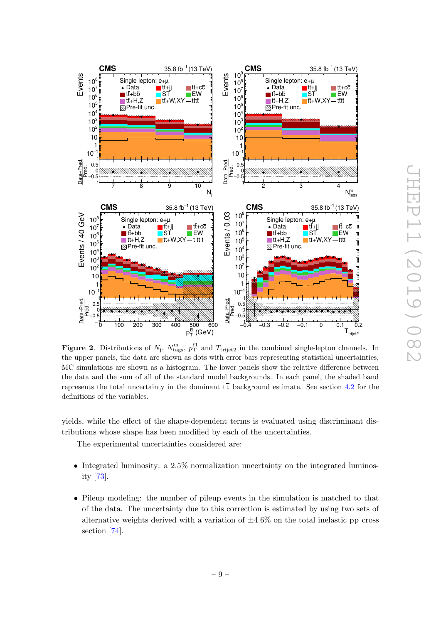

<span id="page-9-0"></span>**Figure 2.** Distributions of  $N_j$ ,  $N_{\text{tags}}^{\text{m}}$ ,  $p_T^{\ell_1}$  and  $T_{\text{tripet2}}$  in the combined single-lepton channels. In the upper panels, the data are shown as dots with error bars representing statistical uncertainties, MC simulations are shown as a histogram. The lower panels show the relative difference between the data and the sum of all of the standard model backgrounds. In each panel, the shaded band represents the total uncertainty in the dominant  $t\bar{t}$  background estimate. See section [4.2](#page-6-0) for the definitions of the variables.

yields, while the effect of the shape-dependent terms is evaluated using discriminant distributions whose shape has been modified by each of the uncertainties.

The experimental uncertainties considered are:

- Integrated luminosity: a 2.5% normalization uncertainty on the integrated luminosity [\[73\]](#page-31-10).
- Pileup modeling: the number of pileup events in the simulation is matched to that of the data. The uncertainty due to this correction is estimated by using two sets of alternative weights derived with a variation of  $\pm 4.6\%$  on the total inelastic pp cross section [\[74\]](#page-31-11).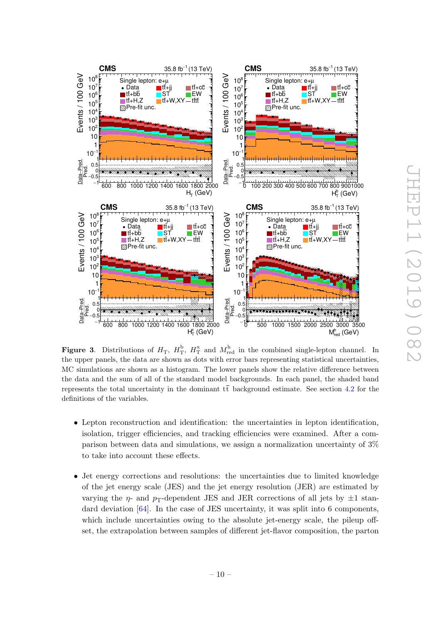

**Figure 3.** Distributions of  $H_T$ ,  $H_T^b$ ,  $H_T^x$  and  $M_{\text{red}}^h$  in the combined single-lepton channel. In the upper panels, the data are shown as dots with error bars representing statistical uncertainties, MC simulations are shown as a histogram. The lower panels show the relative difference between the data and the sum of all of the standard model backgrounds. In each panel, the shaded band represents the total uncertainty in the dominant  $t\bar{t}$  background estimate. See section [4.2](#page-6-0) for the definitions of the variables.

- Lepton reconstruction and identification: the uncertainties in lepton identification, isolation, trigger efficiencies, and tracking efficiencies were examined. After a comparison between data and simulations, we assign a normalization uncertainty of 3% to take into account these effects.
- Jet energy corrections and resolutions: the uncertainties due to limited knowledge of the jet energy scale (JES) and the jet energy resolution (JER) are estimated by varying the  $\eta$ - and  $p_T$ -dependent JES and JER corrections of all jets by  $\pm 1$  standard deviation  $[64]$ . In the case of JES uncertainty, it was split into 6 components, which include uncertainties owing to the absolute jet-energy scale, the pileup offset, the extrapolation between samples of different jet-flavor composition, the parton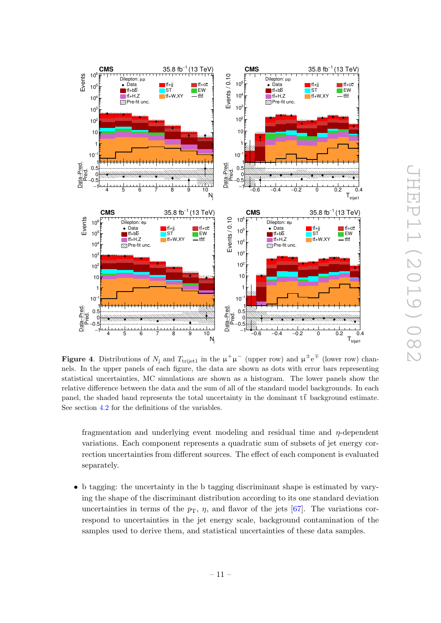

**Figure 4.** Distributions of  $N_j$  and  $T_{\text{triplet1}}$  in the  $\mu^+\mu^-$  (upper row) and  $\mu^{\pm}e^{\mp}$  (lower row) channels. In the upper panels of each figure, the data are shown as dots with error bars representing statistical uncertainties, MC simulations are shown as a histogram. The lower panels show the relative difference between the data and the sum of all of the standard model backgrounds. In each panel, the shaded band represents the total uncertainty in the dominant  $t\bar{t}$  background estimate. See section [4.2](#page-6-0) for the definitions of the variables.

fragmentation and underlying event modeling and residual time and  $\eta$ -dependent variations. Each component represents a quadratic sum of subsets of jet energy correction uncertainties from different sources. The effect of each component is evaluated separately.

• b tagging: the uncertainty in the b tagging discriminant shape is estimated by varying the shape of the discriminant distribution according to its one standard deviation uncertainties in terms of the  $p_T$ ,  $\eta$ , and flavor of the jets [\[67\]](#page-31-4). The variations correspond to uncertainties in the jet energy scale, background contamination of the samples used to derive them, and statistical uncertainties of these data samples.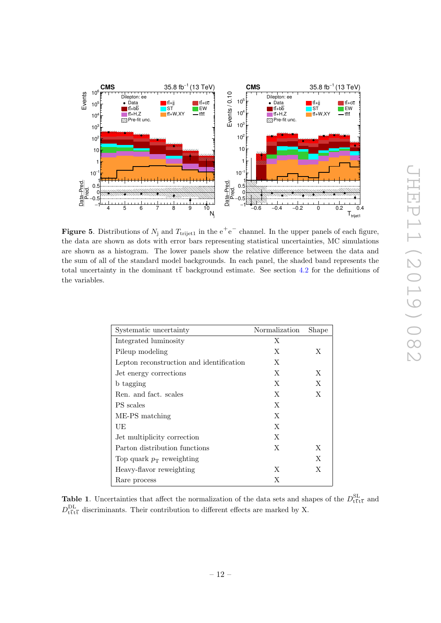

<span id="page-12-0"></span>**Figure 5**. Distributions of  $N_j$  and  $T_{\text{tripet1}}$  in the  $e^+e^-$  channel. In the upper panels of each figure, the data are shown as dots with error bars representing statistical uncertainties, MC simulations are shown as a histogram. The lower panels show the relative difference between the data and the sum of all of the standard model backgrounds. In each panel, the shaded band represents the total uncertainty in the dominant  $t\bar{t}$  background estimate. See section [4.2](#page-6-0) for the definitions of the variables.

| Systematic uncertainty                   | Normalization | Shape |
|------------------------------------------|---------------|-------|
| Integrated luminosity                    | X             |       |
| Pileup modeling                          | X             | X     |
| Lepton reconstruction and identification | X             |       |
| Jet energy corrections                   | X             | X     |
| b tagging                                | X             | X     |
| Ren. and fact. scales                    | X             | X     |
| PS scales                                | X             |       |
| ME-PS matching                           | X             |       |
| UE                                       | X             |       |
| Jet multiplicity correction              | X             |       |
| Parton distribution functions            | X             | X     |
| Top quark $p_T$ reweighting              |               | X     |
| Heavy-flavor reweighting                 | X             | X     |
| Rare process                             | Х             |       |

<span id="page-12-1"></span>**Table 1**. Uncertainties that affect the normalization of the data sets and shapes of the  $D_{\text{t\bar{t}t\bar{t}}}^{\text{SL}}$  and  $D_{\text{t\bar{t}t\bar{t}}}^{\text{DL}}$  discriminants. Their contribution to different effects are marked by X.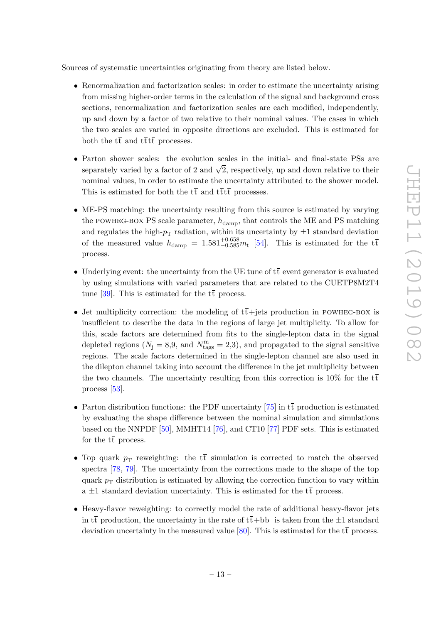Sources of systematic uncertainties originating from theory are listed below.

- Renormalization and factorization scales: in order to estimate the uncertainty arising from missing higher-order terms in the calculation of the signal and background cross sections, renormalization and factorization scales are each modified, independently, up and down by a factor of two relative to their nominal values. The cases in which the two scales are varied in opposite directions are excluded. This is estimated for both the  $t\bar{t}$  and  $t\bar{t}t\bar{t}$  processes.
- Parton shower scales: the evolution scales in the initial- and final-state PSs are separately varied by a factor of 2 and  $\sqrt{2}$ , respectively, up and down relative to their nominal values, in order to estimate the uncertainty attributed to the shower model. This is estimated for both the  $t\bar{t}$  and  $t\bar{t}t\bar{t}$  processes.
- ME-PS matching: the uncertainty resulting from this source is estimated by varying the POWHEG-BOX PS scale parameter,  $h_{\text{damp}}$ , that controls the ME and PS matching and regulates the high- $p_T$  radiation, within its uncertainty by  $\pm 1$  standard deviation of the measured value  $h_{\text{damp}} = 1.581_{-0.585}^{+0.658}m_{t}$  [\[54\]](#page-30-9). This is estimated for the  $t\bar{t}$ process.
- Underlying event: the uncertainty from the UE tune of  $t\bar{t}$  event generator is evaluated by using simulations with varied parameters that are related to the CUETP8M2T4 tune [\[39\]](#page-29-4). This is estimated for the  $t\bar{t}$  process.
- Jet multiplicity correction: the modeling of  $t\bar{t}$ +jets production in POWHEG-BOX is insufficient to describe the data in the regions of large jet multiplicity. To allow for this, scale factors are determined from fits to the single-lepton data in the signal depleted regions ( $N_j = 8.9$ , and  $N_{\text{tags}}^{\text{m}} = 2.3$ ), and propagated to the signal sensitive regions. The scale factors determined in the single-lepton channel are also used in the dilepton channel taking into account the difference in the jet multiplicity between the two channels. The uncertainty resulting from this correction is 10% for the  $t\bar{t}$ process [\[53\]](#page-30-8).
- Parton distribution functions: the PDF uncertainty [\[75\]](#page-31-12) in  $t\bar{t}$  production is estimated by evaluating the shape difference between the nominal simulation and simulations based on the NNPDF [\[50\]](#page-30-5), MMHT14 [\[76\]](#page-31-13), and CT10 [\[77\]](#page-31-14) PDF sets. This is estimated for the  $t\bar{t}$  process.
- Top quark  $p_T$  reweighting: the  $t\bar{t}$  simulation is corrected to match the observed spectra [\[78,](#page-31-15) [79\]](#page-31-16). The uncertainty from the corrections made to the shape of the top quark  $p<sub>T</sub>$  distribution is estimated by allowing the correction function to vary within a  $\pm 1$  standard deviation uncertainty. This is estimated for the  $t\bar{t}$  process.
- Heavy-flavor reweighting: to correctly model the rate of additional heavy-flavor jets in  $t\bar{t}$  production, the uncertainty in the rate of  $t\bar{t}+b\bar{b}$  is taken from the  $\pm 1$  standard deviation uncertainty in the measured value [\[80\]](#page-31-17). This is estimated for the  $t\bar{t}$  process.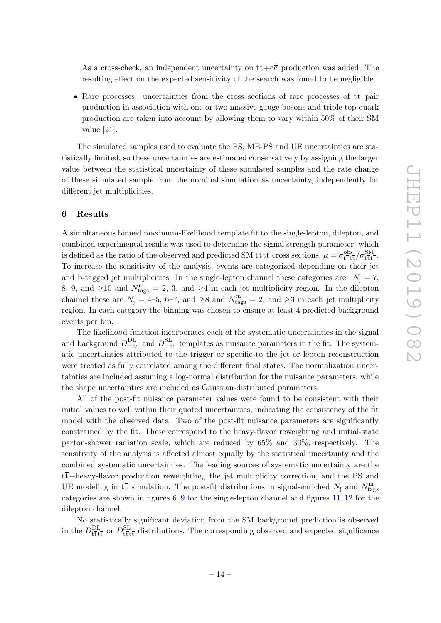As a cross-check, an independent uncertainty on  $t\bar{t}+c\bar{c}$  production was added. The resulting effect on the expected sensitivity of the search was found to be negligible.

• Rare processes: uncertainties from the cross sections of rare processes of  $t\bar{t}$  pair production in association with one or two massive gauge bosons and triple top quark production are taken into account by allowing them to vary within 50% of their SM value [\[21\]](#page-28-8).

The simulated samples used to evaluate the PS, ME-PS and UE uncertainties are statistically limited, so these uncertainties are estimated conservatively by assigning the larger value between the statistical uncertainty of these simulated samples and the rate change of these simulated sample from the nominal simulation as uncertainty, independently for different jet multiplicities.

## <span id="page-14-0"></span>6 Results

A simultaneous binned maximum-likelihood template fit to the single-lepton, dilepton, and combined experimental results was used to determine the signal strength parameter, which is defined as the ratio of the observed and predicted SM  $\mathrm{t\bar{t}t\bar{t}}$  cross sections,  $\mu = \sigma_{\mathrm{t\bar{t}t}}^{\mathrm{obs}}$  $\frac{\text{obs}}{\text{t\bar{t}}\text{t\bar{t}}}$ / $\sigma_{\text{t\bar{t}}\text{t\bar{t}}}^{\text{SM}}$ . To increase the sensitivity of the analysis, events are categorized depending on their jet and b-tagged jet multiplicities. In the single-lepton channel these categories are:  $N_i = 7$ , 8, 9, and  $\geq$ 10 and  $N_{\text{tags}}^{\text{m}} = 2$ , 3, and  $\geq$ 4 in each jet multiplicity region. In the dilepton channel these are  $N_j = 4-5, 6-7,$  and  $\geq 8$  and  $N_{\text{tags}}^{\text{m}} = 2$ , and  $\geq 3$  in each jet multiplicity region. In each category the binning was chosen to ensure at least 4 predicted background events per bin.

The likelihood function incorporates each of the systematic uncertainties in the signal and background  $D_{\text{t\bar{t},t}}^{\text{DL}}$  $\frac{\text{DL}}{\text{t\bar{t}}\text{t\bar{t}}}$  and  $D_{\text{t\bar{t}}\text{t}}^{\text{SL}}$  $t_{\text{t}}^{\text{SL}}$  templates as nuisance parameters in the fit. The systematic uncertainties attributed to the trigger or specific to the jet or lepton reconstruction were treated as fully correlated among the different final states. The normalization uncertainties are included assuming a log-normal distribution for the nuisance parameters, while the shape uncertainties are included as Gaussian-distributed parameters.

All of the post-fit nuisance parameter values were found to be consistent with their initial values to well within their quoted uncertainties, indicating the consistency of the fit model with the observed data. Two of the post-fit nuisance parameters are significantly constrained by the fit. These correspond to the heavy-flavor reweighting and initial-state parton-shower radiation scale, which are reduced by 65% and 30%, respectively. The sensitivity of the analysis is affected almost equally by the statistical uncertainty and the combined systematic uncertainties. The leading sources of systematic uncertainty are the  $t\bar{t}$ +heavy-flavor production reweighting, the jet multiplicity correction, and the PS and UE modeling in  $t\bar{t}$  simulation. The post-fit distributions in signal-enriched  $N_j$  and  $N_{\text{tags}}^{\text{m}}$ categories are shown in figures  $6-9$  $6-9$  for the single-lepton channel and figures  $11-12$  $11-12$  for the dilepton channel.

No statistically significant deviation from the SM background prediction is observed in the  $D_{\text{t\bar{t}t}}^{\text{DL}}$  $\frac{\text{DL}}{\text{t\bar{t}}\text{t\bar{t}}}$  or  $D_{\text{t\bar{t}}\text{t}}^{\text{SL}}$  $\frac{SL}{\text{t\bar{t}}\cdot\text{t}}$  distributions. The corresponding observed and expected significance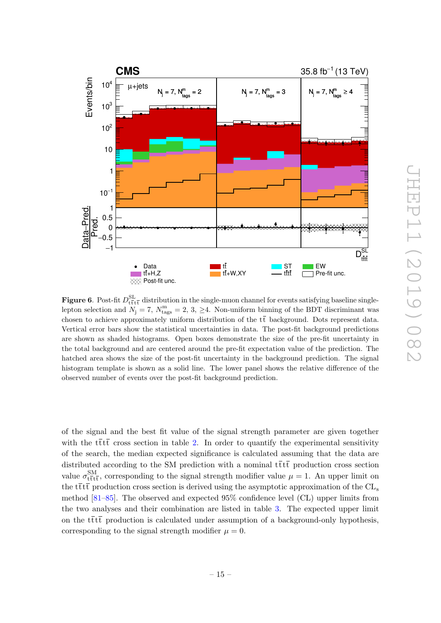

<span id="page-15-0"></span>**Figure 6**. Post-fit  $D_{\text{t\bar{t}t\bar{t}}}^{\text{SL}}$  distribution in the single-muon channel for events satisfying baseline singlelepton selection and  $N_j = 7$ ,  $N_{\text{tags}}^{\text{m}} = 2, 3, \geq 4$ . Non-uniform binning of the BDT discriminant was chosen to achieve approximately uniform distribution of the  $t\bar{t}$  background. Dots represent data. Vertical error bars show the statistical uncertainties in data. The post-fit background predictions are shown as shaded histograms. Open boxes demonstrate the size of the pre-fit uncertainty in the total background and are centered around the pre-fit expectation value of the prediction. The hatched area shows the size of the post-fit uncertainty in the background prediction. The signal histogram template is shown as a solid line. The lower panel shows the relative difference of the observed number of events over the post-fit background prediction.

of the signal and the best fit value of the signal strength parameter are given together with the  $\mathrm{t}\overline{\mathrm{t}}\,\mathrm{t}\overline{\mathrm{t}}$  cross section in table [2.](#page-22-1) In order to quantify the experimental sensitivity of the search, the median expected significance is calculated assuming that the data are distributed according to the SM prediction with a nominal  $\mathrm{t\bar{t}t\bar{t}}$  production cross section value  $\sigma_{\text{t\bar{t}t}}^{\text{SM}}$  $t_{\text{t}}^{\text{SM}}$ , corresponding to the signal strength modifier value  $\mu = 1$ . An upper limit on the test production cross section is derived using the asymptotic approximation of the  $CL_s$ method [\[81–](#page-31-18)[85\]](#page-32-0). The observed and expected 95% confidence level (CL) upper limits from the two analyses and their combination are listed in table [3.](#page-22-2) The expected upper limit on the  $\mathrm{t\bar{t}\bar{t}\bar{t}}$  production is calculated under assumption of a background-only hypothesis, corresponding to the signal strength modifier  $\mu = 0$ .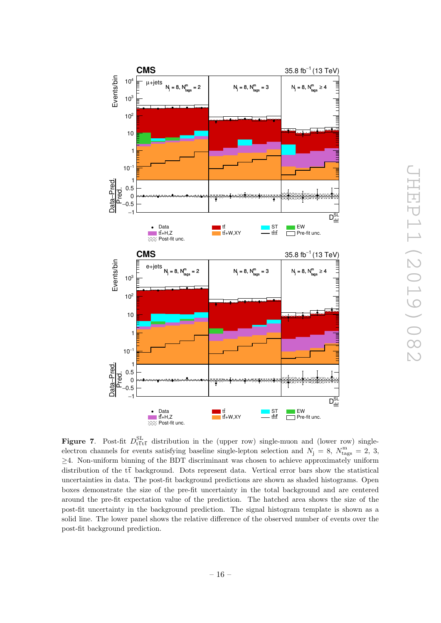

**Figure 7.** Post-fit  $D_{\text{t}\bar{\text{t}}\bar{\text{t}}}^{\text{SL}}$  distribution in the (upper row) single-muon and (lower row) singleelectron channels for events satisfying baseline single-lepton selection and  $N_j = 8$ ,  $N_{\text{tags}}^{\text{m}} = 2$ , 3,  $\geq$ 4. Non-uniform binning of the BDT discriminant was chosen to achieve approximately uniform distribution of the  $t\bar{t}$  background. Dots represent data. Vertical error bars show the statistical uncertainties in data. The post-fit background predictions are shown as shaded histograms. Open boxes demonstrate the size of the pre-fit uncertainty in the total background and are centered around the pre-fit expectation value of the prediction. The hatched area shows the size of the post-fit uncertainty in the background prediction. The signal histogram template is shown as a solid line. The lower panel shows the relative difference of the observed number of events over the post-fit background prediction.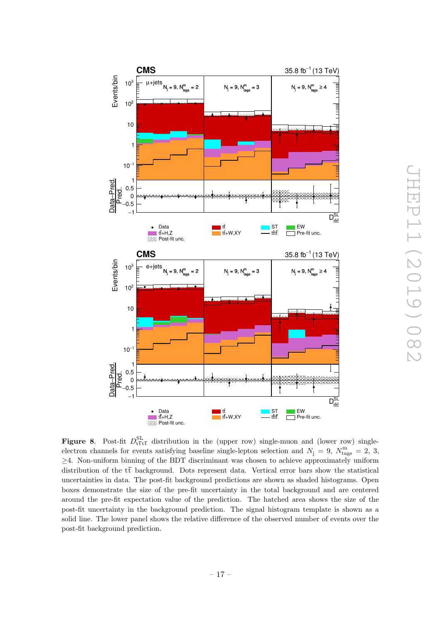

**Figure 8.** Post-fit  $D_{\text{t\bar{t}t\bar{t}}}^{\text{SL}}$  distribution in the (upper row) single-muon and (lower row) singleelectron channels for events satisfying baseline single-lepton selection and  $N_j = 9$ ,  $N_{\text{tags}}^{\text{m}} = 2$ , 3,  $\geq$ 4. Non-uniform binning of the BDT discriminant was chosen to achieve approximately uniform distribution of the  $t\bar{t}$  background. Dots represent data. Vertical error bars show the statistical uncertainties in data. The post-fit background predictions are shown as shaded histograms. Open boxes demonstrate the size of the pre-fit uncertainty in the total background and are centered around the pre-fit expectation value of the prediction. The hatched area shows the size of the post-fit uncertainty in the background prediction. The signal histogram template is shown as a solid line. The lower panel shows the relative difference of the observed number of events over the post-fit background prediction.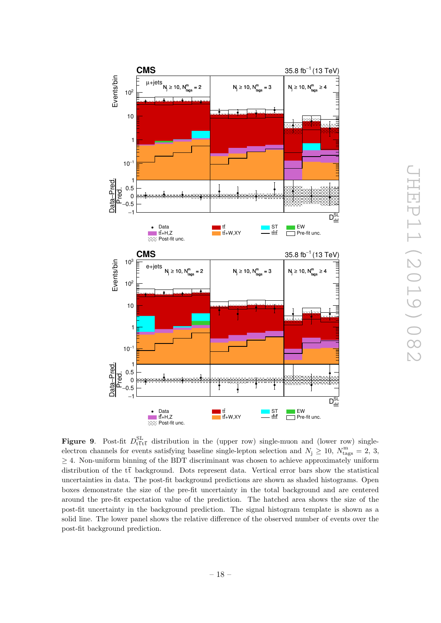

<span id="page-18-0"></span>**Figure 9.** Post-fit  $D_{\text{t}\bar{\text{t}}\bar{\text{t}}}^{\text{SL}}$  distribution in the (upper row) single-muon and (lower row) singleelectron channels for events satisfying baseline single-lepton selection and  $N_j \ge 10$ ,  $N_{\text{tags}}^{\text{m}} = 2$ , 3,  $\geq$  4. Non-uniform binning of the BDT discriminant was chosen to achieve approximately uniform distribution of the  $t\bar{t}$  background. Dots represent data. Vertical error bars show the statistical uncertainties in data. The post-fit background predictions are shown as shaded histograms. Open boxes demonstrate the size of the pre-fit uncertainty in the total background and are centered around the pre-fit expectation value of the prediction. The hatched area shows the size of the post-fit uncertainty in the background prediction. The signal histogram template is shown as a solid line. The lower panel shows the relative difference of the observed number of events over the post-fit background prediction.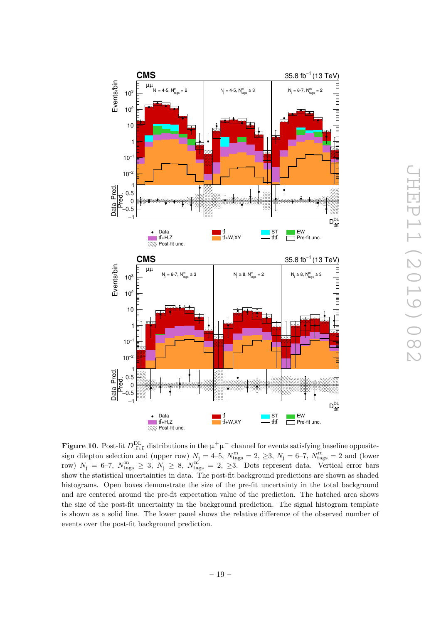

**Figure 10**. Post-fit  $D_{\text{t}\bar{\text{t}}\text{t}\bar{\text{t}}}^{\text{DL}}$  distributions in the  $\mu^+\mu^-$  channel for events satisfying baseline oppositesign dilepton selection and (upper row)  $N_j = 4-5$ ,  $N_{\text{tags}}^{\text{m}} = 2$ ,  $\geq$ 3,  $N_j = 6-7$ ,  $N_{\text{tags}}^{\text{m}} = 2$  and (lower row)  $N_j = 6-7$ ,  $N_{\text{tags}}^{\text{m}} \geq 3$ ,  $N_j \geq 8$ ,  $N_{\text{tags}}^{\text{m}} = 2$ ,  $\geq 3$ . Dots represent data. Vertical error bars show the statistical uncertainties in data. The post-fit background predictions are shown as shaded histograms. Open boxes demonstrate the size of the pre-fit uncertainty in the total background and are centered around the pre-fit expectation value of the prediction. The hatched area shows the size of the post-fit uncertainty in the background prediction. The signal histogram template is shown as a solid line. The lower panel shows the relative difference of the observed number of events over the post-fit background prediction.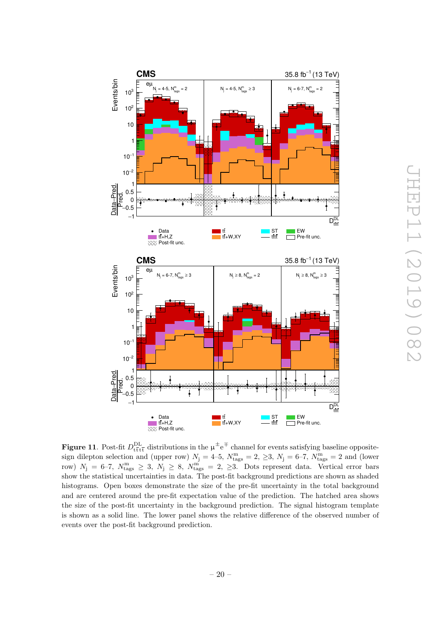

<span id="page-20-0"></span>**Figure 11**. Post-fit  $D_{\text{t}\bar{\text{t}}\text{t}\bar{\text{t}}}^{\text{DL}}$  distributions in the  $\mu^{\pm}e^{\mp}$  channel for events satisfying baseline oppositesign dilepton selection and (upper row)  $N_j = 4-5$ ,  $N_{\text{tags}}^{\text{m}} = 2$ ,  $\geq$ 3,  $N_j = 6-7$ ,  $N_{\text{tags}}^{\text{m}} = 2$  and (lower row)  $N_j = 6-7$ ,  $N_{\text{tags}}^{\text{m}} \geq 3$ ,  $N_j \geq 8$ ,  $N_{\text{tags}}^{\text{m}} = 2$ ,  $\geq 3$ . Dots represent data. Vertical error bars show the statistical uncertainties in data. The post-fit background predictions are shown as shaded histograms. Open boxes demonstrate the size of the pre-fit uncertainty in the total background and are centered around the pre-fit expectation value of the prediction. The hatched area shows the size of the post-fit uncertainty in the background prediction. The signal histogram template is shown as a solid line. The lower panel shows the relative difference of the observed number of events over the post-fit background prediction.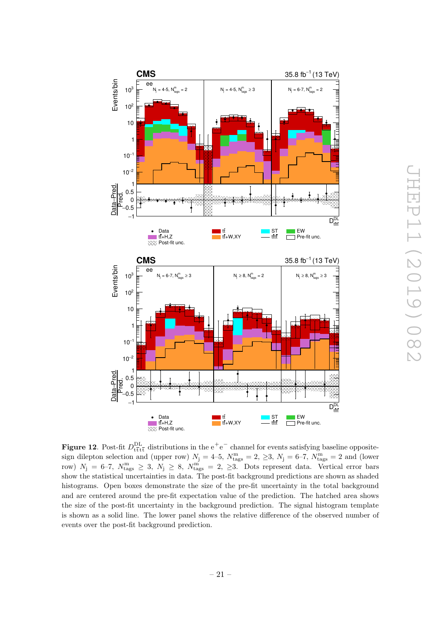

<span id="page-21-0"></span>**Figure 12**. Post-fit  $D_{\text{t}\bar{\text{t}}\text{t}\bar{\text{t}}}^{\text{DL}}$  distributions in the  $e^+e^-$  channel for events satisfying baseline oppositesign dilepton selection and (upper row)  $N_j = 4-5$ ,  $N_{\text{tags}}^{\text{m}} = 2$ ,  $\geq$ 3,  $N_j = 6-7$ ,  $N_{\text{tags}}^{\text{m}} = 2$  and (lower row)  $N_j = 6-7$ ,  $N_{\text{tags}}^{\text{m}} \geq 3$ ,  $N_j \geq 8$ ,  $N_{\text{tags}}^{\text{m}} = 2$ ,  $\geq 3$ . Dots represent data. Vertical error bars show the statistical uncertainties in data. The post-fit background predictions are shown as shaded histograms. Open boxes demonstrate the size of the pre-fit uncertainty in the total background and are centered around the pre-fit expectation value of the prediction. The hatched area shows the size of the post-fit uncertainty in the background prediction. The signal histogram template is shown as a solid line. The lower panel shows the relative difference of the observed number of events over the post-fit background prediction.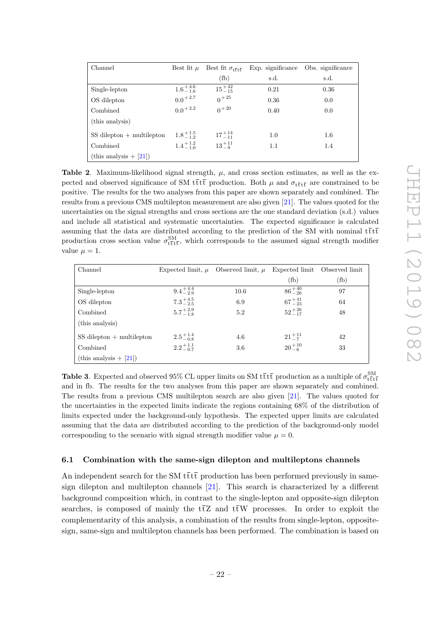| Channel                       | Best fit $\mu$      | Best fit $\sigma_{\text{t\bar{t}t\bar{t}}}$ | Exp. significance | Obs. significance |
|-------------------------------|---------------------|---------------------------------------------|-------------------|-------------------|
|                               |                     | (f <sub>b</sub> )                           | s.d.              | s.d.              |
| Single-lepton                 | $1.6^{+4.6}_{-1.6}$ | $15 + \frac{42}{15}$                        | 0.21              | 0.36              |
| OS dilepton                   | $0.0 + 2.7$         | $0^{+25}$                                   | 0.36              | 0.0               |
| Combined                      | $0.0^{+2.2}$        | $0^{+20}$                                   | 0.40              | 0.0               |
| (this analysis)               |                     |                                             |                   |                   |
| $SS$ dilepton $+$ multilepton | $1.8^{+1.5}_{-1.2}$ | $17^{+14}_{-11}$                            | 1.0               | $1.6\,$           |
| Combined                      | $1.4^{+1.2}_{-1.0}$ | $13^{+11}_{-0}$                             | 1.1               | 1.4               |
| (this analysis $+$ [21])      |                     |                                             |                   |                   |

<span id="page-22-1"></span>Table 2. Maximum-likelihood signal strength,  $\mu$ , and cross section estimates, as well as the expected and observed significance of SM  $\text{t}\overline{\text{t}}\text{t}\overline{\text{t}}$  production. Both  $\mu$  and  $\sigma_{\text{t}\overline{\text{t}}\text{t}\overline{\text{t}}}$  are constrained to be positive. The results for the two analyses from this paper are shown separately and combined. The results from a previous CMS multilepton measurement are also given [\[21\]](#page-28-8). The values quoted for the uncertainties on the signal strengths and cross sections are the one standard deviation (s.d.) values and include all statistical and systematic uncertainties. The expected significance is calculated assuming that the data are distributed according to the prediction of the SM with nominal  $\mathrm{t}\,\mathrm{t}\,\mathrm{t}\,\mathrm{t}$ production cross section value  $\sigma_{\text{t\bar{t}t\bar{t}}}^{\text{SM}}$ , which corresponds to the assumed signal strength modifier value  $\mu = 1$ .

| Channel                       |                     | Expected limit, $\mu$ Observed limit, $\mu$ Expected limit |                   | Observed limit |
|-------------------------------|---------------------|------------------------------------------------------------|-------------------|----------------|
|                               |                     |                                                            | (f <sub>b</sub> ) | (fb)           |
| Single-lepton                 | $9.4_{-2.9}^{+4.4}$ | 10.6                                                       | $86^{+40}_{-26}$  | 97             |
| OS dilepton                   | $7.3^{+4.5}_{-2.5}$ | 6.9                                                        | $67^{+41}_{-23}$  | 64             |
| Combined                      | $5.7^{+2.9}_{-1.8}$ | 5.2                                                        | $52^{+26}_{-17}$  | 48             |
| (this analysis)               |                     |                                                            |                   |                |
| $SS$ dilepton $+$ multilepton | $2.5^{+1.4}_{-0.8}$ | 4.6                                                        | $21\frac{+11}{7}$ | 42             |
| Combined                      | $2.2_{-0.7}^{+1.1}$ | 3.6                                                        | $20^{+10}_{-6}$   | 33             |
| (this analysis $+$ [21])      |                     |                                                            |                   |                |

<span id="page-22-2"></span>**Table 3**. Expected and observed 95% CL upper limits on SM  $\text{t}\bar{\text{t}}\bar{\text{t}}\bar{\text{t}}$  production as a multiple of  $\sigma_{\text{t}\bar{\text{t}}\bar{\text{t}}\bar{\text{t}}}^{\text{SM}}$ and in fb. The results for the two analyses from this paper are shown separately and combined. The results from a previous CMS multilepton search are also given [\[21\]](#page-28-8). The values quoted for the uncertainties in the expected limits indicate the regions containing 68% of the distribution of limits expected under the background-only hypothesis. The expected upper limits are calculated assuming that the data are distributed according to the prediction of the background-only model corresponding to the scenario with signal strength modifier value  $\mu = 0$ .

### <span id="page-22-0"></span>6.1 Combination with the same-sign dilepton and multileptons channels

An independent search for the SM  $t\bar{t}t\bar{t}$  production has been performed previously in samesign dilepton and multilepton channels [\[21\]](#page-28-8). This search is characterized by a different background composition which, in contrast to the single-lepton and opposite-sign dilepton searches, is composed of mainly the  $t\bar{t}Z$  and  $t\bar{t}W$  processes. In order to exploit the complementarity of this analysis, a combination of the results from single-lepton, oppositesign, same-sign and multilepton channels has been performed. The combination is based on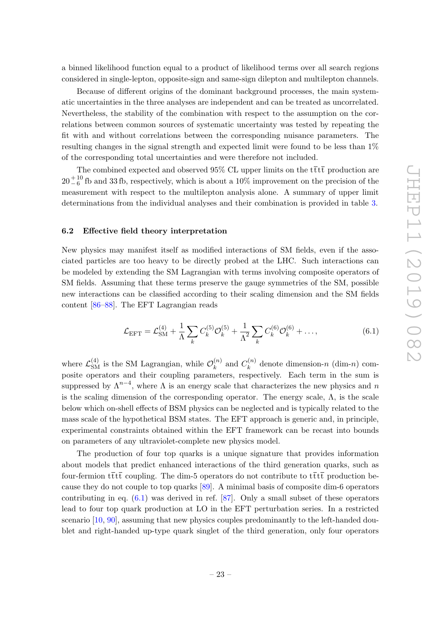a binned likelihood function equal to a product of likelihood terms over all search regions considered in single-lepton, opposite-sign and same-sign dilepton and multilepton channels.

Because of different origins of the dominant background processes, the main systematic uncertainties in the three analyses are independent and can be treated as uncorrelated. Nevertheless, the stability of the combination with respect to the assumption on the correlations between common sources of systematic uncertainty was tested by repeating the fit with and without correlations between the corresponding nuisance parameters. The resulting changes in the signal strength and expected limit were found to be less than 1% of the corresponding total uncertainties and were therefore not included.

The combined expected and observed 95% CL upper limits on the  $\mathrm{t\bar{t}t\bar{t}}$  production are  $20^{+10}_{-6}$  fb and 33 fb, respectively, which is about a 10% improvement on the precision of the measurement with respect to the multilepton analysis alone. A summary of upper limit determinations from the individual analyses and their combination is provided in table [3.](#page-22-2)

#### <span id="page-23-0"></span>6.2 Effective field theory interpretation

New physics may manifest itself as modified interactions of SM fields, even if the associated particles are too heavy to be directly probed at the LHC. Such interactions can be modeled by extending the SM Lagrangian with terms involving composite operators of SM fields. Assuming that these terms preserve the gauge symmetries of the SM, possible new interactions can be classified according to their scaling dimension and the SM fields content [\[86–](#page-32-1)[88\]](#page-32-2). The EFT Lagrangian reads

<span id="page-23-1"></span>
$$
\mathcal{L}_{\rm EFT} = \mathcal{L}_{\rm SM}^{(4)} + \frac{1}{\Lambda} \sum_{k} C_k^{(5)} \mathcal{O}_k^{(5)} + \frac{1}{\Lambda^2} \sum_{k} C_k^{(6)} \mathcal{O}_k^{(6)} + \dots,\tag{6.1}
$$

where  $\mathcal{L}^{(4)}_{\text{SM}}$  is the SM Lagrangian, while  $\mathcal{O}_k^{(n)}$  $\binom{n}{k}$  and  $C_k^{(n)}$  $\binom{n}{k}$  denote dimension-n (dim-n) composite operators and their coupling parameters, respectively. Each term in the sum is suppressed by  $\Lambda^{n-4}$ , where  $\Lambda$  is an energy scale that characterizes the new physics and n is the scaling dimension of the corresponding operator. The energy scale,  $\Lambda$ , is the scale below which on-shell effects of BSM physics can be neglected and is typically related to the mass scale of the hypothetical BSM states. The EFT approach is generic and, in principle, experimental constraints obtained within the EFT framework can be recast into bounds on parameters of any ultraviolet-complete new physics model.

The production of four top quarks is a unique signature that provides information about models that predict enhanced interactions of the third generation quarks, such as four-fermion ttest coupling. The dim-5 operators do not contribute to ttest production because they do not couple to top quarks [\[89\]](#page-32-3). A minimal basis of composite dim-6 operators contributing in eq.  $(6.1)$  was derived in ref. [\[87\]](#page-32-4). Only a small subset of these operators lead to four top quark production at LO in the EFT perturbation series. In a restricted scenario [\[10,](#page-27-8) [90\]](#page-32-5), assuming that new physics couples predominantly to the left-handed doublet and right-handed up-type quark singlet of the third generation, only four operators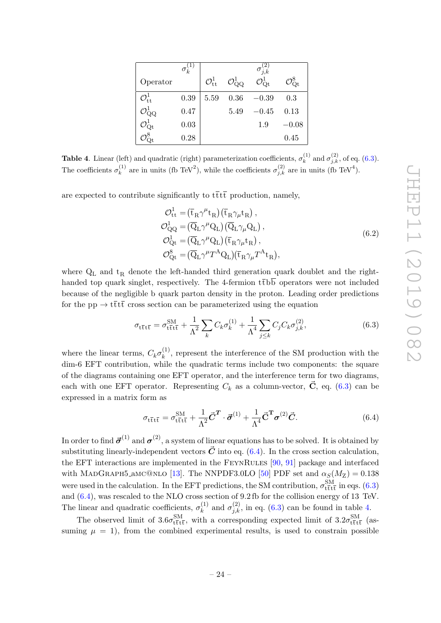|                                                                                                 | $\sigma_k$ |                               |                                 | $\sigma_{j,k}$                  |                               |
|-------------------------------------------------------------------------------------------------|------------|-------------------------------|---------------------------------|---------------------------------|-------------------------------|
| Operator                                                                                        |            | $\mathcal{O}_{\textrm{tt}}^1$ | $\mathcal{O}_{\mathrm{QQ}}^{1}$ | $\mathcal{O}_{\mathrm{Qt}}^{1}$ | $\mathcal{O}_{\mathrm{Qt}}^8$ |
| $\mathcal{O}_{\rm tt}^1$                                                                        | 0.39       | 5.59                          | 0.36                            | $-0.39$                         | 0.3                           |
| $\mathcal{O}_{\mathrm{QQ}}^{1} \ \mathcal{O}_{\mathrm{QL}}^{1} \ \mathcal{O}_{\mathrm{QL}}^{3}$ | 0.47       |                               | 5.49                            | $-0.45$                         | 0.13                          |
|                                                                                                 | 0.03       |                               |                                 | 1.9                             | $-0.08$                       |
|                                                                                                 | 0.28       |                               |                                 |                                 | 0.45                          |

<span id="page-24-2"></span>**Table 4.** Linear (left) and quadratic (right) parameterization coefficients,  $\sigma_k^{(1)}$  $\sigma_{j,k}^{(1)}$  and  $\sigma_{j,k}^{(2)}$ , of eq. [\(6.3\)](#page-24-0). The coefficients  $\sigma_k^{(1)}$  $\kappa_k^{(1)}$  are in units (fb TeV<sup>2</sup>), while the coefficients  $\sigma_{j,k}^{(2)}$  are in units (fb TeV<sup>4</sup>).

are expected to contribute significantly to  $\text{t}\overline{\text{t}}\text{t}\overline{\text{t}}$  production, namely,

$$
\mathcal{O}_{\text{tt}}^1 = (\bar{t}_R \gamma^\mu t_R) (\bar{t}_R \gamma_\mu t_R), \n\mathcal{O}_{\text{QQ}}^1 = (\bar{Q}_L \gamma^\mu Q_L) (\bar{Q}_L \gamma_\mu Q_L), \n\mathcal{O}_{\text{QL}}^1 = (\bar{Q}_L \gamma^\mu Q_L) (\bar{t}_R \gamma_\mu t_R), \n\mathcal{O}_{\text{QL}}^8 = (\bar{Q}_L \gamma^\mu T^A Q_L) (\bar{t}_R \gamma_\mu T^A t_R),
$$
\n(6.2)

where  $Q_L$  and  $t_R$  denote the left-handed third generation quark doublet and the righthanded top quark singlet, respectively. The 4-fermion  $\text{t\bar{t}}b\bar{b}$  operators were not included because of the negligible b quark parton density in the proton. Leading order predictions for the pp  $\rightarrow t\bar{t}t\bar{t}$  cross section can be parameterized using the equation

<span id="page-24-0"></span>
$$
\sigma_{\bar{t}\bar{t}\bar{t}} = \sigma_{\bar{t}\bar{t}\bar{t}\bar{t}}^{\rm SM} + \frac{1}{\Lambda^2} \sum_{k} C_k \sigma_k^{(1)} + \frac{1}{\Lambda^4} \sum_{j \le k} C_j C_k \sigma_{j,k}^{(2)}, \tag{6.3}
$$

where the linear terms,  $C_k \sigma_k^{(1)}$  $\kappa_k^{(1)}$ , represent the interference of the SM production with the dim-6 EFT contribution, while the quadratic terms include two components: the square of the diagrams containing one EFT operator, and the interference term for two diagrams, each with one EFT operator. Representing  $C_k$  as a column-vector,  $\vec{C}$ , eq. [\(6.3\)](#page-24-0) can be expressed in a matrix form as

<span id="page-24-1"></span>
$$
\sigma_{\text{t\bar{t}t\bar{t}}} = \sigma_{\text{t\bar{t}t\bar{t}}}^{\text{SM}} + \frac{1}{\Lambda^2} \vec{C}^T \cdot \vec{\sigma}^{(1)} + \frac{1}{\Lambda^4} \vec{C}^T \sigma^{(2)} \vec{C}.
$$
 (6.4)

In order to find  $\vec{\sigma}^{(1)}$  and  $\sigma^{(2)}$ , a system of linear equations has to be solved. It is obtained by substituting linearly-independent vectors  $\vec{C}$  into eq. [\(6.4\)](#page-24-1). In the cross section calculation, the EFT interactions are implemented in the FEYNRULES [\[90,](#page-32-5) [91\]](#page-32-6) package and interfaced with MADGRAPH5 aMC@NLO [\[13\]](#page-28-1). The NNPDF3.0LO [\[50\]](#page-30-5) PDF set and  $\alpha_S(M_Z) = 0.138$ were used in the calculation. In the EFT predictions, the SM contribution,  $\sigma_{\text{t\bar{t}t}}^{\text{SM}}$  $\frac{\text{SM}}{\text{t} \overline{\text{t}} \text{t}}$  in eqs.  $(6.3)$ and [\(6.4\)](#page-24-1), was rescaled to the NLO cross section of 9.2 fb for the collision energy of 13 TeV. The linear and quadratic coefficients,  $\sigma_k^{(1)}$  $\kappa_k^{(1)}$  and  $\sigma_{j,k}^{(2)}$ , in eq. [\(6.3\)](#page-24-0) can be found in table [4.](#page-24-2)

The observed limit of  $3.6\sigma_{\text{t\bar{t}t}}^{\text{SM}}$  $\frac{\text{SM}}{\text{t} \cdot \text{t} \cdot \text{t}}$ , with a corresponding expected limit of 3.2 $\sigma_{\text{t} \cdot \text{t}}^{\text{SM}}$  $\frac{\rm SM}{\rm t\bar t\bar t\bar t}$  (assuming  $\mu = 1$ , from the combined experimental results, is used to constrain possible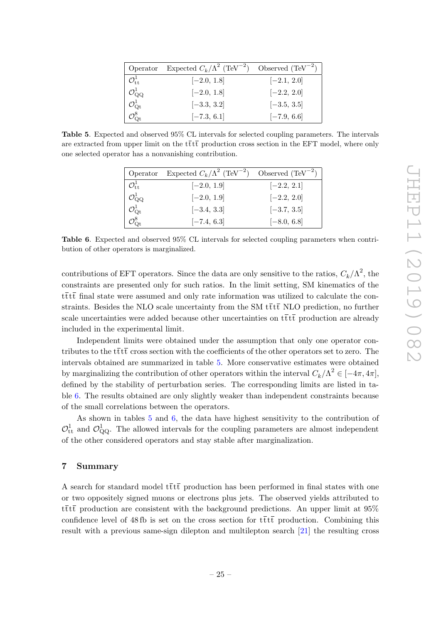| <b>Operator</b>                 | Expected $C_k/\Lambda^2$ (TeV <sup>-2</sup> ) | Observed $(TeV^{-2})$ |
|---------------------------------|-----------------------------------------------|-----------------------|
| $\mathcal{O}_{\textrm{tt}}^1$   | $[-2.0, 1.8]$                                 | $[-2.1, 2.0]$         |
| $\mathcal{O}_{\mathrm{QQ}}^{1}$ | $[-2.0, 1.8]$                                 | $[-2.2, 2.0]$         |
| $\mathcal{O}_{\mathrm{Qt}}^1$   | $[-3.3, 3.2]$                                 | $[-3.5, 3.5]$         |
| $\mathcal{O}^8_{\mathrm{Qt}}$   | $[-7.3, 6.1]$                                 | $[-7.9, 6.6]$         |

<span id="page-25-1"></span>Table 5. Expected and observed 95% CL intervals for selected coupling parameters. The intervals are extracted from upper limit on the  $\text{t}\overline{\text{t}}\text{t}\overline{\text{t}}$  production cross section in the EFT model, where only one selected operator has a nonvanishing contribution.

| Operator                        | Expected $C_k/\Lambda^2$ (TeV <sup>-2</sup> ) | Observed $(TeV^{-2})$ |
|---------------------------------|-----------------------------------------------|-----------------------|
| $\mathcal{O}_{\textrm{tt}}^1$   | $[-2.0, 1.9]$                                 | $[-2.2, 2.1]$         |
| $\mathcal{O}_{\mathrm{QQ}}^{1}$ | $[-2.0, 1.9]$                                 | $[-2.2, 2.0]$         |
| $\mathcal{O}_{\mathrm{Qt}}^1$   | $[-3.4, 3.3]$                                 | $[-3.7, 3.5]$         |
| $\mathcal{O}_{\mathrm{Qt}}^8$   | $[-7.4, 6.3]$                                 | $[-8.0, 6.8]$         |

<span id="page-25-2"></span>Table 6. Expected and observed 95% CL intervals for selected coupling parameters when contribution of other operators is marginalized.

contributions of EFT operators. Since the data are only sensitive to the ratios,  $C_k/\Lambda^2$ , the constraints are presented only for such ratios. In the limit setting, SM kinematics of the  $\mathrm{tr} \overline{\mathrm{tr}}$  final state were assumed and only rate information was utilized to calculate the constraints. Besides the NLO scale uncertainty from the SM  $\text{t}\overline{\text{t}}\text{t}\overline{\text{t}}$  NLO prediction, no further scale uncertainties were added because other uncertainties on  $\mathrm{t}\overline{\mathrm{t}}\,\mathrm{t}\overline{\mathrm{t}}$  production are already included in the experimental limit.

Independent limits were obtained under the assumption that only one operator contributes to the  $\mathrm{t}\overline{\mathrm{t}}\,\mathrm{t}\overline{\mathrm{t}}$  cross section with the coefficients of the other operators set to zero. The intervals obtained are summarized in table [5.](#page-25-1) More conservative estimates were obtained by marginalizing the contribution of other operators within the interval  $C_k/\Lambda^2 \in [-4\pi, 4\pi],$ defined by the stability of perturbation series. The corresponding limits are listed in table [6.](#page-25-2) The results obtained are only slightly weaker than independent constraints because of the small correlations between the operators.

As shown in tables [5](#page-25-1) and [6,](#page-25-2) the data have highest sensitivity to the contribution of  $\mathcal{O}_{\rm tt}^1$  and  $\mathcal{O}_{\rm QQ}^1$ . The allowed intervals for the coupling parameters are almost independent of the other considered operators and stay stable after marginalization.

## <span id="page-25-0"></span>7 Summary

A search for standard model  $\text{t}\overline{\text{t}}\text{t}\overline{\text{t}}$  production has been performed in final states with one or two oppositely signed muons or electrons plus jets. The observed yields attributed to  $t\bar{t}t\bar{t}$  production are consistent with the background predictions. An upper limit at 95% confidence level of 48 fb is set on the cross section for  $\mathrm{t\bar{t}t\bar{t}}$  production. Combining this result with a previous same-sign dilepton and multilepton search [\[21\]](#page-28-8) the resulting cross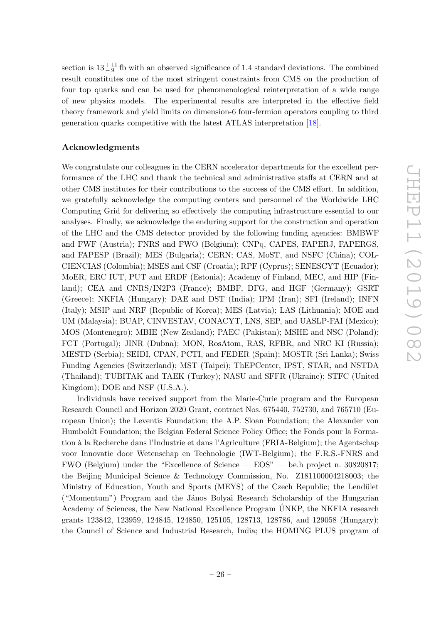section is  $13^{+11}_{-9}$  fb with an observed significance of 1.4 standard deviations. The combined result constitutes one of the most stringent constraints from CMS on the production of four top quarks and can be used for phenomenological reinterpretation of a wide range of new physics models. The experimental results are interpreted in the effective field theory framework and yield limits on dimension-6 four-fermion operators coupling to third generation quarks competitive with the latest ATLAS interpretation [\[18\]](#page-28-5).

### Acknowledgments

We congratulate our colleagues in the CERN accelerator departments for the excellent performance of the LHC and thank the technical and administrative staffs at CERN and at other CMS institutes for their contributions to the success of the CMS effort. In addition, we gratefully acknowledge the computing centers and personnel of the Worldwide LHC Computing Grid for delivering so effectively the computing infrastructure essential to our analyses. Finally, we acknowledge the enduring support for the construction and operation of the LHC and the CMS detector provided by the following funding agencies: BMBWF and FWF (Austria); FNRS and FWO (Belgium); CNPq, CAPES, FAPERJ, FAPERGS, and FAPESP (Brazil); MES (Bulgaria); CERN; CAS, MoST, and NSFC (China); COL-CIENCIAS (Colombia); MSES and CSF (Croatia); RPF (Cyprus); SENESCYT (Ecuador); MoER, ERC IUT, PUT and ERDF (Estonia); Academy of Finland, MEC, and HIP (Finland); CEA and CNRS/IN2P3 (France); BMBF, DFG, and HGF (Germany); GSRT (Greece); NKFIA (Hungary); DAE and DST (India); IPM (Iran); SFI (Ireland); INFN (Italy); MSIP and NRF (Republic of Korea); MES (Latvia); LAS (Lithuania); MOE and UM (Malaysia); BUAP, CINVESTAV, CONACYT, LNS, SEP, and UASLP-FAI (Mexico); MOS (Montenegro); MBIE (New Zealand); PAEC (Pakistan); MSHE and NSC (Poland); FCT (Portugal); JINR (Dubna); MON, RosAtom, RAS, RFBR, and NRC KI (Russia); MESTD (Serbia); SEIDI, CPAN, PCTI, and FEDER (Spain); MOSTR (Sri Lanka); Swiss Funding Agencies (Switzerland); MST (Taipei); ThEPCenter, IPST, STAR, and NSTDA (Thailand); TUBITAK and TAEK (Turkey); NASU and SFFR (Ukraine); STFC (United Kingdom); DOE and NSF (U.S.A.).

Individuals have received support from the Marie-Curie program and the European Research Council and Horizon 2020 Grant, contract Nos. 675440, 752730, and 765710 (European Union); the Leventis Foundation; the A.P. Sloan Foundation; the Alexander von Humboldt Foundation; the Belgian Federal Science Policy Office; the Fonds pour la Formation `a la Recherche dans l'Industrie et dans l'Agriculture (FRIA-Belgium); the Agentschap voor Innovatie door Wetenschap en Technologie (IWT-Belgium); the F.R.S.-FNRS and FWO (Belgium) under the "Excellence of Science — EOS" — be.h project n. 30820817; the Beijing Municipal Science & Technology Commission, No. Z181100004218003; the Ministry of Education, Youth and Sports (MEYS) of the Czech Republic; the Lendület ("Momentum") Program and the J´anos Bolyai Research Scholarship of the Hungarian Academy of Sciences, the New National Excellence Program UNKP, the NKFIA research ´ grants 123842, 123959, 124845, 124850, 125105, 128713, 128786, and 129058 (Hungary); the Council of Science and Industrial Research, India; the HOMING PLUS program of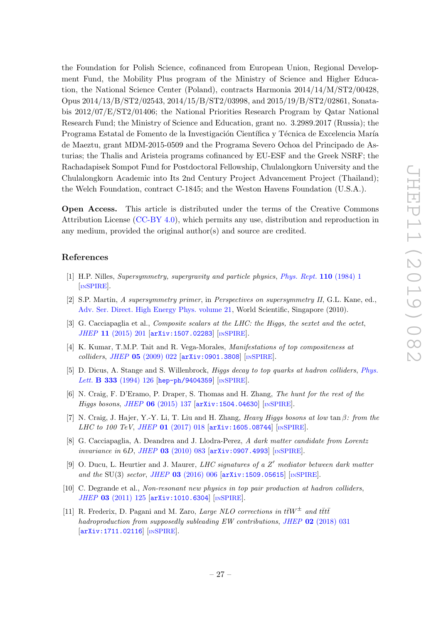the Foundation for Polish Science, cofinanced from European Union, Regional Development Fund, the Mobility Plus program of the Ministry of Science and Higher Education, the National Science Center (Poland), contracts Harmonia 2014/14/M/ST2/00428, Opus 2014/13/B/ST2/02543, 2014/15/B/ST2/03998, and 2015/19/B/ST2/02861, Sonatabis 2012/07/E/ST2/01406; the National Priorities Research Program by Qatar National Research Fund; the Ministry of Science and Education, grant no. 3.2989.2017 (Russia); the Programa Estatal de Fomento de la Investigación Científica y Técnica de Excelencia María de Maeztu, grant MDM-2015-0509 and the Programa Severo Ochoa del Principado de Asturias; the Thalis and Aristeia programs cofinanced by EU-ESF and the Greek NSRF; the Rachadapisek Sompot Fund for Postdoctoral Fellowship, Chulalongkorn University and the Chulalongkorn Academic into Its 2nd Century Project Advancement Project (Thailand); the Welch Foundation, contract C-1845; and the Weston Havens Foundation (U.S.A.).

Open Access. This article is distributed under the terms of the Creative Commons Attribution License [\(CC-BY 4.0\)](https://creativecommons.org/licenses/by/4.0/), which permits any use, distribution and reproduction in any medium, provided the original author(s) and source are credited.

## References

- <span id="page-27-0"></span>[1] H.P. Nilles, Supersymmetry, supergravity and particle physics, [Phys. Rept.](https://doi.org/10.1016/0370-1573(84)90008-5) 110 (1984) 1 [IN[SPIRE](https://inspirehep.net/search?p=find+J+%22Phys.Rep.,110,1%22)].
- <span id="page-27-1"></span>[2] S.P. Martin, A supersymmetry primer, in Perspectives on supersymmetry II, G.L. Kane, ed., [Adv. Ser. Direct. High Energy Phys. volume 21,](http://dx.doi.org/10.1142/9789814307505_0001) World Scientific, Singapore (2010).
- <span id="page-27-2"></span>[3] G. Cacciapaglia et al., Composite scalars at the LHC: the Higgs, the sextet and the octet, JHEP 11 [\(2015\) 201](https://doi.org/10.1007/JHEP11(2015)201) [[arXiv:1507.02283](https://arxiv.org/abs/1507.02283)] [IN[SPIRE](https://inspirehep.net/search?p=find+EPRINT+arXiv:1507.02283)].
- <span id="page-27-3"></span>[4] K. Kumar, T.M.P. Tait and R. Vega-Morales, Manifestations of top compositeness at colliders, JHEP 05 [\(2009\) 022](https://doi.org/10.1088/1126-6708/2009/05/022) [[arXiv:0901.3808](https://arxiv.org/abs/0901.3808)] [IN[SPIRE](https://inspirehep.net/search?p=find+EPRINT+arXiv:0901.3808)].
- <span id="page-27-4"></span>[5] D. Dicus, A. Stange and S. Willenbrock, *Higgs decay to top quarks at hadron colliders*, *[Phys.](https://doi.org/10.1016/0370-2693(94)91017-0)* Lett. B 333 [\(1994\) 126](https://doi.org/10.1016/0370-2693(94)91017-0) [[hep-ph/9404359](https://arxiv.org/abs/hep-ph/9404359)] [IN[SPIRE](https://inspirehep.net/search?p=find+EPRINT+hep-ph/9404359)].
- [6] N. Craig, F. D'Eramo, P. Draper, S. Thomas and H. Zhang, The hunt for the rest of the Higgs bosons, JHEP 06 [\(2015\) 137](https://doi.org/10.1007/JHEP06(2015)137) [[arXiv:1504.04630](https://arxiv.org/abs/1504.04630)] [IN[SPIRE](https://inspirehep.net/search?p=find+EPRINT+arXiv:1504.04630)].
- <span id="page-27-5"></span>[7] N. Craig, J. Hajer, Y.-Y. Li, T. Liu and H. Zhang, Heavy Higgs bosons at low tan  $\beta$ : from the LHC to 100 TeV, JHEP 01 [\(2017\) 018](https://doi.org/10.1007/JHEP01(2017)018)  $\left[$ [arXiv:1605.08744](https://arxiv.org/abs/1605.08744) $\right]$   $\left[$ IN[SPIRE](https://inspirehep.net/search?p=find+EPRINT+arXiv:1605.08744) $\right]$ .
- <span id="page-27-6"></span>[8] G. Cacciapaglia, A. Deandrea and J. Llodra-Perez, A dark matter candidate from Lorentz invariance in 6D, JHEP 03 [\(2010\) 083](https://doi.org/10.1007/JHEP03(2010)083) [[arXiv:0907.4993](https://arxiv.org/abs/0907.4993)] [IN[SPIRE](https://inspirehep.net/search?p=find+EPRINT+arXiv:0907.4993)].
- <span id="page-27-7"></span>[9] O. Ducu, L. Heurtier and J. Maurer, *LHC signatures of a*  $Z'$  mediator between dark matter and the SU(3) sector, JHEP  $03$  [\(2016\) 006](https://doi.org/10.1007/JHEP03(2016)006)  $\left[$ [arXiv:1509.05615](https://arxiv.org/abs/1509.05615) $\right]$   $\left[$ IN[SPIRE](https://inspirehep.net/search?p=find+EPRINT+arXiv:1509.05615) $\right]$ .
- <span id="page-27-8"></span>[10] C. Degrande et al., Non-resonant new physics in top pair production at hadron colliders, JHEP 03 [\(2011\) 125](https://doi.org/10.1007/JHEP03(2011)125) [[arXiv:1010.6304](https://arxiv.org/abs/1010.6304)] [IN[SPIRE](https://inspirehep.net/search?p=find+EPRINT+arXiv:1010.6304)].
- <span id="page-27-9"></span>[11] R. Frederix, D. Pagani and M. Zaro, *Large NLO corrections in*  $t\bar{t}W^{\pm}$  and  $t\bar{t}t\bar{t}$ hadroproduction from supposedly subleading EW contributions, JHEP 02 [\(2018\) 031](https://doi.org/10.1007/JHEP02(2018)031) [[arXiv:1711.02116](https://arxiv.org/abs/1711.02116)] [IN[SPIRE](https://inspirehep.net/search?p=find+EPRINT+arXiv:1711.02116)].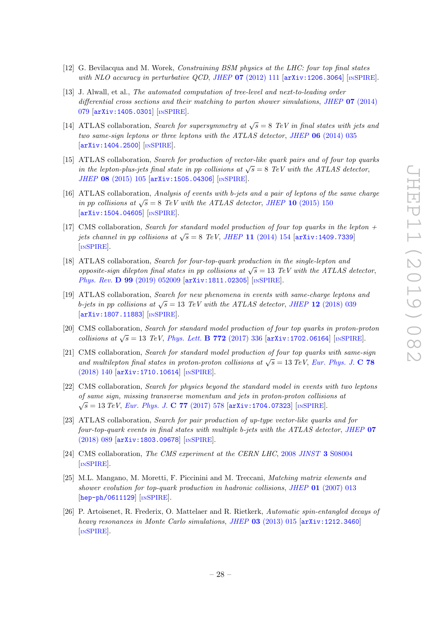- <span id="page-28-0"></span>[12] G. Bevilacqua and M. Worek, Constraining BSM physics at the LHC: four top final states with NLO accuracy in perturbative QCD, JHEP  $07$  [\(2012\) 111](https://doi.org/10.1007/JHEP07(2012)111) [[arXiv:1206.3064](https://arxiv.org/abs/1206.3064)] [IN[SPIRE](https://inspirehep.net/search?p=find+EPRINT+arXiv:1206.3064)].
- <span id="page-28-1"></span>[13] J. Alwall, et al., The automated computation of tree-level and next-to-leading order differential cross sections and their matching to parton shower simulations, JHEP 07 [\(2014\)](https://doi.org/10.1007/JHEP07(2014)079) [079](https://doi.org/10.1007/JHEP07(2014)079) [[arXiv:1405.0301](https://arxiv.org/abs/1405.0301)] [IN[SPIRE](https://inspirehep.net/search?p=find+EPRINT+arXiv:1405.0301)].
- <span id="page-28-2"></span>[14] ATLAS collaboration, Search for supersymmetry at  $\sqrt{s} = 8$  TeV in final states with jets and two same-sign leptons or three leptons with the ATLAS detector, JHEP 06 [\(2014\) 035](https://doi.org/10.1007/JHEP06(2014)035) [[arXiv:1404.2500](https://arxiv.org/abs/1404.2500)] [IN[SPIRE](https://inspirehep.net/search?p=find+EPRINT+arXiv:1404.2500)].
- [15] ATLAS collaboration, Search for production of vector-like quark pairs and of four top quarks in the lepton-plus-jets final state in pp collisions at  $\sqrt{s} = 8$  TeV with the ATLAS detector, JHEP 08 [\(2015\) 105](https://doi.org/10.1007/JHEP08(2015)105) [[arXiv:1505.04306](https://arxiv.org/abs/1505.04306)] [IN[SPIRE](https://inspirehep.net/search?p=find+EPRINT+arXiv:1505.04306)].
- <span id="page-28-3"></span>[16] ATLAS collaboration, Analysis of events with b-jets and a pair of leptons of the same charge in pp collisions at  $\sqrt{s} = 8$  TeV with the ATLAS detector, JHEP 10 [\(2015\) 150](https://doi.org/10.1007/JHEP10(2015)150) [[arXiv:1504.04605](https://arxiv.org/abs/1504.04605)] [IN[SPIRE](https://inspirehep.net/search?p=find+EPRINT+arXiv:1504.04605)].
- <span id="page-28-4"></span>[17] CMS collaboration, Search for standard model production of four top quarks in the lepton  $+$  $\sigma$  is channel in pp collisions at  $\sqrt{s} = 8$  TeV, JHEP 11 [\(2014\) 154](https://doi.org/10.1007/JHEP11(2014)154) [[arXiv:1409.7339](https://arxiv.org/abs/1409.7339)] [IN[SPIRE](https://inspirehep.net/search?p=find+EPRINT+arXiv:1409.7339)].
- <span id="page-28-5"></span>[18] ATLAS collaboration, Search for four-top-quark production in the single-lepton and opposite-sign dilepton final states in pp collisions at  $\sqrt{s} = 13$  TeV with the ATLAS detector, Phys. Rev. D 99 [\(2019\) 052009](https://doi.org/10.1103/PhysRevD.99.052009) [[arXiv:1811.02305](https://arxiv.org/abs/1811.02305)] [IN[SPIRE](https://inspirehep.net/search?p=find+EPRINT+arXiv:1811.02305)].
- <span id="page-28-6"></span>[19] ATLAS collaboration, Search for new phenomena in events with same-charge leptons and b-jets in pp collisions at  $\sqrt{s} = 13$  TeV with the ATLAS detector, JHEP 12 [\(2018\) 039](https://doi.org/10.1007/JHEP12(2018)039) [[arXiv:1807.11883](https://arxiv.org/abs/1807.11883)] [IN[SPIRE](https://inspirehep.net/search?p=find+EPRINT+arXiv:1807.11883)].
- <span id="page-28-7"></span>[20] CMS collaboration, Search for standard model production of four top quarks in proton-proton collisions at  $\sqrt{s} = 13$  TeV, [Phys. Lett.](https://doi.org/10.1016/j.physletb.2017.06.064) B 772 (2017) 336 [[arXiv:1702.06164](https://arxiv.org/abs/1702.06164)] [IN[SPIRE](https://inspirehep.net/search?p=find+EPRINT+arXiv:1702.06164)].
- <span id="page-28-8"></span>[21] CMS collaboration, Search for standard model production of four top quarks with same-sign and multilepton final states in proton-proton collisions at  $\sqrt{s} = 13 \text{ TeV}$ , [Eur. Phys. J.](https://doi.org/10.1140/epjc/s10052-018-5607-5) C 78 [\(2018\) 140](https://doi.org/10.1140/epjc/s10052-018-5607-5) [[arXiv:1710.10614](https://arxiv.org/abs/1710.10614)] [IN[SPIRE](https://inspirehep.net/search?p=find+EPRINT+arXiv:1710.10614)].
- <span id="page-28-9"></span>[22] CMS collaboration, Search for physics beyond the standard model in events with two leptons of same sign, missing transverse momentum and jets in proton-proton collisions at  $\sqrt{s} = 13 \text{ TeV}, \text{ Eur. Phys. J. C 77 (2017) 578 [arXiv:1704.07323] [INSPIRE].$  $\sqrt{s} = 13 \text{ TeV}, \text{ Eur. Phys. J. C 77 (2017) 578 [arXiv:1704.07323] [INSPIRE].$  $\sqrt{s} = 13 \text{ TeV}, \text{ Eur. Phys. J. C 77 (2017) 578 [arXiv:1704.07323] [INSPIRE].$  $\sqrt{s} = 13 \text{ TeV}, \text{ Eur. Phys. J. C 77 (2017) 578 [arXiv:1704.07323] [INSPIRE].$  $\sqrt{s} = 13 \text{ TeV}, \text{ Eur. Phys. J. C 77 (2017) 578 [arXiv:1704.07323] [INSPIRE].$  $\sqrt{s} = 13 \text{ TeV}, \text{ Eur. Phys. J. C 77 (2017) 578 [arXiv:1704.07323] [INSPIRE].$  $\sqrt{s} = 13 \text{ TeV}, \text{ Eur. Phys. J. C 77 (2017) 578 [arXiv:1704.07323] [INSPIRE].$
- <span id="page-28-10"></span>[23] ATLAS collaboration, Search for pair production of up-type vector-like quarks and for four-top-quark events in final states with multiple b-jets with the ATLAS detector, [JHEP](https://doi.org/10.1007/JHEP07(2018)089) 07 [\(2018\) 089](https://doi.org/10.1007/JHEP07(2018)089) [[arXiv:1803.09678](https://arxiv.org/abs/1803.09678)] [IN[SPIRE](https://inspirehep.net/search?p=find+EPRINT+arXiv:1803.09678)].
- <span id="page-28-11"></span>[24] CMS collaboration, The CMS experiment at the CERN LHC, 2008 JINST 3 [S08004](https://doi.org/10.1088/1748-0221/3/08/S08004) [IN[SPIRE](https://inspirehep.net/search?p=find+J+%22JINST,3,S08004%22)].
- <span id="page-28-12"></span>[25] M.L. Mangano, M. Moretti, F. Piccinini and M. Treccani, Matching matrix elements and shower evolution for top-quark production in hadronic collisions, JHEP 01 [\(2007\) 013](https://doi.org/10.1088/1126-6708/2007/01/013) [[hep-ph/0611129](https://arxiv.org/abs/hep-ph/0611129)] [IN[SPIRE](https://inspirehep.net/search?p=find+EPRINT+hep-ph/0611129)].
- <span id="page-28-13"></span>[26] P. Artoisenet, R. Frederix, O. Mattelaer and R. Rietkerk, Automatic spin-entangled decays of heavy resonances in Monte Carlo simulations, JHEP 03 [\(2013\) 015](https://doi.org/10.1007/JHEP03(2013)015) [[arXiv:1212.3460](https://arxiv.org/abs/1212.3460)] [IN[SPIRE](https://inspirehep.net/search?p=find+EPRINT+arXiv:1212.3460)].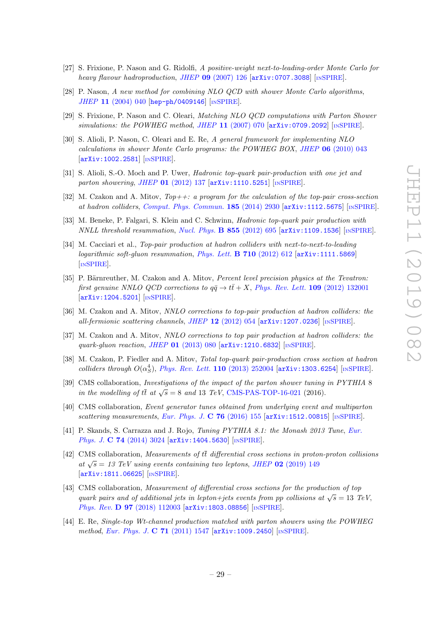- <span id="page-29-0"></span>[27] S. Frixione, P. Nason and G. Ridolfi, A positive-weight next-to-leading-order Monte Carlo for heavy flavour hadroproduction, JHEP  $09$  [\(2007\) 126](https://doi.org/10.1088/1126-6708/2007/09/126) [[arXiv:0707.3088](https://arxiv.org/abs/0707.3088)] [IN[SPIRE](https://inspirehep.net/search?p=find+EPRINT+arXiv:0707.3088)].
- [28] P. Nason, A new method for combining NLO QCD with shower Monte Carlo algorithms, JHEP 11 [\(2004\) 040](https://doi.org/10.1088/1126-6708/2004/11/040) [[hep-ph/0409146](https://arxiv.org/abs/hep-ph/0409146)] [IN[SPIRE](https://inspirehep.net/search?p=find+EPRINT+hep-ph/0409146)].
- [29] S. Frixione, P. Nason and C. Oleari, Matching NLO QCD computations with Parton Shower simulations: the POWHEG method, JHEP 11 [\(2007\) 070](https://doi.org/10.1088/1126-6708/2007/11/070) [[arXiv:0709.2092](https://arxiv.org/abs/0709.2092)] [IN[SPIRE](https://inspirehep.net/search?p=find+EPRINT+arXiv:0709.2092)].
- [30] S. Alioli, P. Nason, C. Oleari and E. Re, A general framework for implementing NLO calculations in shower Monte Carlo programs: the POWHEG BOX, JHEP 06 [\(2010\) 043](https://doi.org/10.1007/JHEP06(2010)043) [[arXiv:1002.2581](https://arxiv.org/abs/1002.2581)] [IN[SPIRE](https://inspirehep.net/search?p=find+EPRINT+arXiv:1002.2581)].
- <span id="page-29-1"></span>[31] S. Alioli, S.-O. Moch and P. Uwer, Hadronic top-quark pair-production with one jet and parton showering, JHEP  $01$  [\(2012\) 137](https://doi.org/10.1007/JHEP01(2012)137)  $\text{arXiv:1110.5251}$  $\text{arXiv:1110.5251}$  $\text{arXiv:1110.5251}$  [IN[SPIRE](https://inspirehep.net/search?p=find+EPRINT+arXiv:1110.5251)].
- <span id="page-29-2"></span>[32] M. Czakon and A. Mitov,  $Top++: a program for the calculation of the top-pair cross-section$ at hadron colliders, [Comput. Phys. Commun.](https://doi.org/10.1016/j.cpc.2014.06.021) 185 (2014) 2930 [[arXiv:1112.5675](https://arxiv.org/abs/1112.5675)] [IN[SPIRE](https://inspirehep.net/search?p=find+EPRINT+arXiv:1112.5675)].
- [33] M. Beneke, P. Falgari, S. Klein and C. Schwinn, Hadronic top-quark pair production with NNLL threshold resummation, [Nucl. Phys.](https://doi.org/10.1016/j.nuclphysb.2011.10.021) B 855 (2012) 695 [[arXiv:1109.1536](https://arxiv.org/abs/1109.1536)] [IN[SPIRE](https://inspirehep.net/search?p=find+EPRINT+arXiv:1109.1536)].
- [34] M. Cacciari et al., Top-pair production at hadron colliders with next-to-next-to-leading logarithmic soft-gluon resummation, [Phys. Lett.](https://doi.org/10.1016/j.physletb.2012.03.013) B 710 (2012) 612 [[arXiv:1111.5869](https://arxiv.org/abs/1111.5869)] [IN[SPIRE](https://inspirehep.net/search?p=find+EPRINT+arXiv:1111.5869)].
- [35] P. Bärnreuther, M. Czakon and A. Mitov, Percent level precision physics at the Tevatron: first genuine NNLO QCD corrections to  $q\bar{q} \rightarrow t\bar{t} + X$ , [Phys. Rev. Lett.](https://doi.org/10.1103/PhysRevLett.109.132001) 109 (2012) 132001 [[arXiv:1204.5201](https://arxiv.org/abs/1204.5201)] [IN[SPIRE](https://inspirehep.net/search?p=find+EPRINT+arXiv:1204.5201)].
- [36] M. Czakon and A. Mitov, NNLO corrections to top-pair production at hadron colliders: the all-fermionic scattering channels, JHEP  $12$  [\(2012\) 054](https://doi.org/10.1007/JHEP12(2012)054) [[arXiv:1207.0236](https://arxiv.org/abs/1207.0236)] [IN[SPIRE](https://inspirehep.net/search?p=find+EPRINT+arXiv:1207.0236)].
- [37] M. Czakon and A. Mitov, NNLO corrections to top pair production at hadron colliders: the quark-gluon reaction, JHEP 01 [\(2013\) 080](https://doi.org/10.1007/JHEP01(2013)080) [[arXiv:1210.6832](https://arxiv.org/abs/1210.6832)] [IN[SPIRE](https://inspirehep.net/search?p=find+EPRINT+arXiv:1210.6832)].
- <span id="page-29-3"></span>[38] M. Czakon, P. Fiedler and A. Mitov, Total top-quark pair-production cross section at hadron colliders through  $O(\alpha_S^4)$ , [Phys. Rev. Lett.](https://doi.org/10.1103/PhysRevLett.110.252004) 110 (2013) 252004 [[arXiv:1303.6254](https://arxiv.org/abs/1303.6254)] [IN[SPIRE](https://inspirehep.net/search?p=find+EPRINT+arXiv:1303.6254)].
- <span id="page-29-4"></span>[39] CMS collaboration, Investigations of the impact of the parton shower tuning in PYTHIA 8 in the modelling of tt at  $\sqrt{s} = 8$  and 13 TeV, [CMS-PAS-TOP-16-021](http://cds.cern.ch/record/2235192) (2016).
- [40] CMS collaboration, Event generator tunes obtained from underlying event and multiparton scattering measurements, [Eur. Phys. J.](https://doi.org/10.1140/epjc/s10052-016-3988-x) C  $76$  (2016) 155 [[arXiv:1512.00815](https://arxiv.org/abs/1512.00815)] [IN[SPIRE](https://inspirehep.net/search?p=find+EPRINT+arXiv:1512.00815)].
- <span id="page-29-5"></span>[41] P. Skands, S. Carrazza and J. Rojo, Tuning PYTHIA 8.1: the Monash 2013 Tune, [Eur.](https://doi.org/10.1140/epjc/s10052-014-3024-y) Phys. J. C 74 [\(2014\) 3024](https://doi.org/10.1140/epjc/s10052-014-3024-y) [[arXiv:1404.5630](https://arxiv.org/abs/1404.5630)] [IN[SPIRE](https://inspirehep.net/search?p=find+EPRINT+arXiv:1404.5630)].
- <span id="page-29-6"></span>[42] CMS collaboration, Measurements of tt differential cross sections in proton-proton collisions  $\alpha t \sqrt{s} = 13$  TeV using events containing two leptons, JHEP 02 [\(2019\) 149](https://doi.org/10.1007/JHEP02(2019)149) [[arXiv:1811.06625](https://arxiv.org/abs/1811.06625)] [IN[SPIRE](https://inspirehep.net/search?p=find+EPRINT+arXiv:1811.06625)].
- <span id="page-29-7"></span>[43] CMS collaboration, Measurement of differential cross sections for the production of top  $\alpha$  quark pairs and of additional jets in lepton+jets events from pp collisions at  $\sqrt{s} = 13$  TeV, Phys. Rev. D 97 [\(2018\) 112003](https://doi.org/10.1103/PhysRevD.97.112003) [[arXiv:1803.08856](https://arxiv.org/abs/1803.08856)] [IN[SPIRE](https://inspirehep.net/search?p=find+EPRINT+arXiv:1803.08856)].
- <span id="page-29-8"></span>[44] E. Re, Single-top Wt-channel production matched with parton showers using the POWHEG method, [Eur. Phys. J.](https://doi.org/10.1140/epjc/s10052-011-1547-z) C 71 (2011) 1547 [[arXiv:1009.2450](https://arxiv.org/abs/1009.2450)] [IN[SPIRE](https://inspirehep.net/search?p=find+EPRINT+arXiv:1009.2450)].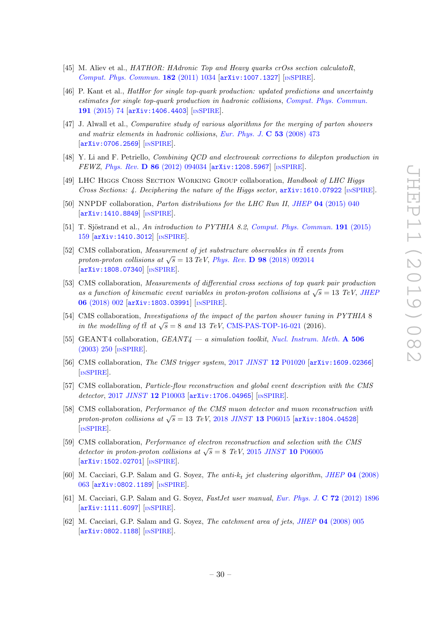- <span id="page-30-0"></span>[45] M. Aliev et al., HATHOR: HAdronic Top and Heavy quarks crOss section calculatoR, [Comput. Phys. Commun.](https://doi.org/10.1016/j.cpc.2010.12.040) 182 (2011) 1034 [[arXiv:1007.1327](https://arxiv.org/abs/1007.1327)] [IN[SPIRE](https://inspirehep.net/search?p=find+EPRINT+arXiv:1007.1327)].
- <span id="page-30-1"></span>[46] P. Kant et al., HatHor for single top-quark production: updated predictions and uncertainty estimates for single top-quark production in hadronic collisions, [Comput. Phys. Commun.](https://doi.org/10.1016/j.cpc.2015.02.001) 191 [\(2015\) 74](https://doi.org/10.1016/j.cpc.2015.02.001) [[arXiv:1406.4403](https://arxiv.org/abs/1406.4403)] [IN[SPIRE](https://inspirehep.net/search?p=find+EPRINT+arXiv:1406.4403)].
- <span id="page-30-2"></span>[47] J. Alwall et al., Comparative study of various algorithms for the merging of parton showers and matrix elements in hadronic collisions, [Eur. Phys. J.](https://doi.org/10.1140/epjc/s10052-007-0490-5) C 53 (2008) 473 [[arXiv:0706.2569](https://arxiv.org/abs/0706.2569)] [IN[SPIRE](https://inspirehep.net/search?p=find+EPRINT+arXiv:0706.2569)].
- <span id="page-30-3"></span>[48] Y. Li and F. Petriello, Combining QCD and electroweak corrections to dilepton production in FEWZ, Phys. Rev. D 86 [\(2012\) 094034](https://doi.org/10.1103/PhysRevD.86.094034) [[arXiv:1208.5967](https://arxiv.org/abs/1208.5967)] [IN[SPIRE](https://inspirehep.net/search?p=find+EPRINT+arXiv:1208.5967)].
- <span id="page-30-4"></span>[49] LHC HIGGS CROSS SECTION WORKING GROUP collaboration, Handbook of LHC Higgs Cross Sections: 4. Deciphering the nature of the Higgs sector, [arXiv:1610.07922](https://arxiv.org/abs/1610.07922) [IN[SPIRE](https://inspirehep.net/search?p=find+EPRINT+arXiv:1610.07922)].
- <span id="page-30-5"></span>[50] NNPDF collaboration, Parton distributions for the LHC Run II, JHEP 04 [\(2015\) 040](https://doi.org/10.1007/JHEP04(2015)040) [[arXiv:1410.8849](https://arxiv.org/abs/1410.8849)] [IN[SPIRE](https://inspirehep.net/search?p=find+EPRINT+arXiv:1410.8849)].
- <span id="page-30-6"></span>[51] T. Sjöstrand et al., An introduction to PYTHIA 8.2, [Comput. Phys. Commun.](https://doi.org/10.1016/j.cpc.2015.01.024) 191 (2015) [159](https://doi.org/10.1016/j.cpc.2015.01.024) [[arXiv:1410.3012](https://arxiv.org/abs/1410.3012)] [IN[SPIRE](https://inspirehep.net/search?p=find+EPRINT+arXiv:1410.3012)].
- <span id="page-30-7"></span>[52] CMS collaboration, Measurement of jet substructure observables in  $t\bar{t}$  events from proton-proton collisions at  $\sqrt{s} = 13 \text{ TeV}$ , Phys. Rev. **D** 98 [\(2018\) 092014](https://doi.org/10.1103/PhysRevD.98.092014) [[arXiv:1808.07340](https://arxiv.org/abs/1808.07340)] [IN[SPIRE](https://inspirehep.net/search?p=find+EPRINT+arXiv:1808.07340)].
- <span id="page-30-8"></span>[53] CMS collaboration, Measurements of differential cross sections of top quark pair production as a function of kinematic event variables in proton-proton collisions at  $\sqrt{s} = 13$  TeV, JHEF 06 [\(2018\) 002](https://doi.org/10.1007/JHEP06(2018)002) [[arXiv:1803.03991](https://arxiv.org/abs/1803.03991)] [IN[SPIRE](https://inspirehep.net/search?p=find+EPRINT+arXiv:1803.03991)].
- <span id="page-30-9"></span>[54] CMS collaboration, *Investigations of the impact of the parton shower tuning in PYTHIA* 8 in the modelling of tt at  $\sqrt{s} = 8$  and 13 TeV, [CMS-PAS-TOP-16-021](http://cds.cern.ch/record/2235192) (2016).
- <span id="page-30-10"></span>[55] GEANT4 collaboration,  $GEANT4 - a$  simulation toolkit, [Nucl. Instrum. Meth.](https://doi.org/10.1016/S0168-9002(03)01368-8) A 506 [\(2003\) 250](https://doi.org/10.1016/S0168-9002(03)01368-8) [IN[SPIRE](https://inspirehep.net/search?p=find+J+%22Nucl.Instrum.Meth.,A506,250%22)].
- <span id="page-30-11"></span>[56] CMS collaboration, *The CMS trigger system*, 2017 *JINST* 12 [P01020](https://doi.org/10.1088/1748-0221/12/01/P01020) [[arXiv:1609.02366](https://arxiv.org/abs/1609.02366)] [IN[SPIRE](https://inspirehep.net/search?p=find+EPRINT+arXiv:1609.02366)].
- <span id="page-30-12"></span>[57] CMS collaboration, Particle-flow reconstruction and global event description with the CMS detector, 2017 JINST 12 [P10003](https://doi.org/10.1088/1748-0221/12/10/P10003) [[arXiv:1706.04965](https://arxiv.org/abs/1706.04965)] [IN[SPIRE](https://inspirehep.net/search?p=find+EPRINT+arXiv:1706.04965)].
- <span id="page-30-13"></span>[58] CMS collaboration, Performance of the CMS muon detector and muon reconstruction with proton-proton collisions at  $\sqrt{s} = 13$  TeV, 2018 JINST 13 [P06015](https://doi.org/10.1088/1748-0221/13/06/P06015) [[arXiv:1804.04528](https://arxiv.org/abs/1804.04528)] [IN[SPIRE](https://inspirehep.net/search?p=find+EPRINT+arXiv:1804.04528)].
- <span id="page-30-14"></span>[59] CMS collaboration, Performance of electron reconstruction and selection with the CMS detector in proton-proton collisions at  $\sqrt{s} = 8$  TeV, 2015 JINST 10 [P06005](https://doi.org/10.1088/1748-0221/10/06/P06005) [[arXiv:1502.02701](https://arxiv.org/abs/1502.02701)] [IN[SPIRE](https://inspirehep.net/search?p=find+EPRINT+arXiv:1502.02701)].
- <span id="page-30-15"></span>[60] M. Cacciari, G.P. Salam and G. Soyez, The anti- $k_t$  jet clustering algorithm, JHEP 04 [\(2008\)](https://doi.org/10.1088/1126-6708/2008/04/063) [063](https://doi.org/10.1088/1126-6708/2008/04/063) [[arXiv:0802.1189](https://arxiv.org/abs/0802.1189)] [IN[SPIRE](https://inspirehep.net/search?p=find+EPRINT+arXiv:0802.1189)].
- <span id="page-30-16"></span>[61] M. Cacciari, G.P. Salam and G. Soyez, FastJet user manual, [Eur. Phys. J.](https://doi.org/10.1140/epjc/s10052-012-1896-2) C 72 (2012) 1896 [[arXiv:1111.6097](https://arxiv.org/abs/1111.6097)] [IN[SPIRE](https://inspirehep.net/search?p=find+EPRINT+arXiv:1111.6097)].
- <span id="page-30-17"></span>[62] M. Cacciari, G.P. Salam and G. Soyez, The catchment area of jets, JHEP 04 [\(2008\) 005](https://doi.org/10.1088/1126-6708/2008/04/005) [[arXiv:0802.1188](https://arxiv.org/abs/0802.1188)] [IN[SPIRE](https://inspirehep.net/search?p=find+EPRINT+arXiv:0802.1188)].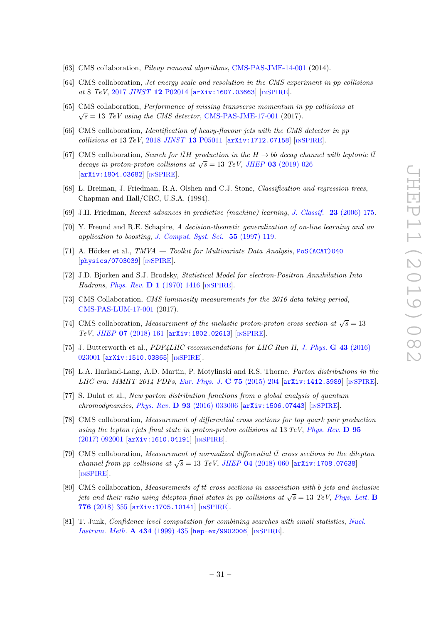- <span id="page-31-0"></span>[63] CMS collaboration, Pileup removal algorithms, [CMS-PAS-JME-14-001](http://cds.cern.ch/record/1751454) (2014).
- <span id="page-31-1"></span>[64] CMS collaboration, Jet energy scale and resolution in the CMS experiment in pp collisions at 8 TeV, 2017 JINST 12 [P02014](https://doi.org/10.1088/1748-0221/12/02/P02014) [[arXiv:1607.03663](https://arxiv.org/abs/1607.03663)] [IN[SPIRE](https://inspirehep.net/search?p=find+EPRINT+arXiv:1607.03663)].
- <span id="page-31-2"></span>[65] CMS collaboration, Performance of missing transverse momentum in pp collisions at √  $\sqrt{s} = 13$  TeV using the CMS detector, [CMS-PAS-JME-17-001](http://cds.cern.ch/record/2628600) (2017).
- <span id="page-31-3"></span>[66] CMS collaboration, Identification of heavy-flavour jets with the CMS detector in pp  $collisions$  at 13  $TeV$ , 2018  $JINST$  13  $P05011$  [[arXiv:1712.07158](https://arxiv.org/abs/1712.07158)] [IN[SPIRE](https://inspirehep.net/search?p=find+EPRINT+arXiv:1712.07158)].
- <span id="page-31-4"></span>[67] CMS collaboration, Search for tthe production in the  $H \to b\bar{b}$  decay channel with leptonic tt decays in proton-proton collisions at  $\sqrt{s} = 13$  TeV, JHEP 03 [\(2019\) 026](https://doi.org/10.1007/JHEP03(2019)026) [[arXiv:1804.03682](https://arxiv.org/abs/1804.03682)] [IN[SPIRE](https://inspirehep.net/search?p=find+EPRINT+arXiv:1804.03682)].
- <span id="page-31-5"></span>[68] L. Breiman, J. Friedman, R.A. Olshen and C.J. Stone, Classification and regression trees, Chapman and Hall/CRC, U.S.A. (1984).
- <span id="page-31-6"></span>[69] J.H. Friedman, Recent advances in predictive (machine) learning, J. Classif. 23 [\(2006\) 175.](http://dx.doi.org/10.1007/s00357-006-0012-4)
- <span id="page-31-7"></span>[70] Y. Freund and R.E. Schapire, A decision-theoretic generalization of on-line learning and an application to boosting, [J. Comput. Syst. Sci.](http://dx.doi.org/10.1006/jcss.1997.1504) 55 (1997) 119.
- <span id="page-31-8"></span>[71] A. Höcker et al.,  $TMVA$  — Toolkit for Multivariate Data Analysis, [PoS\(ACAT\)040](https://pos.sissa.it/contribution?id=PoS(ACAT)040) [[physics/0703039](https://arxiv.org/abs/physics/0703039)] [IN[SPIRE](https://inspirehep.net/search?p=find+EPRINT+physics/0703039)].
- <span id="page-31-9"></span>[72] J.D. Bjorken and S.J. Brodsky, Statistical Model for electron-Positron Annihilation Into Hadrons, *Phys. Rev.* **D 1** [\(1970\) 1416](https://doi.org/10.1103/PhysRevD.1.1416) [IN[SPIRE](https://inspirehep.net/search?p=find+J+%22Phys.Rev.,D1,1416%22)].
- <span id="page-31-10"></span>[73] CMS Collaboration, CMS luminosity measurements for the 2016 data taking period, [CMS-PAS-LUM-17-001](http://cds.cern.ch/record/2257069) (2017).
- <span id="page-31-11"></span>[74] CMS collaboration, *Measurement of the inelastic proton-proton cross section at*  $\sqrt{s} = 13$ TeV, JHEP 07 [\(2018\) 161](https://doi.org/10.1007/JHEP07(2018)161) [[arXiv:1802.02613](https://arxiv.org/abs/1802.02613)] [IN[SPIRE](https://inspirehep.net/search?p=find+EPRINT+arXiv:1802.02613)].
- <span id="page-31-12"></span>[75] J. Butterworth et al., PDF4LHC recommendations for LHC Run II, [J. Phys.](https://doi.org/10.1088/0954-3899/43/2/023001) **G 43** (2016) [023001](https://doi.org/10.1088/0954-3899/43/2/023001) [[arXiv:1510.03865](https://arxiv.org/abs/1510.03865)] [IN[SPIRE](https://inspirehep.net/search?p=find+EPRINT+arXiv:1510.03865)].
- <span id="page-31-13"></span>[76] L.A. Harland-Lang, A.D. Martin, P. Motylinski and R.S. Thorne, Parton distributions in the LHC era: MMHT 2014 PDFs, [Eur. Phys. J.](https://doi.org/10.1140/epjc/s10052-015-3397-6) C 75 (2015) 204 [[arXiv:1412.3989](https://arxiv.org/abs/1412.3989)] [IN[SPIRE](https://inspirehep.net/search?p=find+EPRINT+arXiv:1412.3989)].
- <span id="page-31-14"></span>[77] S. Dulat et al., New parton distribution functions from a global analysis of quantum chromodynamics, Phys. Rev. D  $93$  [\(2016\) 033006](https://doi.org/10.1103/PhysRevD.93.033006) [[arXiv:1506.07443](https://arxiv.org/abs/1506.07443)] [IN[SPIRE](https://inspirehep.net/search?p=find+EPRINT+arXiv:1506.07443)].
- <span id="page-31-15"></span>[78] CMS collaboration, Measurement of differential cross sections for top quark pair production using the lepton+jets final state in proton-proton collisions at 13 TeV, [Phys. Rev.](https://doi.org/10.1103/PhysRevD.95.092001)  $\bf{D}$  95 [\(2017\) 092001](https://doi.org/10.1103/PhysRevD.95.092001) [[arXiv:1610.04191](https://arxiv.org/abs/1610.04191)] [IN[SPIRE](https://inspirehep.net/search?p=find+EPRINT+arXiv:1610.04191)].
- <span id="page-31-16"></span>[79] CMS collaboration, *Measurement of normalized differential*  $t\bar{t}$  cross sections in the dilepton channel from pp collisions at  $\sqrt{s} = 13$  TeV, JHEP 04 [\(2018\) 060](https://doi.org/10.1007/JHEP04(2018)060) [[arXiv:1708.07638](https://arxiv.org/abs/1708.07638)] [IN[SPIRE](https://inspirehep.net/search?p=find+EPRINT+arXiv:1708.07638)].
- <span id="page-31-17"></span>[80] CMS collaboration, *Measurements of*  $t\bar{t}$  *cross sections in association with b jets and inclusive*  $\sigma$  is consideration, measurements of it cross sections in association with  $\sigma$  jets and inclusion jets and their ratio using dilepton final states in pp collisions at  $\sqrt{s} = 13$  TeV, [Phys. Lett.](https://doi.org/10.1016/j.physletb.2017.11.043) B 776 [\(2018\) 355](https://doi.org/10.1016/j.physletb.2017.11.043) [[arXiv:1705.10141](https://arxiv.org/abs/1705.10141)] [IN[SPIRE](https://inspirehep.net/search?p=find+EPRINT+arXiv:1705.10141)].
- <span id="page-31-18"></span>[81] T. Junk, Confidence level computation for combining searches with small statistics, [Nucl.](https://doi.org/10.1016/S0168-9002(99)00498-2) [Instrum. Meth.](https://doi.org/10.1016/S0168-9002(99)00498-2) A 434 (1999) 435 [[hep-ex/9902006](https://arxiv.org/abs/hep-ex/9902006)] [IN[SPIRE](https://inspirehep.net/search?p=find+EPRINT+hep-ex/9902006)].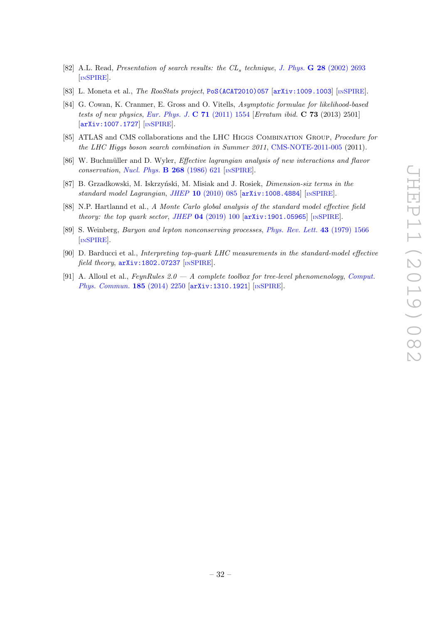- [82] A.L. Read, *Presentation of search results: the*  $CL_s$  *technique, J. Phys.* **G 28** [\(2002\) 2693](https://doi.org/10.1088/0954-3899/28/10/313) [IN[SPIRE](https://inspirehep.net/search?p=find+J+%22J.Phys.,G28,2693%22)].
- [83] L. Moneta et al., The RooStats project, [PoS\(ACAT2010\)057](https://pos.sissa.it/contribution?id=PoS(ACAT2010)057) [[arXiv:1009.1003](https://arxiv.org/abs/1009.1003)] [IN[SPIRE](https://inspirehep.net/search?p=find+EPRINT+arXiv:1009.1003)].
- [84] G. Cowan, K. Cranmer, E. Gross and O. Vitells, Asymptotic formulae for likelihood-based tests of new physics, [Eur. Phys. J.](https://doi.org/10.1140/epjc/s10052-011-1554-0) C  $71$  (2011) 1554 [Erratum ibid. C  $73$  (2013) 2501] [[arXiv:1007.1727](https://arxiv.org/abs/1007.1727)] [IN[SPIRE](https://inspirehep.net/search?p=find+EPRINT+arXiv:1007.1727)].
- <span id="page-32-0"></span>[85] ATLAS and CMS collaborations and the LHC Higgs Combination Group, Procedure for the LHC Higgs boson search combination in Summer 2011, [CMS-NOTE-2011-005](http://cds.cern.ch/record/1379837) (2011).
- <span id="page-32-1"></span>[86] W. Buchmüller and D. Wyler, *Effective lagrangian analysis of new interactions and flavor* conservation, [Nucl. Phys.](https://doi.org/10.1016/0550-3213(86)90262-2) **B 268** (1986) 621 [IN[SPIRE](https://inspirehep.net/search?p=find+J+%22Nucl.Phys.,B268,621%22)].
- <span id="page-32-4"></span>[87] B. Grzadkowski, M. Iskrzyński, M. Misiak and J. Rosiek, *Dimension-six terms in the* standard model Lagrangian, JHEP  $10$  [\(2010\) 085](https://doi.org/10.1007/JHEP10(2010)085)  $\text{arXiv:1008.4884}$  $\text{arXiv:1008.4884}$  $\text{arXiv:1008.4884}$  [IN[SPIRE](https://inspirehep.net/search?p=find+EPRINT+arXiv:1008.4884)].
- <span id="page-32-2"></span>[88] N.P. Hartlannd et al., A Monte Carlo global analysis of the standard model effective field theory: the top quark sector, JHEP  $04$  [\(2019\) 100](https://doi.org/10.1007/JHEP04(2019)100)  $\left[$ [arXiv:1901.05965](https://arxiv.org/abs/1901.05965) $\right]$   $\left[$ IN[SPIRE](https://inspirehep.net/search?p=find+EPRINT+arXiv:1901.05965) $\right]$ .
- <span id="page-32-3"></span>[89] S. Weinberg, Baryon and lepton nonconserving processes, [Phys. Rev. Lett.](https://doi.org/10.1103/PhysRevLett.43.1566) 43 (1979) 1566 [IN[SPIRE](https://inspirehep.net/search?p=find+J+%22Phys.Rev.Lett.,43,1566%22)].
- <span id="page-32-5"></span>[90] D. Barducci et al., Interpreting top-quark LHC measurements in the standard-model effective field theory,  $arXiv:1802.07237$  [IN[SPIRE](https://inspirehep.net/search?p=find+EPRINT+arXiv:1802.07237)].
- <span id="page-32-6"></span>[91] A. Alloul et al., FeynRules  $2.0 - A$  complete toolbox for tree-level phenomenology, [Comput.](https://doi.org/10.1016/j.cpc.2014.04.012) [Phys. Commun.](https://doi.org/10.1016/j.cpc.2014.04.012) 185 (2014) 2250 [[arXiv:1310.1921](https://arxiv.org/abs/1310.1921)] [IN[SPIRE](https://inspirehep.net/search?p=find+EPRINT+arXiv:1310.1921)].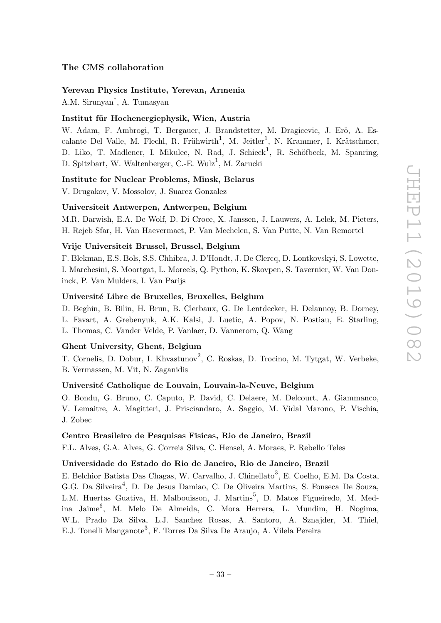## The CMS collaboration

#### <span id="page-33-0"></span>Yerevan Physics Institute, Yerevan, Armenia

A.M. Sirunyan† , A. Tumasyan

## Institut für Hochenergiephysik, Wien, Austria

W. Adam, F. Ambrogi, T. Bergauer, J. Brandstetter, M. Dragicevic, J. Erö, A. Escalante Del Valle, M. Flechl, R. Frühwirth<sup>1</sup>, M. Jeitler<sup>1</sup>, N. Krammer, I. Krätschmer, D. Liko, T. Madlener, I. Mikulec, N. Rad, J. Schieck<sup>1</sup>, R. Schöfbeck, M. Spanring, D. Spitzbart, W. Waltenberger, C.-E. Wulz<sup>1</sup>, M. Zarucki

#### Institute for Nuclear Problems, Minsk, Belarus

V. Drugakov, V. Mossolov, J. Suarez Gonzalez

## Universiteit Antwerpen, Antwerpen, Belgium

M.R. Darwish, E.A. De Wolf, D. Di Croce, X. Janssen, J. Lauwers, A. Lelek, M. Pieters, H. Rejeb Sfar, H. Van Haevermaet, P. Van Mechelen, S. Van Putte, N. Van Remortel

### Vrije Universiteit Brussel, Brussel, Belgium

F. Blekman, E.S. Bols, S.S. Chhibra, J. D'Hondt, J. De Clercq, D. Lontkovskyi, S. Lowette, I. Marchesini, S. Moortgat, L. Moreels, Q. Python, K. Skovpen, S. Tavernier, W. Van Doninck, P. Van Mulders, I. Van Parijs

## Université Libre de Bruxelles, Bruxelles, Belgium

D. Beghin, B. Bilin, H. Brun, B. Clerbaux, G. De Lentdecker, H. Delannoy, B. Dorney, L. Favart, A. Grebenyuk, A.K. Kalsi, J. Luetic, A. Popov, N. Postiau, E. Starling, L. Thomas, C. Vander Velde, P. Vanlaer, D. Vannerom, Q. Wang

## Ghent University, Ghent, Belgium

T. Cornelis, D. Dobur, I. Khvastunov<sup>2</sup>, C. Roskas, D. Trocino, M. Tytgat, W. Verbeke, B. Vermassen, M. Vit, N. Zaganidis

## Université Catholique de Louvain, Louvain-la-Neuve, Belgium

O. Bondu, G. Bruno, C. Caputo, P. David, C. Delaere, M. Delcourt, A. Giammanco, V. Lemaitre, A. Magitteri, J. Prisciandaro, A. Saggio, M. Vidal Marono, P. Vischia, J. Zobec

#### Centro Brasileiro de Pesquisas Fisicas, Rio de Janeiro, Brazil

F.L. Alves, G.A. Alves, G. Correia Silva, C. Hensel, A. Moraes, P. Rebello Teles

## Universidade do Estado do Rio de Janeiro, Rio de Janeiro, Brazil

E. Belchior Batista Das Chagas, W. Carvalho, J. Chinellato<sup>3</sup>, E. Coelho, E.M. Da Costa, G.G. Da Silveira<sup>4</sup>, D. De Jesus Damiao, C. De Oliveira Martins, S. Fonseca De Souza, L.M. Huertas Guativa, H. Malbouisson, J. Martins<sup>5</sup>, D. Matos Figueiredo, M. Medina Jaime<sup>6</sup>, M. Melo De Almeida, C. Mora Herrera, L. Mundim, H. Nogima, W.L. Prado Da Silva, L.J. Sanchez Rosas, A. Santoro, A. Sznajder, M. Thiel, E.J. Tonelli Manganote<sup>3</sup>, F. Torres Da Silva De Araujo, A. Vilela Pereira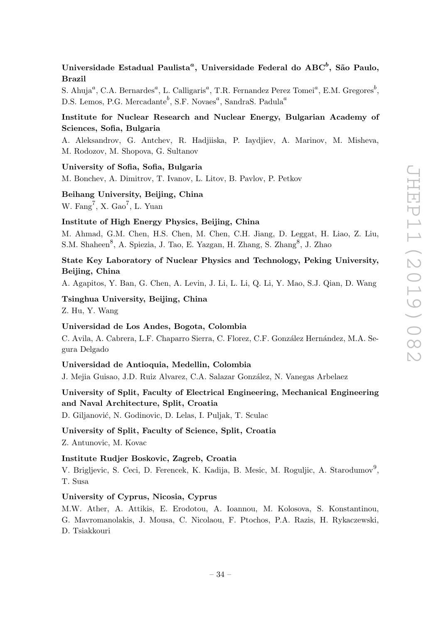# Universidade Estadual Paulista $^a,$  Universidade Federal do ABC $^b,$  São Paulo, Brazil

S. Ahuja<sup>a</sup>, C.A. Bernardes<sup>a</sup>, L. Calligaris<sup>a</sup>, T.R. Fernandez Perez Tomei<sup>a</sup>, E.M. Gregores<sup>b</sup>, D.S. Lemos, P.G. Mercadante<sup>b</sup>, S.F. Novaes<sup>a</sup>, SandraS. Padula<sup>a</sup>

# Institute for Nuclear Research and Nuclear Energy, Bulgarian Academy of Sciences, Sofia, Bulgaria

A. Aleksandrov, G. Antchev, R. Hadjiiska, P. Iaydjiev, A. Marinov, M. Misheva, M. Rodozov, M. Shopova, G. Sultanov

### University of Sofia, Sofia, Bulgaria

M. Bonchev, A. Dimitrov, T. Ivanov, L. Litov, B. Pavlov, P. Petkov

Beihang University, Beijing, China W.  $Fang<sup>7</sup>$ , X.  $Gao<sup>7</sup>$ , L. Yuan

## Institute of High Energy Physics, Beijing, China

M. Ahmad, G.M. Chen, H.S. Chen, M. Chen, C.H. Jiang, D. Leggat, H. Liao, Z. Liu, S.M. Shaheen<sup>8</sup>, A. Spiezia, J. Tao, E. Yazgan, H. Zhang, S. Zhang<sup>8</sup>, J. Zhao

# State Key Laboratory of Nuclear Physics and Technology, Peking University, Beijing, China

A. Agapitos, Y. Ban, G. Chen, A. Levin, J. Li, L. Li, Q. Li, Y. Mao, S.J. Qian, D. Wang

Tsinghua University, Beijing, China Z. Hu, Y. Wang

#### Universidad de Los Andes, Bogota, Colombia

C. Avila, A. Cabrera, L.F. Chaparro Sierra, C. Florez, C.F. González Hernández, M.A. Segura Delgado

#### Universidad de Antioquia, Medellin, Colombia

J. Mejia Guisao, J.D. Ruiz Alvarez, C.A. Salazar González, N. Vanegas Arbelaez

# University of Split, Faculty of Electrical Engineering, Mechanical Engineering and Naval Architecture, Split, Croatia

D. Giljanović, N. Godinovic, D. Lelas, I. Puljak, T. Sculac

## University of Split, Faculty of Science, Split, Croatia Z. Antunovic, M. Kovac

## Institute Rudjer Boskovic, Zagreb, Croatia

V. Brigljevic, S. Ceci, D. Ferencek, K. Kadija, B. Mesic, M. Roguljic, A. Starodumov<sup>9</sup>, T. Susa

## University of Cyprus, Nicosia, Cyprus

M.W. Ather, A. Attikis, E. Erodotou, A. Ioannou, M. Kolosova, S. Konstantinou, G. Mavromanolakis, J. Mousa, C. Nicolaou, F. Ptochos, P.A. Razis, H. Rykaczewski, D. Tsiakkouri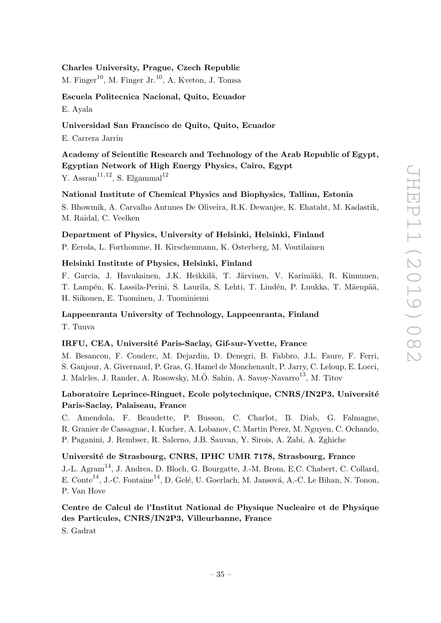## Charles University, Prague, Czech Republic

M. Finger<sup>10</sup>, M. Finger Jr.<sup>10</sup>, A. Kveton, J. Tomsa

## Escuela Politecnica Nacional, Quito, Ecuador

E. Ayala

## Universidad San Francisco de Quito, Quito, Ecuador

E. Carrera Jarrin

# Academy of Scientific Research and Technology of the Arab Republic of Egypt, Egyptian Network of High Energy Physics, Cairo, Egypt Y. Assran<sup>11,12</sup>, S. Elgammal<sup>12</sup>

## National Institute of Chemical Physics and Biophysics, Tallinn, Estonia

S. Bhowmik, A. Carvalho Antunes De Oliveira, R.K. Dewanjee, K. Ehataht, M. Kadastik, M. Raidal, C. Veelken

#### Department of Physics, University of Helsinki, Helsinki, Finland

P. Eerola, L. Forthomme, H. Kirschenmann, K. Osterberg, M. Voutilainen

## Helsinki Institute of Physics, Helsinki, Finland

F. Garcia, J. Havukainen, J.K. Heikkilä, T. Järvinen, V. Karimäki, R. Kinnunen, T. Lampén, K. Lassila-Perini, S. Laurila, S. Lehti, T. Lindén, P. Luukka, T. Mäenpää, H. Siikonen, E. Tuominen, J. Tuominiemi

Lappeenranta University of Technology, Lappeenranta, Finland

T. Tuuva

## IRFU, CEA, Université Paris-Saclay, Gif-sur-Yvette, France

M. Besancon, F. Couderc, M. Dejardin, D. Denegri, B. Fabbro, J.L. Faure, F. Ferri, S. Ganjour, A. Givernaud, P. Gras, G. Hamel de Monchenault, P. Jarry, C. Leloup, E. Locci, J. Malcles, J. Rander, A. Rosowsky, M.Ö. Sahin, A. Savov-Navarro<sup>13</sup>, M. Titov

# Laboratoire Leprince-Ringuet, Ecole polytechnique, CNRS/IN2P3, Université Paris-Saclay, Palaiseau, France

C. Amendola, F. Beaudette, P. Busson, C. Charlot, B. Diab, G. Falmagne, R. Granier de Cassagnac, I. Kucher, A. Lobanov, C. Martin Perez, M. Nguyen, C. Ochando, P. Paganini, J. Rembser, R. Salerno, J.B. Sauvan, Y. Sirois, A. Zabi, A. Zghiche

## Universit´e de Strasbourg, CNRS, IPHC UMR 7178, Strasbourg, France

J.-L. Agram14, J. Andrea, D. Bloch, G. Bourgatte, J.-M. Brom, E.C. Chabert, C. Collard, E. Conte<sup>14</sup>, J.-C. Fontaine<sup>14</sup>, D. Gelé, U. Goerlach, M. Jansová, A.-C. Le Bihan, N. Tonon, P. Van Hove

## Centre de Calcul de l'Institut National de Physique Nucleaire et de Physique des Particules, CNRS/IN2P3, Villeurbanne, France

S. Gadrat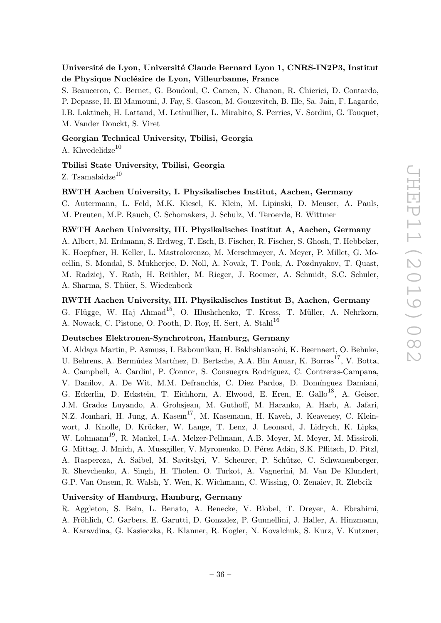# Université de Lyon, Université Claude Bernard Lyon 1, CNRS-IN2P3, Institut de Physique Nucléaire de Lyon, Villeurbanne, France

S. Beauceron, C. Bernet, G. Boudoul, C. Camen, N. Chanon, R. Chierici, D. Contardo, P. Depasse, H. El Mamouni, J. Fay, S. Gascon, M. Gouzevitch, B. Ille, Sa. Jain, F. Lagarde, I.B. Laktineh, H. Lattaud, M. Lethuillier, L. Mirabito, S. Perries, V. Sordini, G. Touquet, M. Vander Donckt, S. Viret

## Georgian Technical University, Tbilisi, Georgia

A. Khvedelidze $10$ 

# Tbilisi State University, Tbilisi, Georgia

 $Z.$  Tsamalaidze $^{10}$ 

### RWTH Aachen University, I. Physikalisches Institut, Aachen, Germany

C. Autermann, L. Feld, M.K. Kiesel, K. Klein, M. Lipinski, D. Meuser, A. Pauls, M. Preuten, M.P. Rauch, C. Schomakers, J. Schulz, M. Teroerde, B. Wittmer

## RWTH Aachen University, III. Physikalisches Institut A, Aachen, Germany

A. Albert, M. Erdmann, S. Erdweg, T. Esch, B. Fischer, R. Fischer, S. Ghosh, T. Hebbeker, K. Hoepfner, H. Keller, L. Mastrolorenzo, M. Merschmeyer, A. Meyer, P. Millet, G. Mocellin, S. Mondal, S. Mukherjee, D. Noll, A. Novak, T. Pook, A. Pozdnyakov, T. Quast, M. Radziej, Y. Rath, H. Reithler, M. Rieger, J. Roemer, A. Schmidt, S.C. Schuler, A. Sharma, S. Thüer, S. Wiedenbeck

# RWTH Aachen University, III. Physikalisches Institut B, Aachen, Germany

G. Flügge, W. Haj Ahmad<sup>15</sup>, O. Hlushchenko, T. Kress, T. Müller, A. Nehrkorn, A. Nowack, C. Pistone, O. Pooth, D. Roy, H. Sert, A. Stahl<sup>16</sup>

### Deutsches Elektronen-Synchrotron, Hamburg, Germany

M. Aldaya Martin, P. Asmuss, I. Babounikau, H. Bakhshiansohi, K. Beernaert, O. Behnke, U. Behrens, A. Bermúdez Martínez, D. Bertsche, A.A. Bin Anuar, K. Borras<sup>17</sup>, V. Botta, A. Campbell, A. Cardini, P. Connor, S. Consuegra Rodríguez, C. Contreras-Campana, V. Danilov, A. De Wit, M.M. Defranchis, C. Diez Pardos, D. Domínguez Damiani, G. Eckerlin, D. Eckstein, T. Eichhorn, A. Elwood, E. Eren, E. Gallo<sup>18</sup>, A. Geiser, J.M. Grados Luyando, A. Grohsjean, M. Guthoff, M. Haranko, A. Harb, A. Jafari, N.Z. Jomhari, H. Jung, A. Kasem<sup>17</sup>, M. Kasemann, H. Kaveh, J. Keaveney, C. Kleinwort, J. Knolle, D. Krücker, W. Lange, T. Lenz, J. Leonard, J. Lidrych, K. Lipka, W. Lohmann<sup>19</sup>, R. Mankel, I.-A. Melzer-Pellmann, A.B. Meyer, M. Meyer, M. Missiroli, G. Mittag, J. Mnich, A. Mussgiller, V. Myronenko, D. Pérez Adán, S.K. Pflitsch, D. Pitzl, A. Raspereza, A. Saibel, M. Savitskyi, V. Scheurer, P. Schütze, C. Schwanenberger, R. Shevchenko, A. Singh, H. Tholen, O. Turkot, A. Vagnerini, M. Van De Klundert, G.P. Van Onsem, R. Walsh, Y. Wen, K. Wichmann, C. Wissing, O. Zenaiev, R. Zlebcik

## University of Hamburg, Hamburg, Germany

R. Aggleton, S. Bein, L. Benato, A. Benecke, V. Blobel, T. Dreyer, A. Ebrahimi, A. Fröhlich, C. Garbers, E. Garutti, D. Gonzalez, P. Gunnellini, J. Haller, A. Hinzmann, A. Karavdina, G. Kasieczka, R. Klanner, R. Kogler, N. Kovalchuk, S. Kurz, V. Kutzner,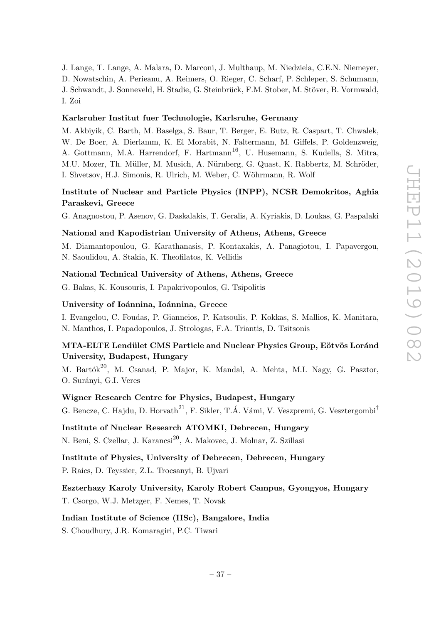J. Lange, T. Lange, A. Malara, D. Marconi, J. Multhaup, M. Niedziela, C.E.N. Niemeyer, D. Nowatschin, A. Perieanu, A. Reimers, O. Rieger, C. Scharf, P. Schleper, S. Schumann, J. Schwandt, J. Sonneveld, H. Stadie, G. Steinbrück, F.M. Stober, M. Stöver, B. Vormwald, I. Zoi

#### Karlsruher Institut fuer Technologie, Karlsruhe, Germany

M. Akbiyik, C. Barth, M. Baselga, S. Baur, T. Berger, E. Butz, R. Caspart, T. Chwalek, W. De Boer, A. Dierlamm, K. El Morabit, N. Faltermann, M. Giffels, P. Goldenzweig, A. Gottmann, M.A. Harrendorf, F. Hartmann<sup>16</sup>, U. Husemann, S. Kudella, S. Mitra, M.U. Mozer, Th. Müller, M. Musich, A. Nürnberg, G. Quast, K. Rabbertz, M. Schröder, I. Shvetsov, H.J. Simonis, R. Ulrich, M. Weber, C. Wöhrmann, R. Wolf

## Institute of Nuclear and Particle Physics (INPP), NCSR Demokritos, Aghia Paraskevi, Greece

G. Anagnostou, P. Asenov, G. Daskalakis, T. Geralis, A. Kyriakis, D. Loukas, G. Paspalaki

## National and Kapodistrian University of Athens, Athens, Greece

M. Diamantopoulou, G. Karathanasis, P. Kontaxakis, A. Panagiotou, I. Papavergou, N. Saoulidou, A. Stakia, K. Theofilatos, K. Vellidis

#### National Technical University of Athens, Athens, Greece

G. Bakas, K. Kousouris, I. Papakrivopoulos, G. Tsipolitis

#### University of Ioánnina, Ioánnina, Greece

I. Evangelou, C. Foudas, P. Gianneios, P. Katsoulis, P. Kokkas, S. Mallios, K. Manitara, N. Manthos, I. Papadopoulos, J. Strologas, F.A. Triantis, D. Tsitsonis

## MTA-ELTE Lendület CMS Particle and Nuclear Physics Group, Eötvös Loránd University, Budapest, Hungary

M. Bartók<sup>20</sup>, M. Csanad, P. Major, K. Mandal, A. Mehta, M.I. Nagy, G. Pasztor, O. Surányi, G.I. Veres

## Wigner Research Centre for Physics, Budapest, Hungary

G. Bencze, C. Hajdu, D. Horvath<sup>21</sup>, F. Sikler, T.Á. Vámi, V. Veszpremi, G. Vesztergombi<sup>†</sup>

## Institute of Nuclear Research ATOMKI, Debrecen, Hungary

N. Beni, S. Czellar, J. Karancsi<sup>20</sup>, A. Makovec, J. Molnar, Z. Szillasi

## Institute of Physics, University of Debrecen, Debrecen, Hungary

P. Raics, D. Teyssier, Z.L. Trocsanyi, B. Ujvari

#### Eszterhazy Karoly University, Karoly Robert Campus, Gyongyos, Hungary

T. Csorgo, W.J. Metzger, F. Nemes, T. Novak

## Indian Institute of Science (IISc), Bangalore, India

S. Choudhury, J.R. Komaragiri, P.C. Tiwari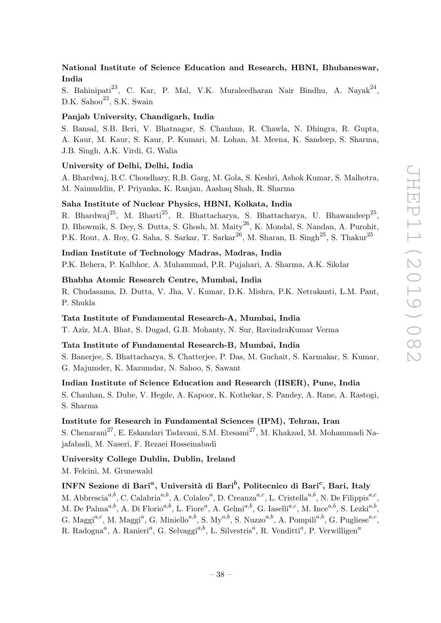## National Institute of Science Education and Research, HBNI, Bhubaneswar, India

S. Bahinipati<sup>23</sup>, C. Kar, P. Mal, V.K. Muraleedharan Nair Bindhu, A. Nayak<sup>24</sup>,  $D.K.$  Sahoo $^{23}$ , S.K. Swain

## Panjab University, Chandigarh, India

S. Bansal, S.B. Beri, V. Bhatnagar, S. Chauhan, R. Chawla, N. Dhingra, R. Gupta, A. Kaur, M. Kaur, S. Kaur, P. Kumari, M. Lohan, M. Meena, K. Sandeep, S. Sharma, J.B. Singh, A.K. Virdi, G. Walia

## University of Delhi, Delhi, India

A. Bhardwaj, B.C. Choudhary, R.B. Garg, M. Gola, S. Keshri, Ashok Kumar, S. Malhotra, M. Naimuddin, P. Priyanka, K. Ranjan, Aashaq Shah, R. Sharma

### Saha Institute of Nuclear Physics, HBNI, Kolkata, India

R. Bhardwaj<sup>25</sup>, M. Bharti<sup>25</sup>, R. Bhattacharya, S. Bhattacharya, U. Bhawandeep<sup>25</sup>, D. Bhowmik, S. Dey, S. Dutta, S. Ghosh, M. Maity<sup>26</sup>, K. Mondal, S. Nandan, A. Purohit, P.K. Rout, A. Roy, G. Saha, S. Sarkar, T. Sarkar<sup>26</sup>, M. Sharan, B. Singh<sup>25</sup>, S. Thakur<sup>25</sup>

#### Indian Institute of Technology Madras, Madras, India

P.K. Behera, P. Kalbhor, A. Muhammad, P.R. Pujahari, A. Sharma, A.K. Sikdar

#### Bhabha Atomic Research Centre, Mumbai, India

R. Chudasama, D. Dutta, V. Jha, V. Kumar, D.K. Mishra, P.K. Netrakanti, L.M. Pant, P. Shukla

#### Tata Institute of Fundamental Research-A, Mumbai, India

T. Aziz, M.A. Bhat, S. Dugad, G.B. Mohanty, N. Sur, RavindraKumar Verma

## Tata Institute of Fundamental Research-B, Mumbai, India

S. Banerjee, S. Bhattacharya, S. Chatterjee, P. Das, M. Guchait, S. Karmakar, S. Kumar, G. Majumder, K. Mazumdar, N. Sahoo, S. Sawant

#### Indian Institute of Science Education and Research (IISER), Pune, India

S. Chauhan, S. Dube, V. Hegde, A. Kapoor, K. Kothekar, S. Pandey, A. Rane, A. Rastogi, S. Sharma

## Institute for Research in Fundamental Sciences (IPM), Tehran, Iran

S. Chenarani<sup>27</sup>, E. Eskandari Tadavani, S.M. Etesami<sup>27</sup>, M. Khakzad, M. Mohammadi Najafabadi, M. Naseri, F. Rezaei Hosseinabadi

## University College Dublin, Dublin, Ireland

M. Felcini, M. Grunewald

# INFN Sezione di Bari $^a$ , Università di Bari $^b$ , Politecnico di Bari $^c$ , Bari, Italy

M. Abbrescia<sup>a,b</sup>, C. Calabria<sup>a,b</sup>, A. Colaleo<sup>a</sup>, D. Creanza<sup>a,c</sup>, L. Cristella<sup>a,b</sup>, N. De Filippis<sup>a,c</sup>, M. De Palma<sup>a,b</sup>, A. Di Florio<sup>a,b</sup>, L. Fiore<sup>a</sup>, A. Gelmi<sup>a,b</sup>, G. Iaselli<sup>a,c</sup>, M. Ince<sup>a,b</sup>, S. Lezki<sup>a,b</sup>, G. Maggi<sup>a,c</sup>, M. Maggi<sup>a</sup>, G. Miniello<sup>a,b</sup>, S. My<sup>a,b</sup>, S. Nuzzo<sup>a,b</sup>, A. Pompili<sup>a,b</sup>, G. Pugliese<sup>a,c</sup>, R. Radogna<sup>a</sup>, A. Ranieri<sup>a</sup>, G. Selvaggi<sup>a,b</sup>, L. Silvestris<sup>a</sup>, R. Venditti<sup>a</sup>, P. Verwilligen<sup>a</sup>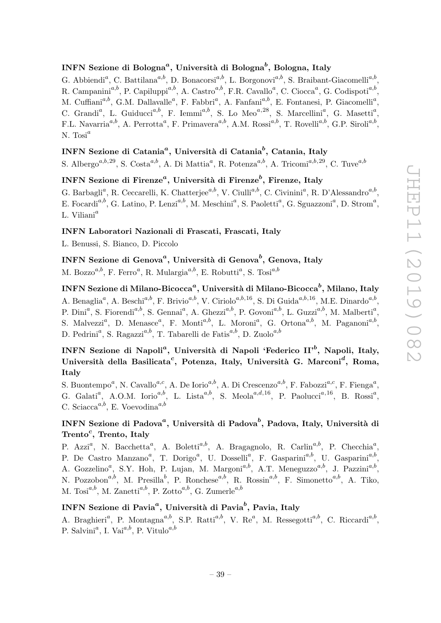# INFN Sezione di Bologna $^a,$  Università di Bologna $^b,$  Bologna, Italy

G. Abbiendi<sup>a</sup>, C. Battilana<sup>a,b</sup>, D. Bonacorsi<sup>a,b</sup>, L. Borgonovi<sup>a,b</sup>, S. Braibant-Giacomelli<sup>a,b</sup>, R. Campanini<sup>a,b</sup>, P. Capiluppi<sup>a,b</sup>, A. Castro<sup>a,b</sup>, F.R. Cavallo<sup>a</sup>, C. Ciocca<sup>a</sup>, G. Codispoti<sup>a,b</sup>, M. Cuffiani<sup>a,b</sup>, G.M. Dallavalle<sup>a</sup>, F. Fabbri<sup>a</sup>, A. Fanfani<sup>a,b</sup>, E. Fontanesi, P. Giacomelli<sup>a</sup>, C. Grandi<sup>a</sup>, L. Guiducci<sup>a,b</sup>, F. Iemmi<sup>a,b</sup>, S. Lo Meo<sup>a,28</sup>, S. Marcellini<sup>a</sup>, G. Masetti<sup>a</sup>, F.L. Navarria<sup>a,b</sup>, A. Perrotta<sup>a</sup>, F. Primavera<sup>a,b</sup>, A.M. Rossi<sup>a,b</sup>, T. Rovelli<sup>a,b</sup>, G.P. Siroli<sup>a,b</sup>, N. Tosi $^a$ 

# INFN Sezione di Catania $^a,$  Università di Catania $^b,$  Catania, Italy

S. Albergo<sup>a,b,29</sup>, S. Costa<sup>a,b</sup>, A. Di Mattia<sup>a</sup>, R. Potenza<sup>a,b</sup>, A. Tricomi<sup>a,b,29</sup>, C. Tuve<sup>a,b</sup>

# INFN Sezione di Firenze $^a,$  Università di Firenze $^b,$  Firenze, Italy

G. Barbagli<sup>a</sup>, R. Ceccarelli, K. Chatterjee<sup>a,b</sup>, V. Ciulli<sup>a,b</sup>, C. Civinini<sup>a</sup>, R. D'Alessandro<sup>a,b</sup>,

E. Focardi<sup>a,b</sup>, G. Latino, P. Lenzi<sup>a,b</sup>, M. Meschini<sup>a</sup>, S. Paoletti<sup>a</sup>, G. Sguazzoni<sup>a</sup>, D. Strom<sup>a</sup>, L. Viliani $^a$ 

## INFN Laboratori Nazionali di Frascati, Frascati, Italy

L. Benussi, S. Bianco, D. Piccolo

# INFN Sezione di Genova $^a,$  Università di Genova $^b,$  Genova, Italy

M. Bozzo<sup>a,b</sup>, F. Ferro<sup>a</sup>, R. Mulargia<sup>a,b</sup>, E. Robutti<sup>a</sup>, S. Tosi<sup>a,b</sup>

# INFN Sezione di Milano-Bicocca $^a,$  Università di Milano-Bicocca $^b,$  Milano, Italy

A. Benaglia<sup>a</sup>, A. Beschi<sup>a,b</sup>, F. Brivio<sup>a,b</sup>, V. Ciriolo<sup>a,b,16</sup>, S. Di Guida<sup>a,b,16</sup>, M.E. Dinardo<sup>a,b</sup>, P. Dini<sup>a</sup>, S. Fiorendi<sup>a,b</sup>, S. Gennai<sup>a</sup>, A. Ghezzi<sup>a,b</sup>, P. Govoni<sup>a,b</sup>, L. Guzzi<sup>a,b</sup>, M. Malberti<sup>a</sup>, S. Malvezzi<sup>a</sup>, D. Menasce<sup>a</sup>, F. Monti<sup>a,b</sup>, L. Moroni<sup>a</sup>, G. Ortona<sup>a,b</sup>, M. Paganoni<sup>a,b</sup>, D. Pedrini<sup>a</sup>, S. Ragazzi<sup>a,b</sup>, T. Tabarelli de Fatis<sup>a,b</sup>, D. Zuolo<sup>a,b</sup>

# INFN Sezione di Napoli $^a$ , Università di Napoli 'Federico II' $^b$ , Napoli, Italy, Università della Basilicata $^c$ , Potenza, Italy, Università G. Marconi $^d$ , Roma, Italy

S. Buontempo<sup>a</sup>, N. Cavallo<sup>a,c</sup>, A. De Iorio<sup>a,b</sup>, A. Di Crescenzo<sup>a,b</sup>, F. Fabozzi<sup>a,c</sup>, F. Fienga<sup>a</sup>, G. Galati<sup>a</sup>, A.O.M. Iorio<sup>a,b</sup>, L. Lista<sup>a,b</sup>, S. Meola<sup>a,d,16</sup>, P. Paolucci<sup>a,16</sup>, B. Rossi<sup>a</sup>, C. Sciacca<sup> $a,b$ </sup>, E. Voevodina $a,b$ 

# INFN Sezione di Padova $^a,$  Università di Padova $^b,$  Padova, Italy, Università di  $\operatorname{Trento}^c, \operatorname{Trento}, \operatorname{Italy}$

P. Azzi<sup>a</sup>, N. Bacchetta<sup>a</sup>, A. Boletti<sup>a,b</sup>, A. Bragagnolo, R. Carlin<sup>a,b</sup>, P. Checchia<sup>a</sup>, P. De Castro Manzano<sup>a</sup>, T. Dorigo<sup>a</sup>, U. Dosselli<sup>a</sup>, F. Gasparini<sup>a,b</sup>, U. Gasparini<sup>a,b</sup>, A. Gozzelino<sup>a</sup>, S.Y. Hoh, P. Lujan, M. Margoni<sup>a,b</sup>, A.T. Meneguzzo<sup>a,b</sup>, J. Pazzini<sup>a,b</sup>, N. Pozzobon<sup>a,b</sup>, M. Presilla<sup>b</sup>, P. Ronchese<sup>a,b</sup>, R. Rossin<sup>a,b</sup>, F. Simonetto<sup>a,b</sup>, A. Tiko, M. Tosi<sup>a,b</sup>, M. Zanetti<sup>a,b</sup>, P. Zotto<sup>a,b</sup>, G. Zumerle<sup>a,b</sup>

# INFN Sezione di Pavia $^a,$  Università di Pavia $^b,$  Pavia, Italy

A. Braghieri<sup>a</sup>, P. Montagna<sup>a,b</sup>, S.P. Ratti<sup>a,b</sup>, V. Re<sup>a</sup>, M. Ressegotti<sup>a,b</sup>, C. Riccardi<sup>a,b</sup>, P. Salvini<sup>a</sup>, I. Vai<sup> $a,b$ </sup>, P. Vitulo $a,b$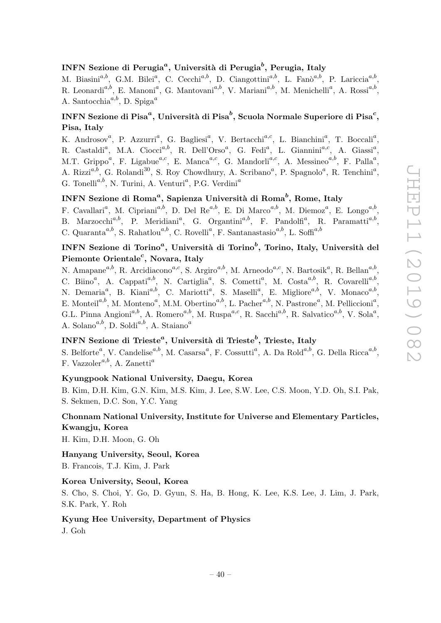# INFN Sezione di Perugia $^a,$  Università di Perugia $^b,$  Perugia, Italy

M. Biasini<sup>a,b</sup>, G.M. Bilei<sup>a</sup>, C. Cecchi<sup>a,b</sup>, D. Ciangottini<sup>a,b</sup>, L. Fanò<sup>a,b</sup>, P. Lariccia<sup>a,b</sup>, R. Leonardi<sup>a,b</sup>, E. Manoni<sup>a</sup>, G. Mantovani<sup>a,b</sup>, V. Mariani<sup>a,b</sup>, M. Menichelli<sup>a</sup>, A. Rossi<sup>a,b</sup>, A. Santocchia<sup>a,b</sup>, D. Spiga<sup>a</sup>

# INFN Sezione di Pisa $^a,$  Università di Pisa $^b,$  Scuola Normale Superiore di Pisa $^c,$ Pisa, Italy

K. Androsov<sup>a</sup>, P. Azzurri<sup>a</sup>, G. Bagliesi<sup>a</sup>, V. Bertacchi<sup>a,c</sup>, L. Bianchini<sup>a</sup>, T. Boccali<sup>a</sup>, R. Castaldi<sup>a</sup>, M.A. Ciocci<sup>a,b</sup>, R. Dell'Orso<sup>a</sup>, G. Fedi<sup>a</sup>, L. Giannini<sup>a,c</sup>, A. Giassi<sup>a</sup>, M.T. Grippo<sup>a</sup>, F. Ligabue<sup>a,c</sup>, E. Manca<sup>a,c</sup>, G. Mandorli<sup>a,c</sup>, A. Messineo<sup>a,b</sup>, F. Palla<sup>a</sup>, A. Rizzi<sup>a,b</sup>, G. Rolandi<sup>30</sup>, S. Roy Chowdhury, A. Scribano<sup>a</sup>, P. Spagnolo<sup>a</sup>, R. Tenchini<sup>a</sup>, G. Tonelli $a,b$ , N. Turini, A. Venturi<sup>a</sup>, P.G. Verdini<sup>a</sup>

# INFN Sezione di Roma $^a,$  Sapienza Università di Roma $^b,$  Rome, Italy

F. Cavallari<sup>a</sup>, M. Cipriani<sup>a,b</sup>, D. Del Re<sup>a,b</sup>, E. Di Marco<sup>a,b</sup>, M. Diemoz<sup>a</sup>, E. Longo<sup>a,b</sup>, B. Marzocchi<sup>a,b</sup>, P. Meridiani<sup>a</sup>, G. Organtini<sup>a,b</sup>, F. Pandolfi<sup>a</sup>, R. Paramatti<sup>a,b</sup>, C. Quaranta $a,b$ , S. Rahatlou $a,b$ , C. Rovelli $^a$ , F. Santanastasio $a,b$ , L. Soffi $a,b$ 

# INFN Sezione di Torino $^a,$  Università di Torino $^b,$  Torino, Italy, Università del  $\mathbf P$ iemonte Orientale $^c,$  Novara, Italy

N. Amapane<sup>a,b</sup>, R. Arcidiacono<sup>a,c</sup>, S. Argiro<sup>a,b</sup>, M. Arneodo<sup>a,c</sup>, N. Bartosik<sup>a</sup>, R. Bellan<sup>a,b</sup>, C. Biino<sup>a</sup>, A. Cappati<sup>a,b</sup>, N. Cartiglia<sup>a</sup>, S. Cometti<sup>a</sup>, M. Costa<sup>a,b</sup>, R. Covarelli<sup>a,b</sup>, N. Demaria<sup>a</sup>, B. Kiani<sup>a,b</sup>, C. Mariotti<sup>a</sup>, S. Maselli<sup>a</sup>, E. Migliore<sup>a,b</sup>, V. Monaco<sup>a,b</sup>, E. Monteil<sup>a,b</sup>, M. Monteno<sup>a</sup>, M.M. Obertino<sup>a,b</sup>, L. Pacher<sup>a,b</sup>, N. Pastrone<sup>a</sup>, M. Pelliccioni<sup>a</sup>, G.L. Pinna Angioni<sup>a,b</sup>, A. Romero<sup>a,b</sup>, M. Ruspa<sup>a,c</sup>, R. Sacchi<sup>a,b</sup>, R. Salvatico<sup>a,b</sup>, V. Sola<sup>a</sup>, A. Solano $\real^{a,b},$ D. Soldi $\real^{a,b},$ A. Staiano $\real^a$ 

# INFN Sezione di Trieste $^a,$  Università di Trieste $^b,$  Trieste, Italy

S. Belforte<sup>a</sup>, V. Candelise<sup>a,b</sup>, M. Casarsa<sup>a</sup>, F. Cossutti<sup>a</sup>, A. Da Rold<sup>a,b</sup>, G. Della Ricca<sup>a,b</sup>, F. Vazzoler $a,b$ , A. Zanetti $a$ 

## Kyungpook National University, Daegu, Korea

B. Kim, D.H. Kim, G.N. Kim, M.S. Kim, J. Lee, S.W. Lee, C.S. Moon, Y.D. Oh, S.I. Pak, S. Sekmen, D.C. Son, Y.C. Yang

## Chonnam National University, Institute for Universe and Elementary Particles, Kwangju, Korea

H. Kim, D.H. Moon, G. Oh

Hanyang University, Seoul, Korea B. Francois, T.J. Kim, J. Park

#### Korea University, Seoul, Korea

S. Cho, S. Choi, Y. Go, D. Gyun, S. Ha, B. Hong, K. Lee, K.S. Lee, J. Lim, J. Park, S.K. Park, Y. Roh

## Kyung Hee University, Department of Physics

J. Goh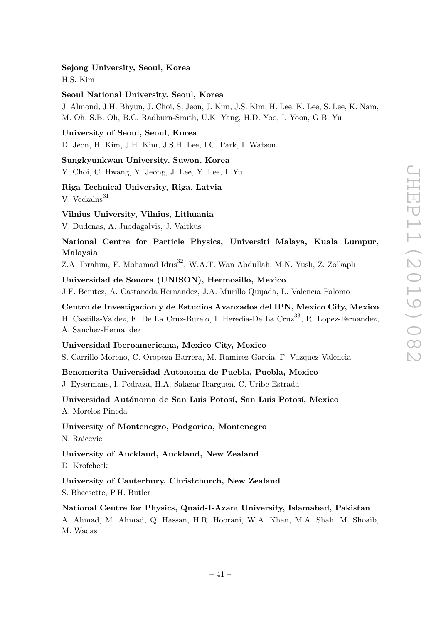Sejong University, Seoul, Korea H.S. Kim

#### Seoul National University, Seoul, Korea

J. Almond, J.H. Bhyun, J. Choi, S. Jeon, J. Kim, J.S. Kim, H. Lee, K. Lee, S. Lee, K. Nam, M. Oh, S.B. Oh, B.C. Radburn-Smith, U.K. Yang, H.D. Yoo, I. Yoon, G.B. Yu

University of Seoul, Seoul, Korea D. Jeon, H. Kim, J.H. Kim, J.S.H. Lee, I.C. Park, I. Watson

# Sungkyunkwan University, Suwon, Korea

Y. Choi, C. Hwang, Y. Jeong, J. Lee, Y. Lee, I. Yu

Riga Technical University, Riga, Latvia V. Veckalns $^{31}$ 

# Vilnius University, Vilnius, Lithuania

V. Dudenas, A. Juodagalvis, J. Vaitkus

## National Centre for Particle Physics, Universiti Malaya, Kuala Lumpur, Malaysia

Z.A. Ibrahim, F. Mohamad Idris<sup>32</sup>, W.A.T. Wan Abdullah, M.N. Yusli, Z. Zolkapli

## Universidad de Sonora (UNISON), Hermosillo, Mexico

J.F. Benitez, A. Castaneda Hernandez, J.A. Murillo Quijada, L. Valencia Palomo

## Centro de Investigacion y de Estudios Avanzados del IPN, Mexico City, Mexico

H. Castilla-Valdez, E. De La Cruz-Burelo, I. Heredia-De La Cruz<sup>33</sup>, R. Lopez-Fernandez, A. Sanchez-Hernandez

## Universidad Iberoamericana, Mexico City, Mexico

S. Carrillo Moreno, C. Oropeza Barrera, M. Ramirez-Garcia, F. Vazquez Valencia

#### Benemerita Universidad Autonoma de Puebla, Puebla, Mexico

J. Eysermans, I. Pedraza, H.A. Salazar Ibarguen, C. Uribe Estrada

## Universidad Autónoma de San Luis Potosí, San Luis Potosí, Mexico

A. Morelos Pineda

University of Montenegro, Podgorica, Montenegro N. Raicevic

## University of Auckland, Auckland, New Zealand D. Krofcheck

University of Canterbury, Christchurch, New Zealand S. Bheesette, P.H. Butler

#### National Centre for Physics, Quaid-I-Azam University, Islamabad, Pakistan

A. Ahmad, M. Ahmad, Q. Hassan, H.R. Hoorani, W.A. Khan, M.A. Shah, M. Shoaib, M. Waqas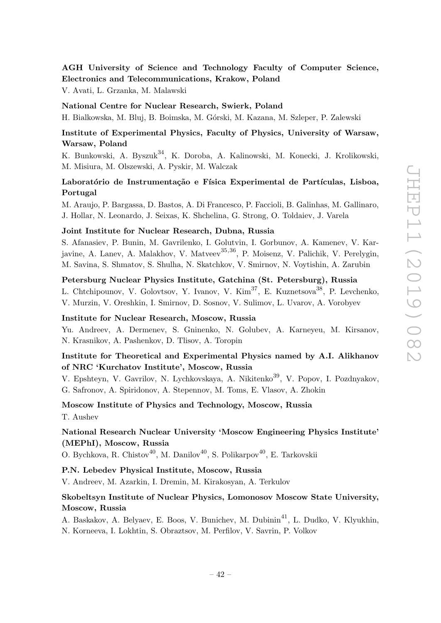## AGH University of Science and Technology Faculty of Computer Science, Electronics and Telecommunications, Krakow, Poland

V. Avati, L. Grzanka, M. Malawski

#### National Centre for Nuclear Research, Swierk, Poland

H. Bialkowska, M. Bluj, B. Boimska, M. G´orski, M. Kazana, M. Szleper, P. Zalewski

## Institute of Experimental Physics, Faculty of Physics, University of Warsaw, Warsaw, Poland

K. Bunkowski, A. Byszuk<sup>34</sup>, K. Doroba, A. Kalinowski, M. Konecki, J. Krolikowski, M. Misiura, M. Olszewski, A. Pyskir, M. Walczak

## Laboratório de Instrumentação e Física Experimental de Partículas, Lisboa, Portugal

M. Araujo, P. Bargassa, D. Bastos, A. Di Francesco, P. Faccioli, B. Galinhas, M. Gallinaro, J. Hollar, N. Leonardo, J. Seixas, K. Shchelina, G. Strong, O. Toldaiev, J. Varela

### Joint Institute for Nuclear Research, Dubna, Russia

S. Afanasiev, P. Bunin, M. Gavrilenko, I. Golutvin, I. Gorbunov, A. Kamenev, V. Karjavine, A. Lanev, A. Malakhov, V. Matveev<sup>35,36</sup>, P. Moisenz, V. Palichik, V. Perelygin, M. Savina, S. Shmatov, S. Shulha, N. Skatchkov, V. Smirnov, N. Voytishin, A. Zarubin

## Petersburg Nuclear Physics Institute, Gatchina (St. Petersburg), Russia

L. Chtchipounov, V. Golovtsov, Y. Ivanov, V. Kim<sup>37</sup>, E. Kuznetsova<sup>38</sup>, P. Levchenko, V. Murzin, V. Oreshkin, I. Smirnov, D. Sosnov, V. Sulimov, L. Uvarov, A. Vorobyev

#### Institute for Nuclear Research, Moscow, Russia

Yu. Andreev, A. Dermenev, S. Gninenko, N. Golubev, A. Karneyeu, M. Kirsanov, N. Krasnikov, A. Pashenkov, D. Tlisov, A. Toropin

## Institute for Theoretical and Experimental Physics named by A.I. Alikhanov of NRC 'Kurchatov Institute', Moscow, Russia

V. Epshteyn, V. Gavrilov, N. Lychkovskaya, A. Nikitenko<sup>39</sup>, V. Popov, I. Pozdnyakov, G. Safronov, A. Spiridonov, A. Stepennov, M. Toms, E. Vlasov, A. Zhokin

Moscow Institute of Physics and Technology, Moscow, Russia T. Aushev

## National Research Nuclear University 'Moscow Engineering Physics Institute' (MEPhI), Moscow, Russia

O. Bychkova, R. Chistov<sup>40</sup>, M. Danilov<sup>40</sup>, S. Polikarpov<sup>40</sup>, E. Tarkovskii

### P.N. Lebedev Physical Institute, Moscow, Russia

V. Andreev, M. Azarkin, I. Dremin, M. Kirakosyan, A. Terkulov

## Skobeltsyn Institute of Nuclear Physics, Lomonosov Moscow State University, Moscow, Russia

A. Baskakov, A. Belyaev, E. Boos, V. Bunichev, M. Dubinin<sup>41</sup>, L. Dudko, V. Klyukhin, N. Korneeva, I. Lokhtin, S. Obraztsov, M. Perfilov, V. Savrin, P. Volkov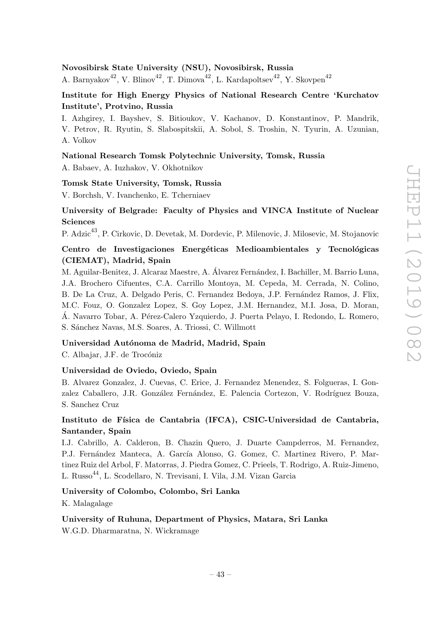## Novosibirsk State University (NSU), Novosibirsk, Russia

A. Barnyakov<sup>42</sup>, V. Blinov<sup>42</sup>, T. Dimova<sup>42</sup>, L. Kardapoltsev<sup>42</sup>, Y. Skovpen<sup>42</sup>

# Institute for High Energy Physics of National Research Centre 'Kurchatov Institute', Protvino, Russia

I. Azhgirey, I. Bayshev, S. Bitioukov, V. Kachanov, D. Konstantinov, P. Mandrik, V. Petrov, R. Ryutin, S. Slabospitskii, A. Sobol, S. Troshin, N. Tyurin, A. Uzunian, A. Volkov

#### National Research Tomsk Polytechnic University, Tomsk, Russia

A. Babaev, A. Iuzhakov, V. Okhotnikov

#### Tomsk State University, Tomsk, Russia

V. Borchsh, V. Ivanchenko, E. Tcherniaev

# University of Belgrade: Faculty of Physics and VINCA Institute of Nuclear Sciences

P. Adzic<sup>43</sup>, P. Cirkovic, D. Devetak, M. Dordevic, P. Milenovic, J. Milosevic, M. Stojanovic

## Centro de Investigaciones Energéticas Medioambientales y Tecnológicas (CIEMAT), Madrid, Spain

M. Aguilar-Benitez, J. Alcaraz Maestre, A. Álvarez Fernández, I. Bachiller, M. Barrio Luna, J.A. Brochero Cifuentes, C.A. Carrillo Montoya, M. Cepeda, M. Cerrada, N. Colino, B. De La Cruz, A. Delgado Peris, C. Fernandez Bedoya, J.P. Fernández Ramos, J. Flix, M.C. Fouz, O. Gonzalez Lopez, S. Goy Lopez, J.M. Hernandez, M.I. Josa, D. Moran, Á. Navarro Tobar, A. Pérez-Calero Yzquierdo, J. Puerta Pelayo, I. Redondo, L. Romero, S. Sánchez Navas, M.S. Soares, A. Triossi, C. Willmott

## Universidad Autónoma de Madrid, Madrid, Spain

C. Albajar, J.F. de Trocóniz

## Universidad de Oviedo, Oviedo, Spain

B. Alvarez Gonzalez, J. Cuevas, C. Erice, J. Fernandez Menendez, S. Folgueras, I. Gonzalez Caballero, J.R. González Fernández, E. Palencia Cortezon, V. Rodríguez Bouza, S. Sanchez Cruz

## Instituto de Física de Cantabria (IFCA), CSIC-Universidad de Cantabria, Santander, Spain

I.J. Cabrillo, A. Calderon, B. Chazin Quero, J. Duarte Campderros, M. Fernandez, P.J. Fernández Manteca, A. García Alonso, G. Gomez, C. Martinez Rivero, P. Martinez Ruiz del Arbol, F. Matorras, J. Piedra Gomez, C. Prieels, T. Rodrigo, A. Ruiz-Jimeno, L. Russo<sup>44</sup>, L. Scodellaro, N. Trevisani, I. Vila, J.M. Vizan Garcia

## University of Colombo, Colombo, Sri Lanka

K. Malagalage

### University of Ruhuna, Department of Physics, Matara, Sri Lanka

W.G.D. Dharmaratna, N. Wickramage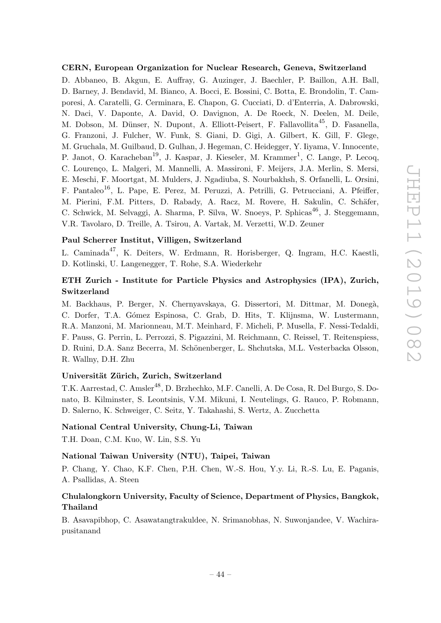## CERN, European Organization for Nuclear Research, Geneva, Switzerland

D. Abbaneo, B. Akgun, E. Auffray, G. Auzinger, J. Baechler, P. Baillon, A.H. Ball, D. Barney, J. Bendavid, M. Bianco, A. Bocci, E. Bossini, C. Botta, E. Brondolin, T. Camporesi, A. Caratelli, G. Cerminara, E. Chapon, G. Cucciati, D. d'Enterria, A. Dabrowski, N. Daci, V. Daponte, A. David, O. Davignon, A. De Roeck, N. Deelen, M. Deile, M. Dobson, M. Dünser, N. Dupont, A. Elliott-Peisert, F. Fallavollita<sup>45</sup>, D. Fasanella, G. Franzoni, J. Fulcher, W. Funk, S. Giani, D. Gigi, A. Gilbert, K. Gill, F. Glege, M. Gruchala, M. Guilbaud, D. Gulhan, J. Hegeman, C. Heidegger, Y. Iiyama, V. Innocente, P. Janot, O. Karacheban<sup>19</sup>, J. Kaspar, J. Kieseler, M. Krammer<sup>1</sup>, C. Lange, P. Lecoq, C. Lourenço, L. Malgeri, M. Mannelli, A. Massironi, F. Meijers, J.A. Merlin, S. Mersi, E. Meschi, F. Moortgat, M. Mulders, J. Ngadiuba, S. Nourbakhsh, S. Orfanelli, L. Orsini, F. Pantaleo<sup>16</sup>, L. Pape, E. Perez, M. Peruzzi, A. Petrilli, G. Petrucciani, A. Pfeiffer, M. Pierini, F.M. Pitters, D. Rabady, A. Racz, M. Rovere, H. Sakulin, C. Schäfer, C. Schwick, M. Selvaggi, A. Sharma, P. Silva, W. Snoeys, P. Sphicas<sup>46</sup>, J. Steggemann, V.R. Tavolaro, D. Treille, A. Tsirou, A. Vartak, M. Verzetti, W.D. Zeuner

### Paul Scherrer Institut, Villigen, Switzerland

L. Caminada<sup>47</sup>, K. Deiters, W. Erdmann, R. Horisberger, Q. Ingram, H.C. Kaestli, D. Kotlinski, U. Langenegger, T. Rohe, S.A. Wiederkehr

## ETH Zurich - Institute for Particle Physics and Astrophysics (IPA), Zurich, Switzerland

M. Backhaus, P. Berger, N. Chernyavskaya, G. Dissertori, M. Dittmar, M. Donegà, C. Dorfer, T.A. Gómez Espinosa, C. Grab, D. Hits, T. Klijnsma, W. Lustermann, R.A. Manzoni, M. Marionneau, M.T. Meinhard, F. Micheli, P. Musella, F. Nessi-Tedaldi, F. Pauss, G. Perrin, L. Perrozzi, S. Pigazzini, M. Reichmann, C. Reissel, T. Reitenspiess, D. Ruini, D.A. Sanz Becerra, M. Schönenberger, L. Shchutska, M.L. Vesterbacka Olsson, R. Wallny, D.H. Zhu

## Universität Zürich, Zurich, Switzerland

T.K. Aarrestad, C. Amsler<sup>48</sup>, D. Brzhechko, M.F. Canelli, A. De Cosa, R. Del Burgo, S. Donato, B. Kilminster, S. Leontsinis, V.M. Mikuni, I. Neutelings, G. Rauco, P. Robmann, D. Salerno, K. Schweiger, C. Seitz, Y. Takahashi, S. Wertz, A. Zucchetta

#### National Central University, Chung-Li, Taiwan

T.H. Doan, C.M. Kuo, W. Lin, S.S. Yu

## National Taiwan University (NTU), Taipei, Taiwan

P. Chang, Y. Chao, K.F. Chen, P.H. Chen, W.-S. Hou, Y.y. Li, R.-S. Lu, E. Paganis, A. Psallidas, A. Steen

## Chulalongkorn University, Faculty of Science, Department of Physics, Bangkok, Thailand

B. Asavapibhop, C. Asawatangtrakuldee, N. Srimanobhas, N. Suwonjandee, V. Wachirapusitanand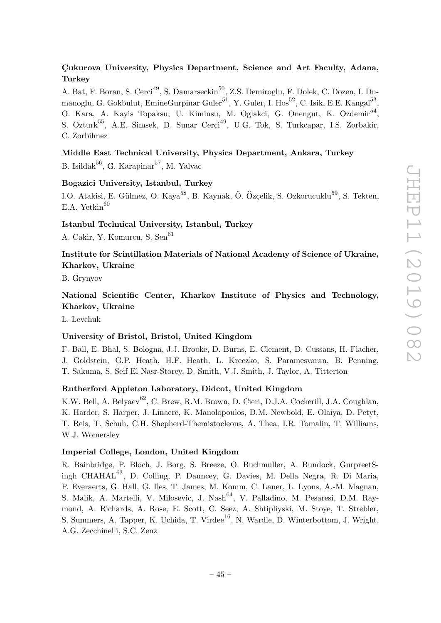## Cukurova University, Physics Department, Science and Art Faculty, Adana, **Turkey**

A. Bat, F. Boran, S. Cerci<sup>49</sup>, S. Damarseckin<sup>50</sup>, Z.S. Demiroglu, F. Dolek, C. Dozen, I. Dumanoglu, G. Gokbulut, EmineGurpinar Guler<sup>51</sup>, Y. Guler, I. Hos<sup>52</sup>, C. Isik, E.E. Kangal<sup>53</sup>, O. Kara, A. Kayis Topaksu, U. Kiminsu, M. Oglakci, G. Onengut, K. Ozdemir<sup>54</sup>, S. Ozturk<sup>55</sup>, A.E. Simsek, D. Sunar Cerci<sup>49</sup>, U.G. Tok, S. Turkcapar, I.S. Zorbakir, C. Zorbilmez

# Middle East Technical University, Physics Department, Ankara, Turkey

B. Isildak<sup>56</sup>, G. Karapinar<sup>57</sup>, M. Yalvac

## Bogazici University, Istanbul, Turkey

I.O. Atakisi, E. Gülmez, O. Kaya<sup>58</sup>, B. Kaynak, Ö. Özçelik, S. Ozkorucuklu<sup>59</sup>, S. Tekten, E.A. Yetkin $^{60}$ 

## Istanbul Technical University, Istanbul, Turkey

A. Cakir, Y. Komurcu, S. Sen<sup>61</sup>

# Institute for Scintillation Materials of National Academy of Science of Ukraine, Kharkov, Ukraine

B. Grynyov

# National Scientific Center, Kharkov Institute of Physics and Technology, Kharkov, Ukraine

L. Levchuk

## University of Bristol, Bristol, United Kingdom

F. Ball, E. Bhal, S. Bologna, J.J. Brooke, D. Burns, E. Clement, D. Cussans, H. Flacher, J. Goldstein, G.P. Heath, H.F. Heath, L. Kreczko, S. Paramesvaran, B. Penning, T. Sakuma, S. Seif El Nasr-Storey, D. Smith, V.J. Smith, J. Taylor, A. Titterton

## Rutherford Appleton Laboratory, Didcot, United Kingdom

K.W. Bell, A. Belyaev<sup>62</sup>, C. Brew, R.M. Brown, D. Cieri, D.J.A. Cockerill, J.A. Coughlan, K. Harder, S. Harper, J. Linacre, K. Manolopoulos, D.M. Newbold, E. Olaiya, D. Petyt, T. Reis, T. Schuh, C.H. Shepherd-Themistocleous, A. Thea, I.R. Tomalin, T. Williams, W.J. Womersley

### Imperial College, London, United Kingdom

R. Bainbridge, P. Bloch, J. Borg, S. Breeze, O. Buchmuller, A. Bundock, GurpreetSingh CHAHAL63, D. Colling, P. Dauncey, G. Davies, M. Della Negra, R. Di Maria, P. Everaerts, G. Hall, G. Iles, T. James, M. Komm, C. Laner, L. Lyons, A.-M. Magnan, S. Malik, A. Martelli, V. Milosevic, J. Nash<sup>64</sup>, V. Palladino, M. Pesaresi, D.M. Raymond, A. Richards, A. Rose, E. Scott, C. Seez, A. Shtipliyski, M. Stoye, T. Strebler, S. Summers, A. Tapper, K. Uchida, T. Virdee<sup>16</sup>, N. Wardle, D. Winterbottom, J. Wright, A.G. Zecchinelli, S.C. Zenz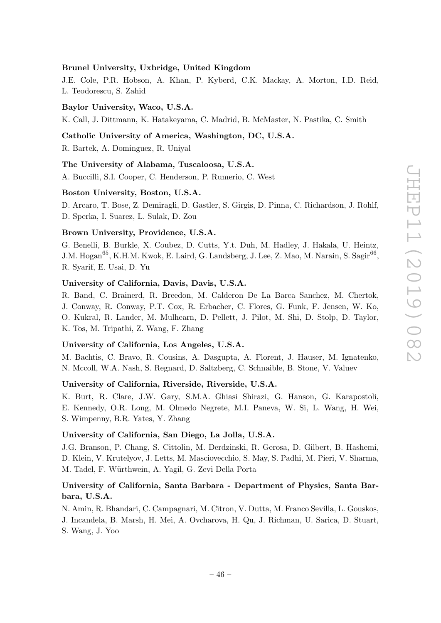### Brunel University, Uxbridge, United Kingdom

J.E. Cole, P.R. Hobson, A. Khan, P. Kyberd, C.K. Mackay, A. Morton, I.D. Reid, L. Teodorescu, S. Zahid

#### Baylor University, Waco, U.S.A.

K. Call, J. Dittmann, K. Hatakeyama, C. Madrid, B. McMaster, N. Pastika, C. Smith

### Catholic University of America, Washington, DC, U.S.A.

R. Bartek, A. Dominguez, R. Uniyal

#### The University of Alabama, Tuscaloosa, U.S.A.

A. Buccilli, S.I. Cooper, C. Henderson, P. Rumerio, C. West

### Boston University, Boston, U.S.A.

D. Arcaro, T. Bose, Z. Demiragli, D. Gastler, S. Girgis, D. Pinna, C. Richardson, J. Rohlf, D. Sperka, I. Suarez, L. Sulak, D. Zou

### Brown University, Providence, U.S.A.

G. Benelli, B. Burkle, X. Coubez, D. Cutts, Y.t. Duh, M. Hadley, J. Hakala, U. Heintz, J.M. Hogan<sup>65</sup>, K.H.M. Kwok, E. Laird, G. Landsberg, J. Lee, Z. Mao, M. Narain, S. Sagir<sup>66</sup>, R. Syarif, E. Usai, D. Yu

### University of California, Davis, Davis, U.S.A.

R. Band, C. Brainerd, R. Breedon, M. Calderon De La Barca Sanchez, M. Chertok, J. Conway, R. Conway, P.T. Cox, R. Erbacher, C. Flores, G. Funk, F. Jensen, W. Ko, O. Kukral, R. Lander, M. Mulhearn, D. Pellett, J. Pilot, M. Shi, D. Stolp, D. Taylor, K. Tos, M. Tripathi, Z. Wang, F. Zhang

## University of California, Los Angeles, U.S.A.

M. Bachtis, C. Bravo, R. Cousins, A. Dasgupta, A. Florent, J. Hauser, M. Ignatenko, N. Mccoll, W.A. Nash, S. Regnard, D. Saltzberg, C. Schnaible, B. Stone, V. Valuev

### University of California, Riverside, Riverside, U.S.A.

K. Burt, R. Clare, J.W. Gary, S.M.A. Ghiasi Shirazi, G. Hanson, G. Karapostoli, E. Kennedy, O.R. Long, M. Olmedo Negrete, M.I. Paneva, W. Si, L. Wang, H. Wei, S. Wimpenny, B.R. Yates, Y. Zhang

#### University of California, San Diego, La Jolla, U.S.A.

J.G. Branson, P. Chang, S. Cittolin, M. Derdzinski, R. Gerosa, D. Gilbert, B. Hashemi, D. Klein, V. Krutelyov, J. Letts, M. Masciovecchio, S. May, S. Padhi, M. Pieri, V. Sharma, M. Tadel, F. Würthwein, A. Yagil, G. Zevi Della Porta

## University of California, Santa Barbara - Department of Physics, Santa Barbara, U.S.A.

N. Amin, R. Bhandari, C. Campagnari, M. Citron, V. Dutta, M. Franco Sevilla, L. Gouskos, J. Incandela, B. Marsh, H. Mei, A. Ovcharova, H. Qu, J. Richman, U. Sarica, D. Stuart, S. Wang, J. Yoo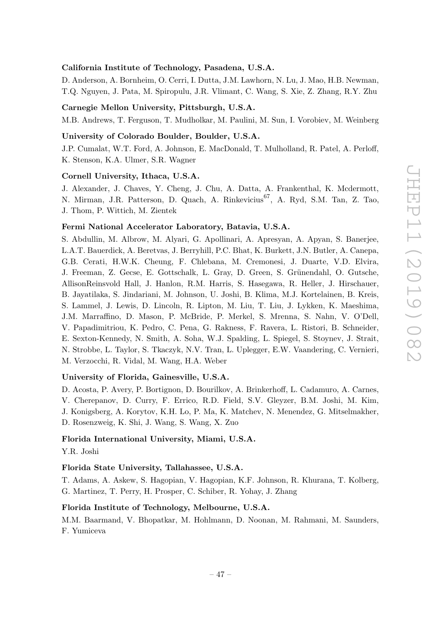### California Institute of Technology, Pasadena, U.S.A.

D. Anderson, A. Bornheim, O. Cerri, I. Dutta, J.M. Lawhorn, N. Lu, J. Mao, H.B. Newman, T.Q. Nguyen, J. Pata, M. Spiropulu, J.R. Vlimant, C. Wang, S. Xie, Z. Zhang, R.Y. Zhu

#### Carnegie Mellon University, Pittsburgh, U.S.A.

M.B. Andrews, T. Ferguson, T. Mudholkar, M. Paulini, M. Sun, I. Vorobiev, M. Weinberg

#### University of Colorado Boulder, Boulder, U.S.A.

J.P. Cumalat, W.T. Ford, A. Johnson, E. MacDonald, T. Mulholland, R. Patel, A. Perloff, K. Stenson, K.A. Ulmer, S.R. Wagner

#### Cornell University, Ithaca, U.S.A.

J. Alexander, J. Chaves, Y. Cheng, J. Chu, A. Datta, A. Frankenthal, K. Mcdermott, N. Mirman, J.R. Patterson, D. Quach, A. Rinkevicius<sup>67</sup>, A. Ryd, S.M. Tan, Z. Tao, J. Thom, P. Wittich, M. Zientek

#### Fermi National Accelerator Laboratory, Batavia, U.S.A.

S. Abdullin, M. Albrow, M. Alyari, G. Apollinari, A. Apresyan, A. Apyan, S. Banerjee, L.A.T. Bauerdick, A. Beretvas, J. Berryhill, P.C. Bhat, K. Burkett, J.N. Butler, A. Canepa, G.B. Cerati, H.W.K. Cheung, F. Chlebana, M. Cremonesi, J. Duarte, V.D. Elvira, J. Freeman, Z. Gecse, E. Gottschalk, L. Gray, D. Green, S. Grünendahl, O. Gutsche, AllisonReinsvold Hall, J. Hanlon, R.M. Harris, S. Hasegawa, R. Heller, J. Hirschauer, B. Jayatilaka, S. Jindariani, M. Johnson, U. Joshi, B. Klima, M.J. Kortelainen, B. Kreis, S. Lammel, J. Lewis, D. Lincoln, R. Lipton, M. Liu, T. Liu, J. Lykken, K. Maeshima, J.M. Marraffino, D. Mason, P. McBride, P. Merkel, S. Mrenna, S. Nahn, V. O'Dell, V. Papadimitriou, K. Pedro, C. Pena, G. Rakness, F. Ravera, L. Ristori, B. Schneider, E. Sexton-Kennedy, N. Smith, A. Soha, W.J. Spalding, L. Spiegel, S. Stoynev, J. Strait, N. Strobbe, L. Taylor, S. Tkaczyk, N.V. Tran, L. Uplegger, E.W. Vaandering, C. Vernieri, M. Verzocchi, R. Vidal, M. Wang, H.A. Weber

## University of Florida, Gainesville, U.S.A.

D. Acosta, P. Avery, P. Bortignon, D. Bourilkov, A. Brinkerhoff, L. Cadamuro, A. Carnes, V. Cherepanov, D. Curry, F. Errico, R.D. Field, S.V. Gleyzer, B.M. Joshi, M. Kim, J. Konigsberg, A. Korytov, K.H. Lo, P. Ma, K. Matchev, N. Menendez, G. Mitselmakher, D. Rosenzweig, K. Shi, J. Wang, S. Wang, X. Zuo

### Florida International University, Miami, U.S.A.

Y.R. Joshi

## Florida State University, Tallahassee, U.S.A.

T. Adams, A. Askew, S. Hagopian, V. Hagopian, K.F. Johnson, R. Khurana, T. Kolberg, G. Martinez, T. Perry, H. Prosper, C. Schiber, R. Yohay, J. Zhang

#### Florida Institute of Technology, Melbourne, U.S.A.

M.M. Baarmand, V. Bhopatkar, M. Hohlmann, D. Noonan, M. Rahmani, M. Saunders, F. Yumiceva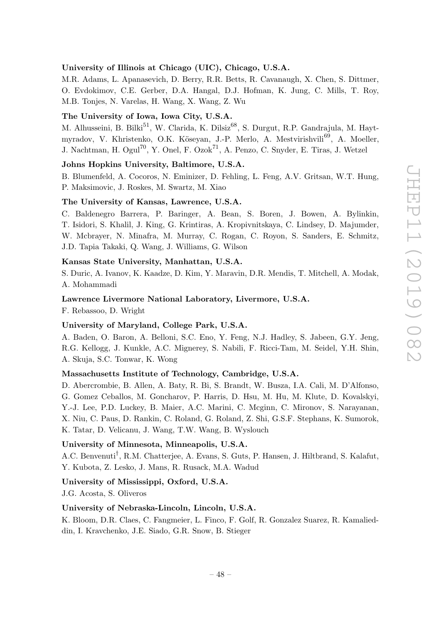## University of Illinois at Chicago (UIC), Chicago, U.S.A.

M.R. Adams, L. Apanasevich, D. Berry, R.R. Betts, R. Cavanaugh, X. Chen, S. Dittmer, O. Evdokimov, C.E. Gerber, D.A. Hangal, D.J. Hofman, K. Jung, C. Mills, T. Roy, M.B. Tonjes, N. Varelas, H. Wang, X. Wang, Z. Wu

## The University of Iowa, Iowa City, U.S.A.

M. Alhusseini, B. Bilki<sup>51</sup>, W. Clarida, K. Dilsiz<sup>68</sup>, S. Durgut, R.P. Gandrajula, M. Haytmyradov, V. Khristenko, O.K. Kösevan, J.-P. Merlo, A. Mestvirishvili<sup>69</sup>, A. Moeller, J. Nachtman, H. Ogul<sup>70</sup>, Y. Onel, F. Ozok<sup>71</sup>, A. Penzo, C. Snyder, E. Tiras, J. Wetzel

## Johns Hopkins University, Baltimore, U.S.A.

B. Blumenfeld, A. Cocoros, N. Eminizer, D. Fehling, L. Feng, A.V. Gritsan, W.T. Hung, P. Maksimovic, J. Roskes, M. Swartz, M. Xiao

## The University of Kansas, Lawrence, U.S.A.

C. Baldenegro Barrera, P. Baringer, A. Bean, S. Boren, J. Bowen, A. Bylinkin, T. Isidori, S. Khalil, J. King, G. Krintiras, A. Kropivnitskaya, C. Lindsey, D. Majumder, W. Mcbrayer, N. Minafra, M. Murray, C. Rogan, C. Royon, S. Sanders, E. Schmitz, J.D. Tapia Takaki, Q. Wang, J. Williams, G. Wilson

### Kansas State University, Manhattan, U.S.A.

S. Duric, A. Ivanov, K. Kaadze, D. Kim, Y. Maravin, D.R. Mendis, T. Mitchell, A. Modak, A. Mohammadi

## Lawrence Livermore National Laboratory, Livermore, U.S.A.

F. Rebassoo, D. Wright

#### University of Maryland, College Park, U.S.A.

A. Baden, O. Baron, A. Belloni, S.C. Eno, Y. Feng, N.J. Hadley, S. Jabeen, G.Y. Jeng, R.G. Kellogg, J. Kunkle, A.C. Mignerey, S. Nabili, F. Ricci-Tam, M. Seidel, Y.H. Shin, A. Skuja, S.C. Tonwar, K. Wong

#### Massachusetts Institute of Technology, Cambridge, U.S.A.

D. Abercrombie, B. Allen, A. Baty, R. Bi, S. Brandt, W. Busza, I.A. Cali, M. D'Alfonso, G. Gomez Ceballos, M. Goncharov, P. Harris, D. Hsu, M. Hu, M. Klute, D. Kovalskyi, Y.-J. Lee, P.D. Luckey, B. Maier, A.C. Marini, C. Mcginn, C. Mironov, S. Narayanan, X. Niu, C. Paus, D. Rankin, C. Roland, G. Roland, Z. Shi, G.S.F. Stephans, K. Sumorok, K. Tatar, D. Velicanu, J. Wang, T.W. Wang, B. Wyslouch

## University of Minnesota, Minneapolis, U.S.A.

A.C. Benvenuti† , R.M. Chatterjee, A. Evans, S. Guts, P. Hansen, J. Hiltbrand, S. Kalafut, Y. Kubota, Z. Lesko, J. Mans, R. Rusack, M.A. Wadud

### University of Mississippi, Oxford, U.S.A.

J.G. Acosta, S. Oliveros

### University of Nebraska-Lincoln, Lincoln, U.S.A.

K. Bloom, D.R. Claes, C. Fangmeier, L. Finco, F. Golf, R. Gonzalez Suarez, R. Kamalieddin, I. Kravchenko, J.E. Siado, G.R. Snow, B. Stieger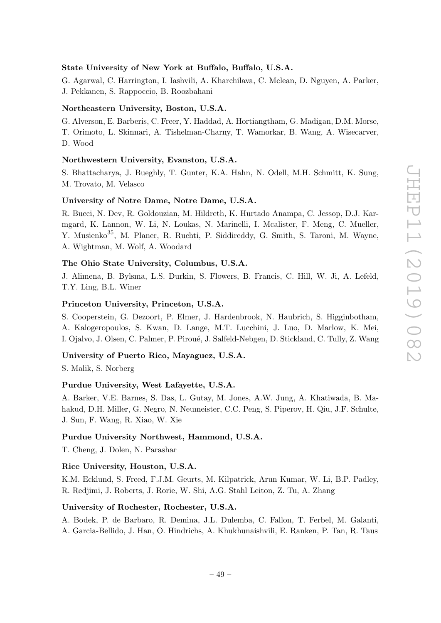### State University of New York at Buffalo, Buffalo, U.S.A.

G. Agarwal, C. Harrington, I. Iashvili, A. Kharchilava, C. Mclean, D. Nguyen, A. Parker, J. Pekkanen, S. Rappoccio, B. Roozbahani

#### Northeastern University, Boston, U.S.A.

G. Alverson, E. Barberis, C. Freer, Y. Haddad, A. Hortiangtham, G. Madigan, D.M. Morse, T. Orimoto, L. Skinnari, A. Tishelman-Charny, T. Wamorkar, B. Wang, A. Wisecarver, D. Wood

### Northwestern University, Evanston, U.S.A.

S. Bhattacharya, J. Bueghly, T. Gunter, K.A. Hahn, N. Odell, M.H. Schmitt, K. Sung, M. Trovato, M. Velasco

#### University of Notre Dame, Notre Dame, U.S.A.

R. Bucci, N. Dev, R. Goldouzian, M. Hildreth, K. Hurtado Anampa, C. Jessop, D.J. Karmgard, K. Lannon, W. Li, N. Loukas, N. Marinelli, I. Mcalister, F. Meng, C. Mueller, Y. Musienko<sup>35</sup>, M. Planer, R. Ruchti, P. Siddireddy, G. Smith, S. Taroni, M. Wayne, A. Wightman, M. Wolf, A. Woodard

### The Ohio State University, Columbus, U.S.A.

J. Alimena, B. Bylsma, L.S. Durkin, S. Flowers, B. Francis, C. Hill, W. Ji, A. Lefeld, T.Y. Ling, B.L. Winer

## Princeton University, Princeton, U.S.A.

S. Cooperstein, G. Dezoort, P. Elmer, J. Hardenbrook, N. Haubrich, S. Higginbotham, A. Kalogeropoulos, S. Kwan, D. Lange, M.T. Lucchini, J. Luo, D. Marlow, K. Mei, I. Ojalvo, J. Olsen, C. Palmer, P. Piroué, J. Salfeld-Nebgen, D. Stickland, C. Tully, Z. Wang

## University of Puerto Rico, Mayaguez, U.S.A.

S. Malik, S. Norberg

## Purdue University, West Lafayette, U.S.A.

A. Barker, V.E. Barnes, S. Das, L. Gutay, M. Jones, A.W. Jung, A. Khatiwada, B. Mahakud, D.H. Miller, G. Negro, N. Neumeister, C.C. Peng, S. Piperov, H. Qiu, J.F. Schulte, J. Sun, F. Wang, R. Xiao, W. Xie

## Purdue University Northwest, Hammond, U.S.A.

T. Cheng, J. Dolen, N. Parashar

## Rice University, Houston, U.S.A.

K.M. Ecklund, S. Freed, F.J.M. Geurts, M. Kilpatrick, Arun Kumar, W. Li, B.P. Padley, R. Redjimi, J. Roberts, J. Rorie, W. Shi, A.G. Stahl Leiton, Z. Tu, A. Zhang

### University of Rochester, Rochester, U.S.A.

A. Bodek, P. de Barbaro, R. Demina, J.L. Dulemba, C. Fallon, T. Ferbel, M. Galanti, A. Garcia-Bellido, J. Han, O. Hindrichs, A. Khukhunaishvili, E. Ranken, P. Tan, R. Taus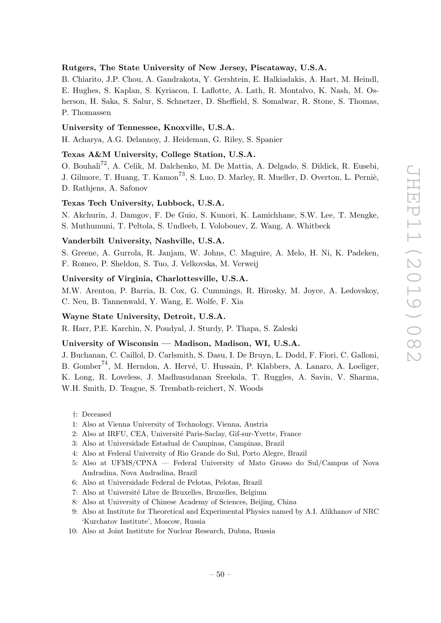### Rutgers, The State University of New Jersey, Piscataway, U.S.A.

B. Chiarito, J.P. Chou, A. Gandrakota, Y. Gershtein, E. Halkiadakis, A. Hart, M. Heindl, E. Hughes, S. Kaplan, S. Kyriacou, I. Laflotte, A. Lath, R. Montalvo, K. Nash, M. Osherson, H. Saka, S. Salur, S. Schnetzer, D. Sheffield, S. Somalwar, R. Stone, S. Thomas, P. Thomassen

### University of Tennessee, Knoxville, U.S.A.

H. Acharya, A.G. Delannoy, J. Heideman, G. Riley, S. Spanier

## Texas A&M University, College Station, U.S.A.

O. Bouhali<sup>72</sup>, A. Celik, M. Dalchenko, M. De Mattia, A. Delgado, S. Dildick, R. Eusebi, J. Gilmore, T. Huang, T. Kamon<sup>73</sup>, S. Luo, D. Marley, R. Mueller, D. Overton, L. Perniè, D. Rathjens, A. Safonov

### Texas Tech University, Lubbock, U.S.A.

N. Akchurin, J. Damgov, F. De Guio, S. Kunori, K. Lamichhane, S.W. Lee, T. Mengke, S. Muthumuni, T. Peltola, S. Undleeb, I. Volobouev, Z. Wang, A. Whitbeck

#### Vanderbilt University, Nashville, U.S.A.

S. Greene, A. Gurrola, R. Janjam, W. Johns, C. Maguire, A. Melo, H. Ni, K. Padeken, F. Romeo, P. Sheldon, S. Tuo, J. Velkovska, M. Verweij

### University of Virginia, Charlottesville, U.S.A.

M.W. Arenton, P. Barria, B. Cox, G. Cummings, R. Hirosky, M. Joyce, A. Ledovskoy, C. Neu, B. Tannenwald, Y. Wang, E. Wolfe, F. Xia

#### Wayne State University, Detroit, U.S.A.

R. Harr, P.E. Karchin, N. Poudyal, J. Sturdy, P. Thapa, S. Zaleski

## University of Wisconsin — Madison, Madison, WI, U.S.A.

J. Buchanan, C. Caillol, D. Carlsmith, S. Dasu, I. De Bruyn, L. Dodd, F. Fiori, C. Galloni, B. Gomber<sup>74</sup>, M. Herndon, A. Hervé, U. Hussain, P. Klabbers, A. Lanaro, A. Loeliger, K. Long, R. Loveless, J. Madhusudanan Sreekala, T. Ruggles, A. Savin, V. Sharma, W.H. Smith, D. Teague, S. Trembath-reichert, N. Woods

- †: Deceased
- 1: Also at Vienna University of Technology, Vienna, Austria
- 2: Also at IRFU, CEA, Université Paris-Saclay, Gif-sur-Yvette, France
- 3: Also at Universidade Estadual de Campinas, Campinas, Brazil
- 4: Also at Federal University of Rio Grande do Sul, Porto Alegre, Brazil
- 5: Also at UFMS/CPNA Federal University of Mato Grosso do Sul/Campus of Nova Andradina, Nova Andradina, Brazil
- 6: Also at Universidade Federal de Pelotas, Pelotas, Brazil
- 7: Also at Université Libre de Bruxelles, Bruxelles, Belgium
- 8: Also at University of Chinese Academy of Sciences, Beijing, China
- 9: Also at Institute for Theoretical and Experimental Physics named by A.I. Alikhanov of NRC 'Kurchatov Institute', Moscow, Russia
- 10: Also at Joint Institute for Nuclear Research, Dubna, Russia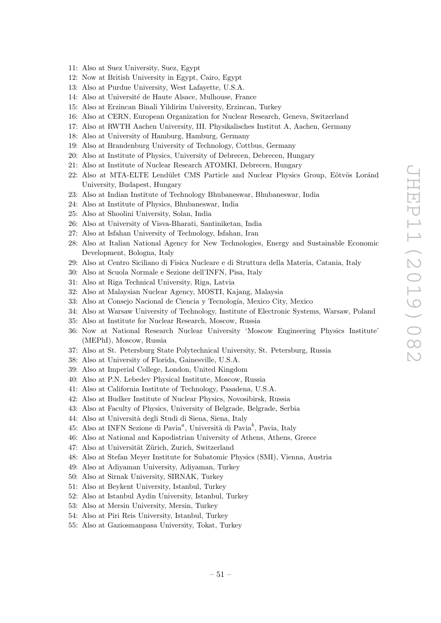- 11: Also at Suez University, Suez, Egypt
- 12: Now at British University in Egypt, Cairo, Egypt
- 13: Also at Purdue University, West Lafayette, U.S.A.
- 14: Also at Université de Haute Alsace, Mulhouse, France
- 15: Also at Erzincan Binali Yildirim University, Erzincan, Turkey
- 16: Also at CERN, European Organization for Nuclear Research, Geneva, Switzerland
- 17: Also at RWTH Aachen University, III. Physikalisches Institut A, Aachen, Germany
- 18: Also at University of Hamburg, Hamburg, Germany
- 19: Also at Brandenburg University of Technology, Cottbus, Germany
- 20: Also at Institute of Physics, University of Debrecen, Debrecen, Hungary
- 21: Also at Institute of Nuclear Research ATOMKI, Debrecen, Hungary
- 22: Also at MTA-ELTE Lendület CMS Particle and Nuclear Physics Group, Eötvös Loránd University, Budapest, Hungary
- 23: Also at Indian Institute of Technology Bhubaneswar, Bhubaneswar, India
- 24: Also at Institute of Physics, Bhubaneswar, India
- 25: Also at Shoolini University, Solan, India
- 26: Also at University of Visva-Bharati, Santiniketan, India
- 27: Also at Isfahan University of Technology, Isfahan, Iran
- 28: Also at Italian National Agency for New Technologies, Energy and Sustainable Economic Development, Bologna, Italy
- 29: Also at Centro Siciliano di Fisica Nucleare e di Struttura della Materia, Catania, Italy
- 30: Also at Scuola Normale e Sezione dell'INFN, Pisa, Italy
- 31: Also at Riga Technical University, Riga, Latvia
- 32: Also at Malaysian Nuclear Agency, MOSTI, Kajang, Malaysia
- 33: Also at Consejo Nacional de Ciencia y Tecnología, Mexico City, Mexico
- 34: Also at Warsaw University of Technology, Institute of Electronic Systems, Warsaw, Poland
- 35: Also at Institute for Nuclear Research, Moscow, Russia
- 36: Now at National Research Nuclear University 'Moscow Engineering Physics Institute' (MEPhI), Moscow, Russia
- 37: Also at St. Petersburg State Polytechnical University, St. Petersburg, Russia
- 38: Also at University of Florida, Gainesville, U.S.A.
- 39: Also at Imperial College, London, United Kingdom
- 40: Also at P.N. Lebedev Physical Institute, Moscow, Russia
- 41: Also at California Institute of Technology, Pasadena, U.S.A.
- 42: Also at Budker Institute of Nuclear Physics, Novosibirsk, Russia
- 43: Also at Faculty of Physics, University of Belgrade, Belgrade, Serbia
- 44: Also at Universit`a degli Studi di Siena, Siena, Italy
- 45: Also at INFN Sezione di Pavia<sup>a</sup>, Università di Pavia<sup>b</sup>, Pavia, Italy
- 46: Also at National and Kapodistrian University of Athens, Athens, Greece
- 47: Also at Universität Zürich, Zurich, Switzerland
- 48: Also at Stefan Meyer Institute for Subatomic Physics (SMI), Vienna, Austria
- 49: Also at Adiyaman University, Adiyaman, Turkey
- 50: Also at Sirnak University, SIRNAK, Turkey
- 51: Also at Beykent University, Istanbul, Turkey
- 52: Also at Istanbul Aydin University, Istanbul, Turkey
- 53: Also at Mersin University, Mersin, Turkey
- 54: Also at Piri Reis University, Istanbul, Turkey
- 55: Also at Gaziosmanpasa University, Tokat, Turkey